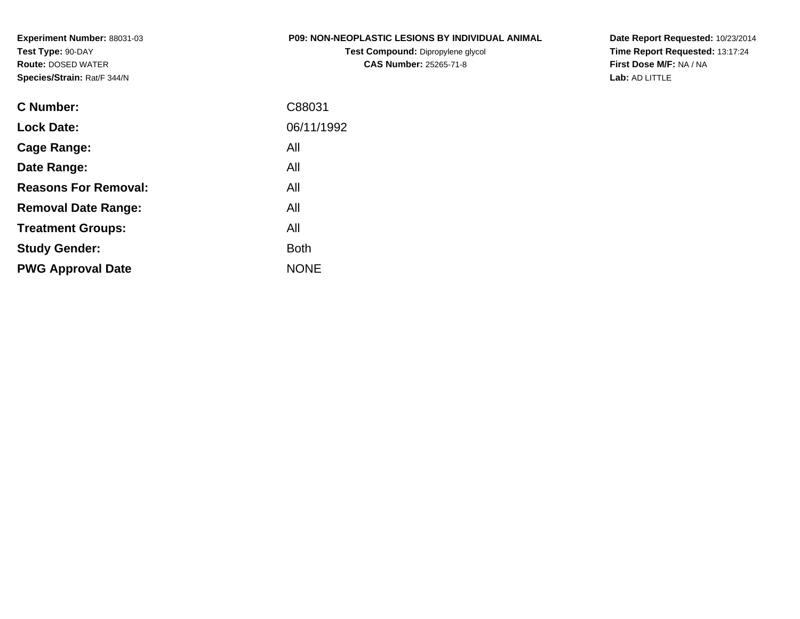**Experiment Number:** 88031-03**Test Type:** 90-DAY **Route:** DOSED WATER**Species/Strain:** Rat/F 344/N

### **P09: NON-NEOPLASTIC LESIONS BY INDIVIDUAL ANIMAL**

**Test Compound:** Dipropylene glycol **CAS Number:** 25265-71-8

**Date Report Requested:** 10/23/2014 **Time Report Requested:** 13:17:24**First Dose M/F:** NA / NA**Lab:** AD LITTLE

| C Number:                   | C88031      |
|-----------------------------|-------------|
| <b>Lock Date:</b>           | 06/11/1992  |
| Cage Range:                 | All         |
| Date Range:                 | All         |
| <b>Reasons For Removal:</b> | All         |
| <b>Removal Date Range:</b>  | All         |
| <b>Treatment Groups:</b>    | All         |
| <b>Study Gender:</b>        | <b>Both</b> |
| <b>PWG Approval Date</b>    | <b>NONE</b> |
|                             |             |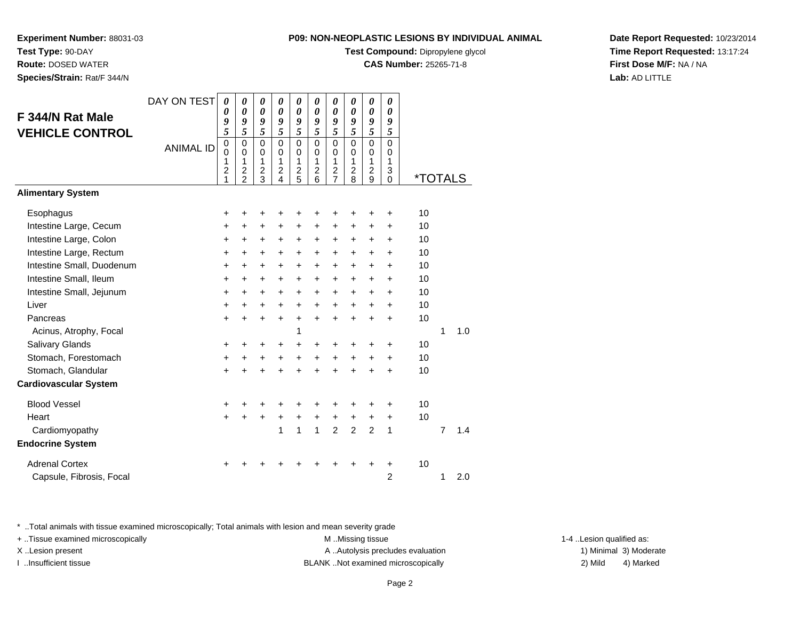**Test Compound:** Dipropylene glycol

**CAS Number:** 25265-71-8

**Date Report Requested:** 10/23/2014**Time Report Requested:** 13:17:24**First Dose M/F:** NA / NA**Lab:** AD LITTLE

\* ..Total animals with tissue examined microscopically; Total animals with lesion and mean severity grade

+ ..Tissue examined microscopically examined microscopically examined as:  $M$  ..Missing tissue 1-4 ..Lesion qualified as:

| F 344/N Rat Male<br><b>VEHICLE CONTROL</b> | DAY ON TEST<br><b>ANIMAL ID</b> | 0<br>0<br>9<br>5<br>$\mathbf 0$<br>$\mathbf 0$<br>1<br>$\overline{2}$ | 0<br>0<br>9<br>5<br>$\mathbf 0$<br>0<br>1<br>$\overline{\mathbf{c}}$ | 0<br>$\theta$<br>9<br>5<br>$\mathbf{0}$<br>$\Omega$<br>1<br>$\overline{c}$ | 0<br>0<br>9<br>5<br>$\mathbf 0$<br>0<br>1<br>$\frac{2}{4}$ | 0<br>$\boldsymbol{\theta}$<br>9<br>5<br>$\Omega$<br>0<br>1<br>$\overline{c}$ | 0<br>0<br>9<br>5<br>$\mathbf 0$<br>0<br>1<br>$\overline{2}$ | 0<br>0<br>9<br>5<br>$\Omega$<br>0<br>1<br>$\overline{2}$ | 0<br>0<br>9<br>5<br>$\mathbf 0$<br>0<br>1<br>$\overline{2}$ | 0<br>$\boldsymbol{\theta}$<br>9<br>5<br>$\mathbf 0$<br>0<br>1<br>$\overline{c}$ | 0<br>$\theta$<br>9<br>5<br>$\mathbf{0}$<br>0<br>1<br>3 |         |   |     |  |
|--------------------------------------------|---------------------------------|-----------------------------------------------------------------------|----------------------------------------------------------------------|----------------------------------------------------------------------------|------------------------------------------------------------|------------------------------------------------------------------------------|-------------------------------------------------------------|----------------------------------------------------------|-------------------------------------------------------------|---------------------------------------------------------------------------------|--------------------------------------------------------|---------|---|-----|--|
| <b>Alimentary System</b>                   |                                 | 1                                                                     | $\mathcal{P}$                                                        | 3                                                                          |                                                            | 5                                                                            | 6                                                           | $\overline{7}$                                           | 8                                                           | 9                                                                               | $\Omega$                                               | *TOTALS |   |     |  |
|                                            |                                 |                                                                       |                                                                      |                                                                            |                                                            |                                                                              |                                                             |                                                          |                                                             |                                                                                 |                                                        |         |   |     |  |
| Esophagus                                  |                                 | +                                                                     | +                                                                    | +                                                                          | +                                                          | +                                                                            | ٠                                                           | +                                                        | +                                                           | +                                                                               | +                                                      | 10      |   |     |  |
| Intestine Large, Cecum                     |                                 | +                                                                     | +                                                                    | +                                                                          | $\pm$                                                      | $\ddot{}$                                                                    | $\pm$                                                       | $\ddot{}$                                                | +                                                           | +                                                                               | +                                                      | 10      |   |     |  |
| Intestine Large, Colon                     |                                 | +                                                                     | $\ddot{}$                                                            | +                                                                          | +                                                          | +                                                                            | $\ddot{}$                                                   | +                                                        | +                                                           | +                                                                               | +                                                      | 10      |   |     |  |
| Intestine Large, Rectum                    |                                 | +                                                                     | $\ddot{}$                                                            | +                                                                          | +                                                          | $\ddot{}$                                                                    | $\ddot{}$                                                   | $\ddot{}$                                                | $\ddot{}$                                                   | $\ddot{}$                                                                       | $\ddot{}$                                              | 10      |   |     |  |
| Intestine Small, Duodenum                  |                                 | +                                                                     | $\ddot{}$                                                            | $\ddot{}$                                                                  | $\ddot{}$                                                  | $\ddot{}$                                                                    | $\ddot{}$                                                   | $\ddot{}$                                                | $\ddot{}$                                                   | $\ddot{}$                                                                       | $\ddot{}$                                              | 10      |   |     |  |
| Intestine Small, Ileum                     |                                 | +                                                                     | $\ddot{}$                                                            | $\ddot{}$                                                                  | $+$                                                        | $\ddot{}$                                                                    | $\ddot{}$                                                   | $\ddot{}$                                                | $\ddot{}$                                                   | $\ddot{}$                                                                       | $\ddot{}$                                              | 10      |   |     |  |
| Intestine Small, Jejunum                   |                                 | +                                                                     | $\ddot{}$                                                            | +                                                                          | $\ddot{}$                                                  | $\ddot{}$                                                                    | +                                                           | $\ddot{}$                                                | $\ddot{}$                                                   | $\ddot{}$                                                                       | $\ddot{}$                                              | 10      |   |     |  |
| Liver                                      |                                 | $\ddot{}$                                                             | $\ddot{}$                                                            | $\ddot{}$                                                                  | $\ddot{}$                                                  | $\ddot{}$                                                                    | $\ddot{}$                                                   | $\ddot{}$                                                | $\ddot{}$                                                   | $\ddot{}$                                                                       | $\ddot{}$                                              | 10      |   |     |  |
| Pancreas                                   |                                 | $\ddot{}$                                                             | $\ddot{}$                                                            | $\ddot{}$                                                                  | $\ddot{}$                                                  | $\ddot{}$                                                                    | $\ddot{}$                                                   | $\ddot{}$                                                | $\ddot{}$                                                   | $\ddot{}$                                                                       | $\ddot{}$                                              | 10      |   |     |  |
| Acinus, Atrophy, Focal                     |                                 |                                                                       |                                                                      |                                                                            |                                                            | 1                                                                            |                                                             |                                                          |                                                             |                                                                                 |                                                        |         | 1 | 1.0 |  |
| Salivary Glands                            |                                 | +                                                                     | +                                                                    | +                                                                          | +                                                          | +                                                                            |                                                             | +                                                        | +                                                           | +                                                                               | +                                                      | 10      |   |     |  |
| Stomach, Forestomach                       |                                 | +                                                                     | $\ddot{}$                                                            | +                                                                          | $\ddot{}$                                                  | $\ddot{}$                                                                    | $\ddot{}$                                                   | $\ddot{}$                                                | $\ddot{}$                                                   | $\ddot{}$                                                                       | $\ddot{}$                                              | 10      |   |     |  |
| Stomach, Glandular                         |                                 | $\ddot{}$                                                             | $\ddot{}$                                                            |                                                                            | $\ddot{}$                                                  | $\ddot{}$                                                                    | $\ddot{}$                                                   | $\ddot{}$                                                | $\ddot{}$                                                   | $\ddot{}$                                                                       | $\ddot{}$                                              | 10      |   |     |  |
| <b>Cardiovascular System</b>               |                                 |                                                                       |                                                                      |                                                                            |                                                            |                                                                              |                                                             |                                                          |                                                             |                                                                                 |                                                        |         |   |     |  |
| <b>Blood Vessel</b>                        |                                 | +                                                                     | +                                                                    | ٠                                                                          | ٠                                                          | ÷                                                                            | ٠                                                           | +                                                        | +                                                           | +                                                                               | +                                                      | 10      |   |     |  |
| Heart                                      |                                 | $\ddot{}$                                                             | $\ddot{}$                                                            | $\ddot{}$                                                                  | +                                                          | $\ddot{}$                                                                    | $\ddot{}$                                                   | $\ddot{}$                                                | +                                                           | $\ddot{}$                                                                       | $\ddot{}$                                              | 10      |   |     |  |
| Cardiomyopathy                             |                                 |                                                                       |                                                                      |                                                                            | 1                                                          | 1                                                                            | $\mathbf{1}$                                                | $\overline{2}$                                           | $\overline{2}$                                              | $\overline{2}$                                                                  | 1                                                      |         | 7 | 1.4 |  |
| <b>Endocrine System</b>                    |                                 |                                                                       |                                                                      |                                                                            |                                                            |                                                                              |                                                             |                                                          |                                                             |                                                                                 |                                                        |         |   |     |  |
| <b>Adrenal Cortex</b>                      |                                 | +                                                                     |                                                                      |                                                                            |                                                            |                                                                              |                                                             | ┿                                                        | ┿                                                           | ٠                                                                               | +                                                      | 10      |   |     |  |
| Capsule, Fibrosis, Focal                   |                                 |                                                                       |                                                                      |                                                                            |                                                            |                                                                              |                                                             |                                                          |                                                             |                                                                                 | 2                                                      |         | 1 | 2.0 |  |
|                                            |                                 |                                                                       |                                                                      |                                                                            |                                                            |                                                                              |                                                             |                                                          |                                                             |                                                                                 |                                                        |         |   |     |  |

X..Lesion present **A ..Autolysis precludes evaluation** A ..Autolysis precludes evaluation 1) Minimal 3) Moderate

**Route:** DOSED WATER

**Test Type:** 90-DAY

**Experiment Number:** 88031-03

**Species/Strain:** Rat/F 344/N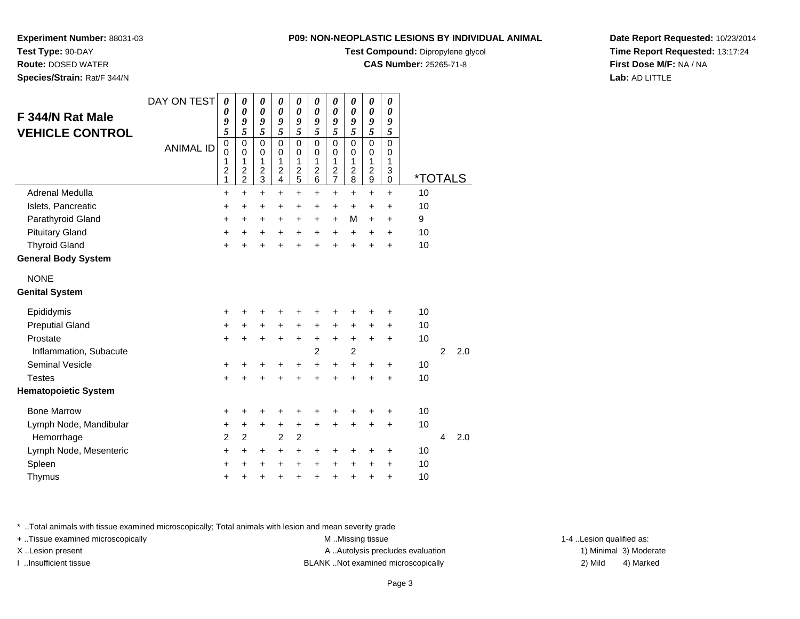**Test Compound:** Dipropylene glycol

**CAS Number:** 25265-71-8

**Date Report Requested:** 10/23/2014**Time Report Requested:** 13:17:24**First Dose M/F:** NA / NA**Lab:** AD LITTLE

| F 344/N Rat Male<br><b>VEHICLE CONTROL</b> | DAY ON TEST<br><b>ANIMAL ID</b> | 0<br>0<br>9<br>5<br>$\mathbf 0$<br>0<br>1<br>$\overline{c}$<br>1 | 0<br>0<br>9<br>5<br>$\mathbf 0$<br>$\mathbf 0$<br>1<br>$\overline{c}$<br>$\overline{2}$ | 0<br>0<br>9<br>5<br>$\mathbf 0$<br>$\mathbf 0$<br>1<br>$\overline{c}$<br>3 | 0<br>0<br>9<br>5<br>$\mathbf 0$<br>0<br>1<br>$\overline{c}$<br>4 | 0<br>0<br>9<br>5<br>$\mathbf 0$<br>0<br>1<br>$\overline{c}$<br>5 | 0<br>0<br>9<br>5<br>$\mathbf 0$<br>0<br>1<br>$\overline{c}$<br>6 | 0<br>0<br>9<br>5<br>$\mathbf 0$<br>0<br>1<br>$\overline{\mathbf{c}}$<br>7 | 0<br>0<br>9<br>5<br>$\mathbf 0$<br>0<br>1<br>$\overline{c}$<br>8 | 0<br>$\boldsymbol{\theta}$<br>9<br>5<br>0<br>0<br>1<br>$\boldsymbol{2}$<br>$\boldsymbol{9}$ | 0<br>0<br>9<br>5<br>$\mathbf 0$<br>0<br>1<br>3<br>0 | <i><b>*TOTALS</b></i> |                |     |  |
|--------------------------------------------|---------------------------------|------------------------------------------------------------------|-----------------------------------------------------------------------------------------|----------------------------------------------------------------------------|------------------------------------------------------------------|------------------------------------------------------------------|------------------------------------------------------------------|---------------------------------------------------------------------------|------------------------------------------------------------------|---------------------------------------------------------------------------------------------|-----------------------------------------------------|-----------------------|----------------|-----|--|
| Adrenal Medulla                            |                                 | $\ddot{}$                                                        | $\ddot{}$                                                                               | $\ddot{}$                                                                  | $\ddot{}$                                                        | $\ddot{}$                                                        | $\ddot{}$                                                        | $\ddot{}$                                                                 | $\ddot{}$                                                        | $\ddot{}$                                                                                   | $\ddot{}$                                           | 10                    |                |     |  |
| Islets, Pancreatic                         |                                 | $\ddot{}$                                                        | $\ddot{}$                                                                               | $\ddot{}$                                                                  | +                                                                | $\ddot{}$                                                        | +                                                                | $\ddot{}$                                                                 | $\ddot{}$                                                        | $\ddot{}$                                                                                   | +                                                   | 10                    |                |     |  |
| Parathyroid Gland                          |                                 | +                                                                | +                                                                                       | +                                                                          | +                                                                | +                                                                | +                                                                | $\ddot{}$                                                                 | M                                                                | +                                                                                           | +                                                   | 9                     |                |     |  |
| <b>Pituitary Gland</b>                     |                                 | $\ddot{}$                                                        | $\ddot{}$                                                                               | +                                                                          | $\ddot{}$                                                        | $\ddot{}$                                                        | +                                                                | $\ddot{}$                                                                 | $\ddot{}$                                                        | +                                                                                           | $\ddot{}$                                           | 10                    |                |     |  |
| <b>Thyroid Gland</b>                       |                                 | $\ddot{}$                                                        | $\ddot{}$                                                                               | $\ddot{}$                                                                  | +                                                                | $\ddot{}$                                                        | $\ddot{}$                                                        | $\ddot{}$                                                                 | $\ddot{}$                                                        | $\ddot{}$                                                                                   | $\ddot{}$                                           | 10                    |                |     |  |
| <b>General Body System</b>                 |                                 |                                                                  |                                                                                         |                                                                            |                                                                  |                                                                  |                                                                  |                                                                           |                                                                  |                                                                                             |                                                     |                       |                |     |  |
| <b>NONE</b>                                |                                 |                                                                  |                                                                                         |                                                                            |                                                                  |                                                                  |                                                                  |                                                                           |                                                                  |                                                                                             |                                                     |                       |                |     |  |
| <b>Genital System</b>                      |                                 |                                                                  |                                                                                         |                                                                            |                                                                  |                                                                  |                                                                  |                                                                           |                                                                  |                                                                                             |                                                     |                       |                |     |  |
| Epididymis                                 |                                 | $\ddot{}$                                                        |                                                                                         |                                                                            | ٠                                                                | +                                                                | +                                                                | +                                                                         | +                                                                | ٠                                                                                           | +                                                   | 10                    |                |     |  |
| <b>Preputial Gland</b>                     |                                 | +                                                                | +                                                                                       | +                                                                          | +                                                                | +                                                                | +                                                                | +                                                                         | +                                                                | $\ddot{}$                                                                                   | +                                                   | 10                    |                |     |  |
| Prostate                                   |                                 | $\ddot{}$                                                        | $\div$                                                                                  | $\ddot{}$                                                                  | $\ddot{}$                                                        | +                                                                | +                                                                | $\ddot{}$                                                                 | $\ddot{}$                                                        | $\ddot{}$                                                                                   | +                                                   | 10                    |                |     |  |
| Inflammation, Subacute                     |                                 |                                                                  |                                                                                         |                                                                            |                                                                  |                                                                  | $\overline{2}$                                                   |                                                                           | $\overline{c}$                                                   |                                                                                             |                                                     |                       | $\overline{2}$ | 2.0 |  |
| <b>Seminal Vesicle</b>                     |                                 | +                                                                |                                                                                         | ٠                                                                          | +                                                                | +                                                                | +                                                                | +                                                                         | $\ddot{}$                                                        | +                                                                                           | +                                                   | 10                    |                |     |  |
| <b>Testes</b>                              |                                 | +                                                                |                                                                                         |                                                                            | +                                                                | +                                                                | $\ddot{}$                                                        | $\ddot{}$                                                                 | $\ddot{}$                                                        | $\ddot{}$                                                                                   | $\ddot{}$                                           | 10                    |                |     |  |
| <b>Hematopoietic System</b>                |                                 |                                                                  |                                                                                         |                                                                            |                                                                  |                                                                  |                                                                  |                                                                           |                                                                  |                                                                                             |                                                     |                       |                |     |  |
| <b>Bone Marrow</b>                         |                                 | +                                                                |                                                                                         | +                                                                          | +                                                                | +                                                                | +                                                                | +                                                                         | +                                                                | +                                                                                           | +                                                   | 10                    |                |     |  |
| Lymph Node, Mandibular                     |                                 | +                                                                | +                                                                                       | $\ddot{}$                                                                  | +                                                                | +                                                                | $\ddot{}$                                                        | $\ddot{}$                                                                 | $\ddot{}$                                                        | $\ddot{}$                                                                                   | $\ddot{}$                                           | 10                    |                |     |  |
| Hemorrhage                                 |                                 | $\overline{2}$                                                   | $\overline{c}$                                                                          |                                                                            | 2                                                                | $\overline{c}$                                                   |                                                                  |                                                                           |                                                                  |                                                                                             |                                                     |                       | 4              | 2.0 |  |
| Lymph Node, Mesenteric                     |                                 | $\ddot{}$                                                        | +                                                                                       | +                                                                          | $\ddot{}$                                                        | $\ddot{}$                                                        | +                                                                | +                                                                         | +                                                                | +                                                                                           | +                                                   | 10                    |                |     |  |
| Spleen                                     |                                 | $\ddot{}$                                                        |                                                                                         | +                                                                          | +                                                                | $\ddot{}$                                                        | +                                                                | +                                                                         | +                                                                | +                                                                                           | +                                                   | 10                    |                |     |  |
| Thymus                                     |                                 | $\ddot{}$                                                        |                                                                                         | +                                                                          | +                                                                | +                                                                | +                                                                | +                                                                         | +                                                                | +                                                                                           | +                                                   | 10                    |                |     |  |
|                                            |                                 |                                                                  |                                                                                         |                                                                            |                                                                  |                                                                  |                                                                  |                                                                           |                                                                  |                                                                                             |                                                     |                       |                |     |  |

\* ..Total animals with tissue examined microscopically; Total animals with lesion and mean severity grade

**Experiment Number:** 88031-03

**Test Type:** 90-DAY **Route:** DOSED WATER**Species/Strain:** Rat/F 344/N

+ ..Tissue examined microscopically examined microscopically examined as:  $M$  ..Missing tissue 1-4 ..Lesion qualified as: X..Lesion present **A ..Autolysis precludes evaluation** A ..Autolysis precludes evaluation 1) Minimal 3) Moderate I ..Insufficient tissue 2) Mild and the SLANK ..Not examined microscopically and the SLANK ... Insufficient tissue

4) Marked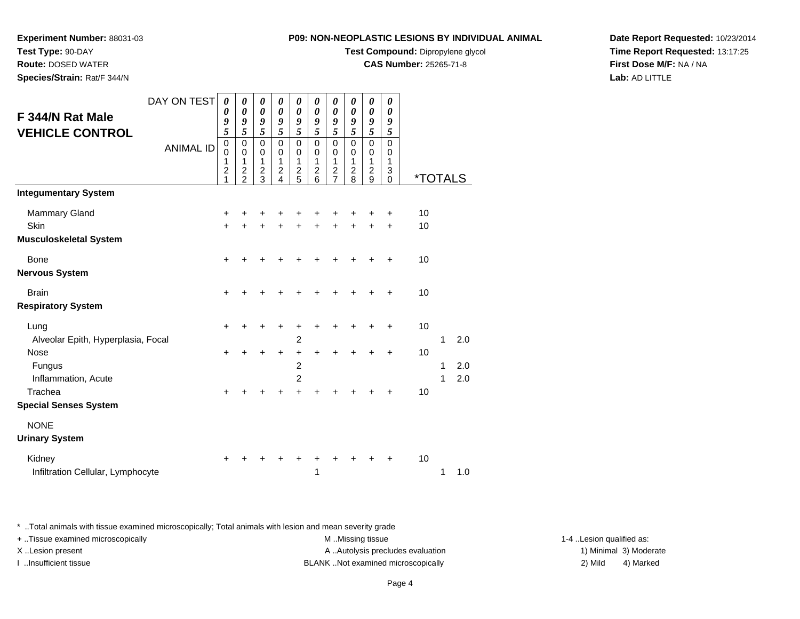**Test Compound:** Dipropylene glycol

0 \*TOTALS

**CAS Number:** 25265-71-8

**Date Report Requested:** 10/23/2014**Time Report Requested:** 13:17:25**First Dose M/F:** NA / NA**Lab:** AD LITTLE

\* ..Total animals with tissue examined microscopically; Total animals with lesion and mean severity grade

+ ..Tissue examined microscopically examined microscopically examined as: M ..Missing tissue 1-4 ..Lesion qualified as:

| <b>Bone</b>                        | $\ddot{}$ | +         | +         | $\ddot{}$ | $\ddot{}$      | $\ddot{}$ | $\ddot{}$ | $\ddot{}$ | $\ddot{}$ | $\ddot{}$ | 10 |   |     |
|------------------------------------|-----------|-----------|-----------|-----------|----------------|-----------|-----------|-----------|-----------|-----------|----|---|-----|
| Nervous System                     |           |           |           |           |                |           |           |           |           |           |    |   |     |
| <b>Brain</b>                       | $+$       | $\ddot{}$ | $+$       | $\ddot{}$ | $\ddot{}$      | $\ddot{}$ | $+$       | $\ddot{}$ | $\ddot{}$ | $\ddot{}$ | 10 |   |     |
| <b>Respiratory System</b>          |           |           |           |           |                |           |           |           |           |           |    |   |     |
| Lung                               | $\ddot{}$ | +         | $\ddot{}$ | $\ddot{}$ | $\ddot{}$      | $+$       | $\ddot{}$ | $\ddot{}$ | $\ddot{}$ | $\ddot{}$ | 10 |   |     |
| Alveolar Epith, Hyperplasia, Focal |           |           |           |           | $\overline{2}$ |           |           |           |           |           |    | 1 | 2.0 |
| Nose                               | $\ddot{}$ | +         | $\ddot{}$ | $\ddot{}$ | $\ddot{}$      | $\ddot{}$ | $\ddot{}$ | $\ddot{}$ | $\ddot{}$ | $\ddot{}$ | 10 |   |     |
| Fungus                             |           |           |           |           | $\overline{2}$ |           |           |           |           |           |    | 1 | 2.0 |
| Inflammation, Acute                |           |           |           |           | 2              |           |           |           |           |           |    | 1 | 2.0 |
| Trachea                            | $\ddot{}$ | +         | $\ddot{}$ | $\ddot{}$ | $+$            | $\ddot{}$ | $\ddot{}$ | $\ddot{}$ | $\ddot{}$ | $\ddot{}$ | 10 |   |     |
| <b>Special Senses System</b>       |           |           |           |           |                |           |           |           |           |           |    |   |     |
| <b>NONE</b>                        |           |           |           |           |                |           |           |           |           |           |    |   |     |
| <b>Urinary System</b>              |           |           |           |           |                |           |           |           |           |           |    |   |     |
| Kidney                             | $\ddot{}$ | $\ddot{}$ | $\ddot{}$ | $\ddot{}$ | $\ddot{}$      | $+$       | $\ddot{}$ | $\ddot{}$ | $\ddot{}$ | $\ddot{}$ | 10 |   |     |
| Infiltration Cellular, Lymphocyte  |           |           |           |           |                | 1         |           |           |           |           |    | 1 | 1.0 |
|                                    |           |           |           |           |                |           |           |           |           |           |    |   |     |

DAY ON TEST

<sup>+</sup> <sup>+</sup> <sup>+</sup> <sup>+</sup> <sup>+</sup> <sup>+</sup> <sup>+</sup> <sup>+</sup> + 10

<sup>+</sup> <sup>+</sup> <sup>+</sup> <sup>+</sup> <sup>+</sup> <sup>+</sup> <sup>+</sup> <sup>+</sup> + 10

0 0 1

2 9

0 0 1

2 8

0 0

1 2 3

ANIMAL ID

d  $+$ 

n  $+$ 

# **Experiment Number:** 88031-03**Test Type:** 90-DAY

**Route:** DOSED WATER

**F 344/N Rat MaleVEHICLE CONTROL**

**Integumentary System**

**Musculoskeletal System**

Mammary Gland

Skin

**Species/Strain:** Rat/F 344/N

X..Lesion present **A ..Autolysis precludes evaluation** A ..Autolysis precludes evaluation 1) Minimal 3) Moderate I ..Insufficient tissue BLANK ..Not examined microscopically 2) Mild 4) Marked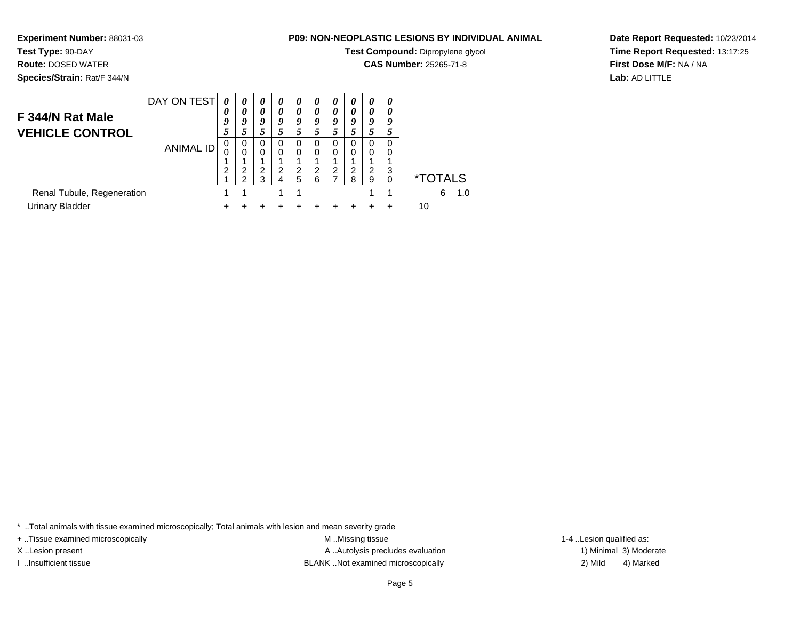**Test Compound:** Dipropylene glycol

**CAS Number:** 25265-71-8

**Date Report Requested:** 10/23/2014**Time Report Requested:** 13:17:25**First Dose M/F:** NA / NA**Lab:** AD LITTLE

DAY ON TEST**F 344/N Rat Male VEHICLE CONTROL**ANIMAL ID*0 0 9 5* 0 0 1 2 1 $\mathbf{1}$ *0 0 9 5* 0 0 1 2 2 $\overline{1}$ *0 0 9 5* 0 0 1 2 3*0 0 9 5* 0 0 1 2 4 $\overline{1}$ *0 0 9 5* 0 0 1 2 5 $\mathbf{1}$ *0 0 9 5* 0 0 1 2 6*0 0 9 5* 0 0 1 2 7*0 0 9 5* 0 0 1 2 8*0 0 9 5* 0 0 1 2 9 $\mathbf{1}$ *0 0 9 5* 0 0 1 3 $\check{\mathrm{o}}$ 0 \*TOTALS $6 - 1.0$ Renal Tubule, Regenerationn 1 1 1 1 1 1 1 1 1 6 1.0 Urinary Bladder $\mathsf{r}$  + <sup>+</sup> <sup>+</sup> <sup>+</sup> <sup>+</sup> <sup>+</sup> <sup>+</sup> <sup>+</sup> <sup>+</sup> + 10

\* ..Total animals with tissue examined microscopically; Total animals with lesion and mean severity grade

+ ..Tissue examined microscopically examined microscopically examined as:  $M$  ..Missing tissue 1-4 ..Lesion qualified as:

**Experiment Number:** 88031-03

**Test Type:** 90-DAY **Route:** DOSED WATER**Species/Strain:** Rat/F 344/N

X..Lesion present **A ..Autolysis precludes evaluation** A ..Autolysis precludes evaluation 1) Minimal 3) Moderate I ..Insufficient tissue BLANK ..Not examined microscopically 2) Mild 4) Marked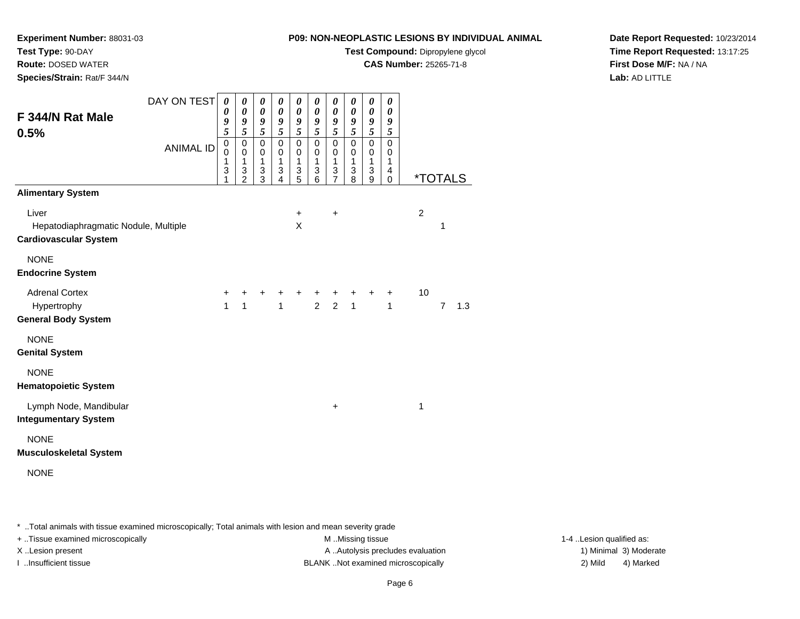**Test Compound:** Dipropylene glycol

**CAS Number:** 25265-71-8

**Date Report Requested:** 10/23/2014**Time Report Requested:** 13:17:25**First Dose M/F:** NA / NA**Lab:** AD LITTLE

| DAY ON TEST<br>F 344/N Rat Male<br>0.5%<br><b>ANIMAL ID</b>                                               | 0<br>0<br>9<br>5<br>$\mathsf 0$<br>$\mathbf 0$<br>$\mathbf{1}$<br>3<br>1 | 0<br>0<br>9<br>5<br>$\pmb{0}$<br>$\pmb{0}$<br>$\mathbf 1$<br>3<br>$\overline{2}$ | 0<br>0<br>9<br>5<br>$\mathbf 0$<br>$\pmb{0}$<br>$\mathbf{1}$<br>3<br>3 | $\boldsymbol{\theta}$<br>0<br>9<br>5<br>$\mathbf 0$<br>$\mathbf 0$<br>$\mathbf{1}$<br>3<br>4 | 0<br>0<br>9<br>5<br>$\pmb{0}$<br>$\pmb{0}$<br>$\mathbf{1}$<br>3<br>5 | 0<br>0<br>9<br>5<br>$\pmb{0}$<br>$\boldsymbol{0}$<br>$\mathbf{1}$<br>3<br>6 | 0<br>0<br>9<br>$\overline{5}$<br>$\mathbf 0$<br>$\mathbf 0$<br>$\mathbf{1}$<br>3<br>$\overline{7}$ | 0<br>0<br>9<br>$\overline{5}$<br>$\pmb{0}$<br>$\mathbf 0$<br>$\mathbf{1}$<br>3<br>8 | 0<br>0<br>$\frac{9}{5}$<br>$\mathbf 0$<br>$\,0\,$<br>$\mathbf{1}$<br>3<br>$\boldsymbol{9}$ | 0<br>0<br>9<br>5<br>0<br>$\boldsymbol{0}$<br>$\mathbf{1}$<br>4<br>$\mathbf 0$ | <i><b>*TOTALS</b></i> |                |     |
|-----------------------------------------------------------------------------------------------------------|--------------------------------------------------------------------------|----------------------------------------------------------------------------------|------------------------------------------------------------------------|----------------------------------------------------------------------------------------------|----------------------------------------------------------------------|-----------------------------------------------------------------------------|----------------------------------------------------------------------------------------------------|-------------------------------------------------------------------------------------|--------------------------------------------------------------------------------------------|-------------------------------------------------------------------------------|-----------------------|----------------|-----|
| <b>Alimentary System</b><br>Liver<br>Hepatodiaphragmatic Nodule, Multiple<br><b>Cardiovascular System</b> |                                                                          |                                                                                  |                                                                        |                                                                                              | $\ddot{}$<br>X                                                       |                                                                             | $\ddot{}$                                                                                          |                                                                                     |                                                                                            |                                                                               | $\overline{c}$        | 1              |     |
| <b>NONE</b><br><b>Endocrine System</b>                                                                    |                                                                          |                                                                                  |                                                                        |                                                                                              |                                                                      |                                                                             |                                                                                                    |                                                                                     |                                                                                            |                                                                               |                       |                |     |
| <b>Adrenal Cortex</b><br>Hypertrophy<br><b>General Body System</b>                                        | +<br>1                                                                   | +<br>$\mathbf{1}$                                                                | +                                                                      | +<br>$\mathbf{1}$                                                                            | +                                                                    | +<br>$\overline{2}$                                                         | $\ddot{}$<br>$\overline{2}$                                                                        | +<br>$\mathbf{1}$                                                                   | $\ddot{}$                                                                                  | $\ddot{}$<br>1                                                                | 10                    | $\overline{7}$ | 1.3 |
| <b>NONE</b><br><b>Genital System</b>                                                                      |                                                                          |                                                                                  |                                                                        |                                                                                              |                                                                      |                                                                             |                                                                                                    |                                                                                     |                                                                                            |                                                                               |                       |                |     |
| <b>NONE</b><br><b>Hematopoietic System</b>                                                                |                                                                          |                                                                                  |                                                                        |                                                                                              |                                                                      |                                                                             |                                                                                                    |                                                                                     |                                                                                            |                                                                               |                       |                |     |
| Lymph Node, Mandibular<br><b>Integumentary System</b>                                                     |                                                                          |                                                                                  |                                                                        |                                                                                              |                                                                      |                                                                             | $\ddot{}$                                                                                          |                                                                                     |                                                                                            |                                                                               | 1                     |                |     |
| <b>NONE</b><br><b>Musculoskeletal System</b>                                                              |                                                                          |                                                                                  |                                                                        |                                                                                              |                                                                      |                                                                             |                                                                                                    |                                                                                     |                                                                                            |                                                                               |                       |                |     |
| <b>NONE</b>                                                                                               |                                                                          |                                                                                  |                                                                        |                                                                                              |                                                                      |                                                                             |                                                                                                    |                                                                                     |                                                                                            |                                                                               |                       |                |     |

\* ..Total animals with tissue examined microscopically; Total animals with lesion and mean severity grade

+ ..Tissue examined microscopically M ...Missing tissue 1-4 ... M ...Missing tissue

**Experiment Number:** 88031-03

**Test Type:** 90-DAY **Route:** DOSED WATER**Species/Strain:** Rat/F 344/N

X..Lesion present **A ..Autolysis precludes evaluation** A ..Autolysis precludes evaluation 1) Minimal 3) Moderate I ..Insufficient tissue BLANK ..Not examined microscopically 2) Mild 4) Marked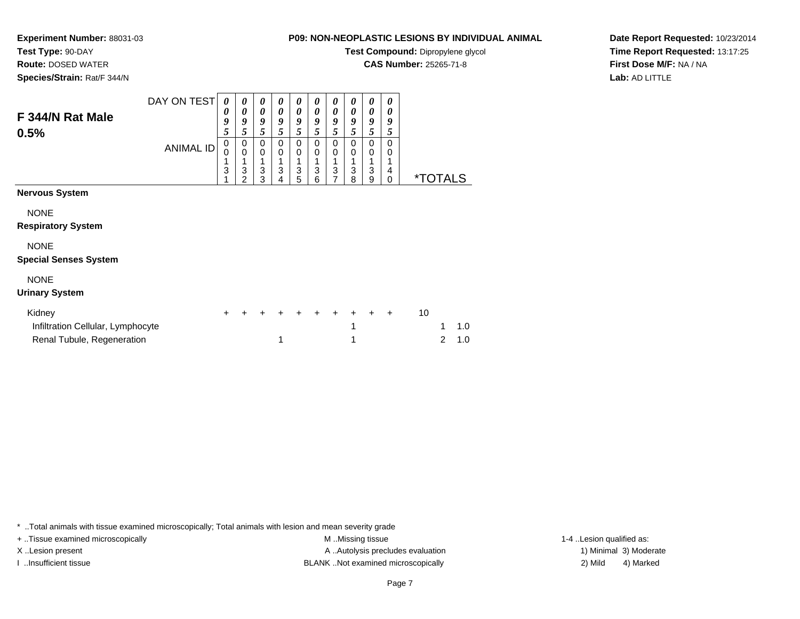**Test Compound:** Dipropylene glycol

**CAS Number:** 25265-71-8

**Date Report Requested:** 10/23/2014**Time Report Requested:** 13:17:25**First Dose M/F:** NA / NA**Lab:** AD LITTLE

| F 344/N Rat Male<br>0.5%                    | DAY ON TEST<br><b>ANIMAL ID</b> | 0<br>0<br>9<br>5<br>0<br>0 | 0<br>0<br>9<br>5<br>0<br>$\mathbf 0$ | 0<br>0<br>9<br>5<br>0<br>$\mathbf 0$ | 0<br>0<br>9<br>5<br>0<br>0 | 0<br>$\boldsymbol{\theta}$<br>9<br>5<br>0<br>$\mathbf 0$ | 0<br>0<br>9<br>5<br>0<br>0 | 0<br>$\boldsymbol{\theta}$<br>9<br>5<br>0<br>0 | 0<br>0<br>9<br>5<br>0<br>0 | 0<br>$\boldsymbol{\theta}$<br>9<br>5<br>$\mathbf 0$<br>$\mathbf 0$ | 0<br>0<br>9<br>5<br>0<br>0 |                       |     |
|---------------------------------------------|---------------------------------|----------------------------|--------------------------------------|--------------------------------------|----------------------------|----------------------------------------------------------|----------------------------|------------------------------------------------|----------------------------|--------------------------------------------------------------------|----------------------------|-----------------------|-----|
|                                             |                                 | 3                          | 3<br>$\overline{2}$                  | 3<br>3                               | 3<br>4                     | $\ensuremath{\mathsf{3}}$<br>5                           | 3<br>6                     | 3<br>$\overline{7}$                            | 3<br>8                     | 1<br>3<br>$\mathsf g$                                              | 4<br>$\Omega$              | <i><b>*TOTALS</b></i> |     |
| <b>Nervous System</b>                       |                                 |                            |                                      |                                      |                            |                                                          |                            |                                                |                            |                                                                    |                            |                       |     |
| <b>NONE</b><br><b>Respiratory System</b>    |                                 |                            |                                      |                                      |                            |                                                          |                            |                                                |                            |                                                                    |                            |                       |     |
| <b>NONE</b><br><b>Special Senses System</b> |                                 |                            |                                      |                                      |                            |                                                          |                            |                                                |                            |                                                                    |                            |                       |     |
| <b>NONE</b><br><b>Urinary System</b>        |                                 |                            |                                      |                                      |                            |                                                          |                            |                                                |                            |                                                                    |                            |                       |     |
| Kidney<br>Infiltration Cellular, Lymphocyte |                                 | +                          |                                      |                                      |                            |                                                          |                            | +                                              | $\ddot{}$<br>1             | +                                                                  | $\ddot{}$                  | 10<br>1               | 1.0 |
| Renal Tubule, Regeneration                  |                                 |                            |                                      |                                      | 1                          |                                                          |                            |                                                |                            |                                                                    |                            | $\overline{2}$        | 1.0 |

\* ..Total animals with tissue examined microscopically; Total animals with lesion and mean severity grade

**Experiment Number:** 88031-03

**Test Type:** 90-DAY **Route:** DOSED WATER**Species/Strain:** Rat/F 344/N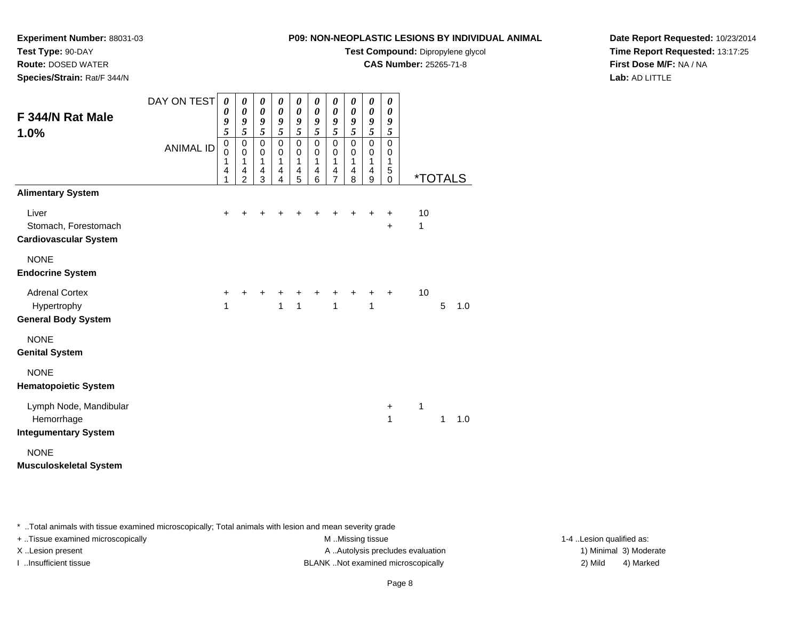**Test Compound:** Dipropylene glycol

**CAS Number:** 25265-71-8

**Date Report Requested:** 10/23/2014**Time Report Requested:** 13:17:25**First Dose M/F:** NA / NA**Lab:** AD LITTLE

|                               | DAY ON TEST      | 0                                           | 0                   | 0                            | $\pmb{\theta}$ | 0                     | 0                     | 0            | 0                     | 0                     | 0                     |                       |   |     |
|-------------------------------|------------------|---------------------------------------------|---------------------|------------------------------|----------------|-----------------------|-----------------------|--------------|-----------------------|-----------------------|-----------------------|-----------------------|---|-----|
| F 344/N Rat Male              |                  | $\boldsymbol{\theta}$                       | $\pmb{\theta}$      | $\boldsymbol{\theta}$        | $\pmb{\theta}$ | $\boldsymbol{\theta}$ | $\boldsymbol{\theta}$ | 0            | $\boldsymbol{\theta}$ | $\boldsymbol{\theta}$ | $\boldsymbol{\theta}$ |                       |   |     |
| 1.0%                          |                  | 9<br>5                                      | 9<br>$\overline{5}$ | 9<br>$\overline{\mathbf{5}}$ | 9<br>5         | 9<br>5                | $\boldsymbol{g}$<br>5 | 9<br>5       | 9<br>5                | 9<br>5                | 9<br>5                |                       |   |     |
|                               |                  |                                             | $\mathbf 0$         | 0                            | 0              | $\pmb{0}$             | $\mathbf 0$           | $\pmb{0}$    | $\pmb{0}$             | $\mathbf 0$           | $\mathbf 0$           |                       |   |     |
|                               | <b>ANIMAL ID</b> | $\begin{smallmatrix}0\0\0\end{smallmatrix}$ | 0                   | 0                            | $\mathbf 0$    | $\mathbf 0$           | $\mathbf 0$           | $\mathbf 0$  | $\mathbf 0$           | $\pmb{0}$             | 0                     |                       |   |     |
|                               |                  | 1<br>4                                      | 1<br>4              | 1<br>4                       | 1<br>4         | $\mathbf 1$<br>4      | $\mathbf{1}$<br>4     | 1<br>4       | 1<br>4                | $\mathbf 1$<br>4      | 1<br>5                |                       |   |     |
|                               |                  | 1                                           | $\overline{2}$      | 3                            | 4              | 5                     | 6                     | 7            | 8                     | 9                     | $\mathbf 0$           | <i><b>*TOTALS</b></i> |   |     |
| <b>Alimentary System</b>      |                  |                                             |                     |                              |                |                       |                       |              |                       |                       |                       |                       |   |     |
| Liver                         |                  | $\pm$                                       |                     |                              |                |                       |                       | ٠            | ٠                     | +                     | +                     | 10                    |   |     |
| Stomach, Forestomach          |                  |                                             |                     |                              |                |                       |                       |              |                       |                       | $\ddot{}$             | 1                     |   |     |
| <b>Cardiovascular System</b>  |                  |                                             |                     |                              |                |                       |                       |              |                       |                       |                       |                       |   |     |
| <b>NONE</b>                   |                  |                                             |                     |                              |                |                       |                       |              |                       |                       |                       |                       |   |     |
| <b>Endocrine System</b>       |                  |                                             |                     |                              |                |                       |                       |              |                       |                       |                       |                       |   |     |
| <b>Adrenal Cortex</b>         |                  | $\ddot{}$                                   |                     |                              |                |                       |                       |              | $\ddot{}$             | $\ddot{}$             | $\ddot{}$             | 10                    |   |     |
| Hypertrophy                   |                  | 1                                           |                     |                              | 1              | $\overline{1}$        |                       | $\mathbf{1}$ |                       | 1                     |                       |                       | 5 | 1.0 |
| <b>General Body System</b>    |                  |                                             |                     |                              |                |                       |                       |              |                       |                       |                       |                       |   |     |
| <b>NONE</b>                   |                  |                                             |                     |                              |                |                       |                       |              |                       |                       |                       |                       |   |     |
| <b>Genital System</b>         |                  |                                             |                     |                              |                |                       |                       |              |                       |                       |                       |                       |   |     |
| <b>NONE</b>                   |                  |                                             |                     |                              |                |                       |                       |              |                       |                       |                       |                       |   |     |
| <b>Hematopoietic System</b>   |                  |                                             |                     |                              |                |                       |                       |              |                       |                       |                       |                       |   |     |
| Lymph Node, Mandibular        |                  |                                             |                     |                              |                |                       |                       |              |                       |                       | $\ddot{}$             | 1                     |   |     |
| Hemorrhage                    |                  |                                             |                     |                              |                |                       |                       |              |                       |                       | 1                     |                       | 1 | 1.0 |
| <b>Integumentary System</b>   |                  |                                             |                     |                              |                |                       |                       |              |                       |                       |                       |                       |   |     |
| <b>NONE</b>                   |                  |                                             |                     |                              |                |                       |                       |              |                       |                       |                       |                       |   |     |
| <b>Musculoskeletal System</b> |                  |                                             |                     |                              |                |                       |                       |              |                       |                       |                       |                       |   |     |

\* ..Total animals with tissue examined microscopically; Total animals with lesion and mean severity grade

+ ..Tissue examined microscopically M ...Missing tissue 1-4 ... M ...Missing tissue

**Experiment Number:** 88031-03

**Test Type:** 90-DAY **Route:** DOSED WATER**Species/Strain:** Rat/F 344/N

X..Lesion present **A ..Autolysis precludes evaluation** A ..Autolysis precludes evaluation 1) Minimal 3) Moderate I ..Insufficient tissue BLANK ..Not examined microscopically 2) Mild 4) Marked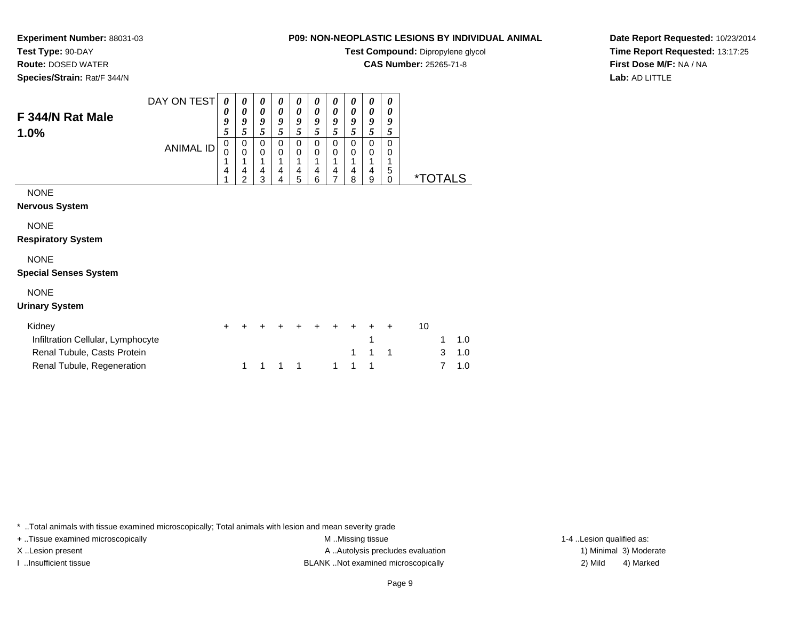# **Test Type:** 90-DAY

**Route:** DOSED WATER

**Species/Strain:** Rat/F 344/N

# **P09: NON-NEOPLASTIC LESIONS BY INDIVIDUAL ANIMAL**

**Test Compound:** Dipropylene glycol

**CAS Number:** 25265-71-8

**Date Report Requested:** 10/23/2014**Time Report Requested:** 13:17:25**First Dose M/F:** NA / NA**Lab:** AD LITTLE

| F 344/N Rat Male<br>1.0%                                                   | DAY ON TEST<br><b>ANIMAL ID</b> | $\boldsymbol{\theta}$<br>0<br>9<br>5<br>0<br>0<br>1<br>$\overline{4}$ | 0<br>0<br>9<br>5<br>0<br>$\mathbf 0$<br>4<br>2 | 0<br>0<br>9<br>5<br>0<br>0<br>1<br>4<br>3 | 0<br>0<br>9<br>5<br>0<br>0<br>4<br>4 | 0<br>0<br>9<br>5<br>0<br>0<br>1<br>4<br>5 | 0<br>0<br>9<br>5<br>0<br>0<br>4<br>6 | 0<br>0<br>9<br>5<br>0<br>0<br>1<br>4<br>7 | 0<br>0<br>9<br>5<br>0<br>0<br>4<br>8 | 0<br>0<br>9<br>5<br>0<br>0<br>1<br>4<br>9 | 0<br>0<br>9<br>5<br>$\Omega$<br>0<br>5<br>0 | <i><b>*TOTALS</b></i> |            |  |
|----------------------------------------------------------------------------|---------------------------------|-----------------------------------------------------------------------|------------------------------------------------|-------------------------------------------|--------------------------------------|-------------------------------------------|--------------------------------------|-------------------------------------------|--------------------------------------|-------------------------------------------|---------------------------------------------|-----------------------|------------|--|
| <b>NONE</b><br>Nervous System                                              |                                 |                                                                       |                                                |                                           |                                      |                                           |                                      |                                           |                                      |                                           |                                             |                       |            |  |
| <b>NONE</b><br><b>Respiratory System</b>                                   |                                 |                                                                       |                                                |                                           |                                      |                                           |                                      |                                           |                                      |                                           |                                             |                       |            |  |
| <b>NONE</b><br><b>Special Senses System</b>                                |                                 |                                                                       |                                                |                                           |                                      |                                           |                                      |                                           |                                      |                                           |                                             |                       |            |  |
| <b>NONE</b><br>Urinary System                                              |                                 |                                                                       |                                                |                                           |                                      |                                           |                                      |                                           |                                      |                                           |                                             |                       |            |  |
| Kidney<br>Infiltration Cellular, Lymphocyte<br>Renal Tubule, Casts Protein |                                 | +                                                                     |                                                |                                           |                                      |                                           |                                      |                                           | 1                                    | +<br>1                                    | +<br>1                                      | 10<br>3               | 1.0<br>1.0 |  |

\* ..Total animals with tissue examined microscopically; Total animals with lesion and mean severity grade

Renal Tubule, Regeneration

+ ..Tissue examined microscopically examined microscopically examined as:  $M$  ..Missing tissue 1-4 ..Lesion qualified as: X..Lesion present **A ..Autolysis precludes evaluation** A ..Autolysis precludes evaluation 1) Minimal 3) Moderate I ..Insufficient tissue BLANK ..Not examined microscopically 2) Mild 4) Marked

<sup>1</sup> <sup>1</sup> <sup>1</sup> <sup>1</sup> <sup>1</sup> <sup>1</sup> <sup>1</sup> <sup>7</sup> 1.0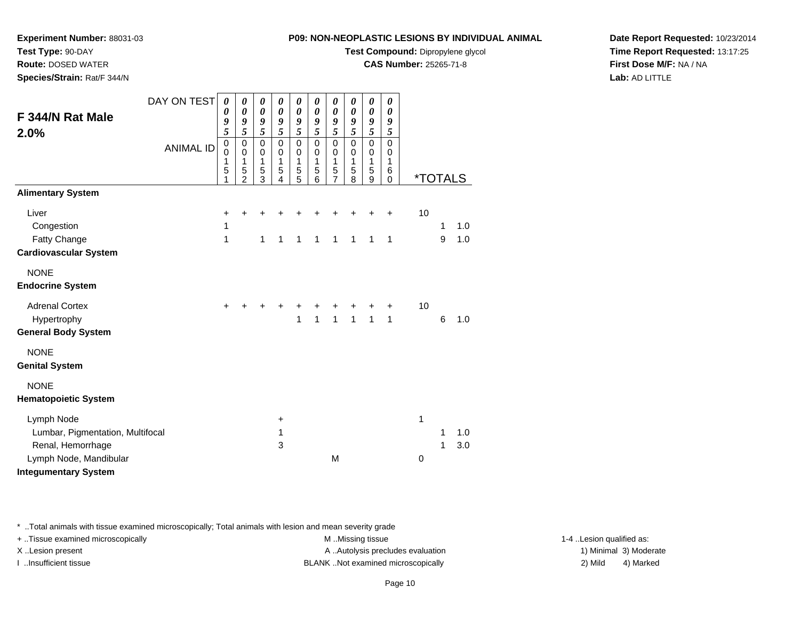**Test Compound:** Dipropylene glycol

**CAS Number:** 25265-71-8

**Date Report Requested:** 10/23/2014**Time Report Requested:** 13:17:25**First Dose M/F:** NA / NA**Lab:** AD LITTLE

| Species/Strain: Rat/F 344/N                                                                   |                                 |                                                |                                                                                                 |                                                                                                  |                                                                                                                |                                                                  |                                                                                                                         |                                                                                      |                                                                                      |                                                           |                                                          |                       |        |            |  |
|-----------------------------------------------------------------------------------------------|---------------------------------|------------------------------------------------|-------------------------------------------------------------------------------------------------|--------------------------------------------------------------------------------------------------|----------------------------------------------------------------------------------------------------------------|------------------------------------------------------------------|-------------------------------------------------------------------------------------------------------------------------|--------------------------------------------------------------------------------------|--------------------------------------------------------------------------------------|-----------------------------------------------------------|----------------------------------------------------------|-----------------------|--------|------------|--|
| F 344/N Rat Male<br>2.0%                                                                      | DAY ON TEST<br><b>ANIMAL ID</b> | 0<br>0<br>9<br>5<br>$\mathbf 0$<br>0<br>1<br>5 | 0<br>$\boldsymbol{\theta}$<br>9<br>5<br>$\pmb{0}$<br>$\pmb{0}$<br>$\mathbf{1}$<br>$\frac{5}{2}$ | 0<br>$\boldsymbol{\theta}$<br>9<br>5<br>$\mathsf 0$<br>$\pmb{0}$<br>$\mathbf 1$<br>$\frac{5}{3}$ | 0<br>$\boldsymbol{\theta}$<br>9<br>$\overline{\mathbf{5}}$<br>$\mathsf 0$<br>$\mathbf 0$<br>1<br>$\frac{5}{4}$ | 0<br>0<br>9<br>$\overline{5}$<br>$\mathbf 0$<br>0<br>1<br>5<br>5 | $\boldsymbol{\theta}$<br>$\boldsymbol{\theta}$<br>9<br>$\overline{5}$<br>$\pmb{0}$<br>$\mathbf 0$<br>1<br>$\frac{5}{6}$ | 0<br>$\boldsymbol{\theta}$<br>9<br>5<br>$\pmb{0}$<br>$\pmb{0}$<br>1<br>$\frac{5}{7}$ | 0<br>$\boldsymbol{\theta}$<br>9<br>5<br>$\pmb{0}$<br>$\pmb{0}$<br>1<br>$\frac{5}{8}$ | 0<br>0<br>9<br>5<br>$\mathbf 0$<br>0<br>$\mathbf{1}$<br>5 | 0<br>0<br>9<br>5<br>$\mathbf 0$<br>$\mathbf 0$<br>1<br>6 |                       |        |            |  |
| <b>Alimentary System</b>                                                                      |                                 | 1                                              |                                                                                                 |                                                                                                  |                                                                                                                |                                                                  |                                                                                                                         |                                                                                      |                                                                                      | $\boldsymbol{9}$                                          | 0                                                        | <i><b>*TOTALS</b></i> |        |            |  |
| Liver<br>Congestion<br><b>Fatty Change</b><br><b>Cardiovascular System</b>                    |                                 | $\ddot{}$<br>1<br>1                            | $\div$                                                                                          | +<br>1                                                                                           | +<br>1                                                                                                         | +<br>1                                                           | 1                                                                                                                       | $\mathbf{1}$                                                                         | $\mathbf{1}$                                                                         | +<br>1                                                    | $\ddot{}$<br>1                                           | 10                    | 1<br>9 | 1.0<br>1.0 |  |
| <b>NONE</b>                                                                                   |                                 |                                                |                                                                                                 |                                                                                                  |                                                                                                                |                                                                  |                                                                                                                         |                                                                                      |                                                                                      |                                                           |                                                          |                       |        |            |  |
| <b>Endocrine System</b>                                                                       |                                 |                                                |                                                                                                 |                                                                                                  |                                                                                                                |                                                                  |                                                                                                                         |                                                                                      |                                                                                      |                                                           |                                                          |                       |        |            |  |
| <b>Adrenal Cortex</b><br>Hypertrophy<br><b>General Body System</b>                            |                                 | $\ddot{}$                                      |                                                                                                 |                                                                                                  |                                                                                                                | 1                                                                | $\overline{1}$                                                                                                          | $\mathbf{1}$                                                                         | $\overline{1}$                                                                       | $\overline{1}$                                            | +<br>$\mathbf{1}$                                        | 10                    | 6      | 1.0        |  |
| <b>NONE</b><br><b>Genital System</b>                                                          |                                 |                                                |                                                                                                 |                                                                                                  |                                                                                                                |                                                                  |                                                                                                                         |                                                                                      |                                                                                      |                                                           |                                                          |                       |        |            |  |
| <b>NONE</b><br><b>Hematopoietic System</b>                                                    |                                 |                                                |                                                                                                 |                                                                                                  |                                                                                                                |                                                                  |                                                                                                                         |                                                                                      |                                                                                      |                                                           |                                                          |                       |        |            |  |
| Lymph Node<br>Lumbar, Pigmentation, Multifocal<br>Renal, Hemorrhage<br>Lymph Node, Mandibular |                                 |                                                |                                                                                                 |                                                                                                  | +<br>1<br>3                                                                                                    |                                                                  |                                                                                                                         | M                                                                                    |                                                                                      |                                                           |                                                          | 1<br>0                | 1<br>1 | 1.0<br>3.0 |  |

**Experiment Number:** 88031-03

**Test Type:** 90-DAY**Route:** DOSED WATER

\* ..Total animals with tissue examined microscopically; Total animals with lesion and mean severity grade

+ ..Tissue examined microscopically examined microscopically examined as:  $M$  ..Missing tissue 1-4 ..Lesion qualified as: X..Lesion present **A ..Autolysis precludes evaluation** A ..Autolysis precludes evaluation 1) Minimal 3) Moderate

I ..Insufficient tissue BLANK ..Not examined microscopically 2) Mild 4) Marked

**Integumentary System**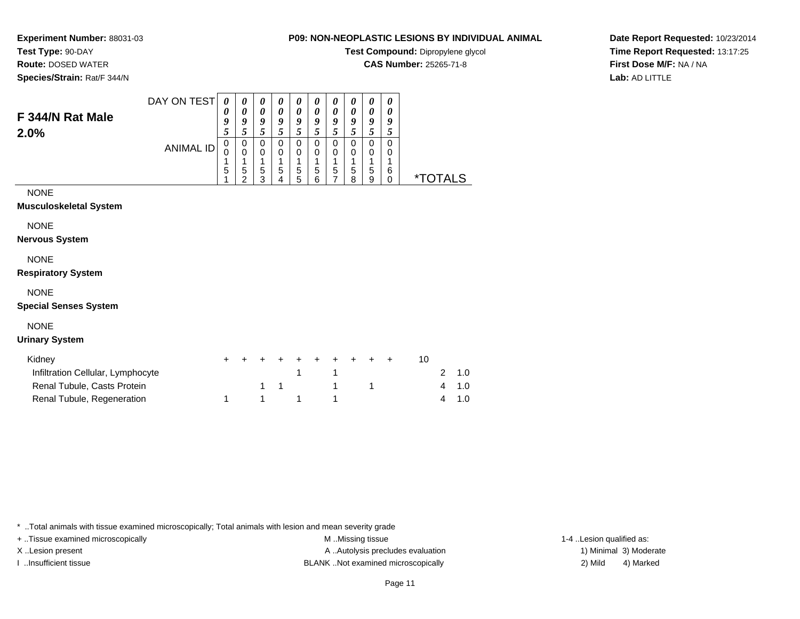**Test Type:** 90-DAY

**Route:** DOSED WATER

**F 344/N Rat Male**

**Species/Strain:** Rat/F 344/N

# **P09: NON-NEOPLASTIC LESIONS BY INDIVIDUAL ANIMAL**

**Test Compound:** Dipropylene glycol

**CAS Number:** 25265-71-8

**Date Report Requested:** 10/23/2014**Time Report Requested:** 13:17:25**First Dose M/F:** NA / NA**Lab:** AD LITTLE

| DAY ON TEST      | 0 | 0 | 0              | $\boldsymbol{\theta}$ | $\boldsymbol{\theta}$ | $\boldsymbol{\theta}$ | 0              | 0  | 0              | " |
|------------------|---|---|----------------|-----------------------|-----------------------|-----------------------|----------------|----|----------------|---|
|                  | U | 0 | 0              | 0                     | 0                     | 0                     | 0              | 0  | 0              |   |
|                  |   | 9 | 9              | 9                     | 9                     | 9                     | 9              | 9  | g              | u |
|                  | 5 | Ć | $\mathfrak{Z}$ | 5                     | 5                     | 5                     | $\mathfrak{Z}$ | C. | $\mathfrak{p}$ |   |
|                  | 0 | 0 | 0              | 0                     | 0                     | 0                     | 0              | 0  | 0              |   |
| <b>ANIMAL ID</b> |   | 0 | 0              | 0                     | 0                     | 0                     | 0              | 0  | 0              | U |
|                  | л | л | л              | и                     | и                     | и                     | и              | л  | л              |   |
|                  | 5 | 5 | 5              | 5                     | 5                     | 5                     | 5              | 5  | 5              | 6 |
|                  |   | ◠ | ◠              | 4                     | 5                     | 6                     |                | 8  | 9              |   |

### NONE

**2.0%**

#### **Musculoskeletal System**

NONE

**Nervous System**

### NONE

#### **Respiratory System**

# NONE

#### **Special Senses System**

# NONE

#### **Urinary System**

| Kidnev                            | + + + + + + + + + + |  |                   |  |  |  |               |
|-----------------------------------|---------------------|--|-------------------|--|--|--|---------------|
| Infiltration Cellular, Lymphocyte |                     |  | $1 \quad 1 \quad$ |  |  |  | 2 1.0         |
| Renal Tubule, Casts Protein       |                     |  | 1 1 1 1 1         |  |  |  | $4 \quad 1.0$ |
| Renal Tubule, Regeneration        | 1 1 1 1             |  |                   |  |  |  | $4 \quad 1.0$ |

\* ..Total animals with tissue examined microscopically; Total animals with lesion and mean severity grade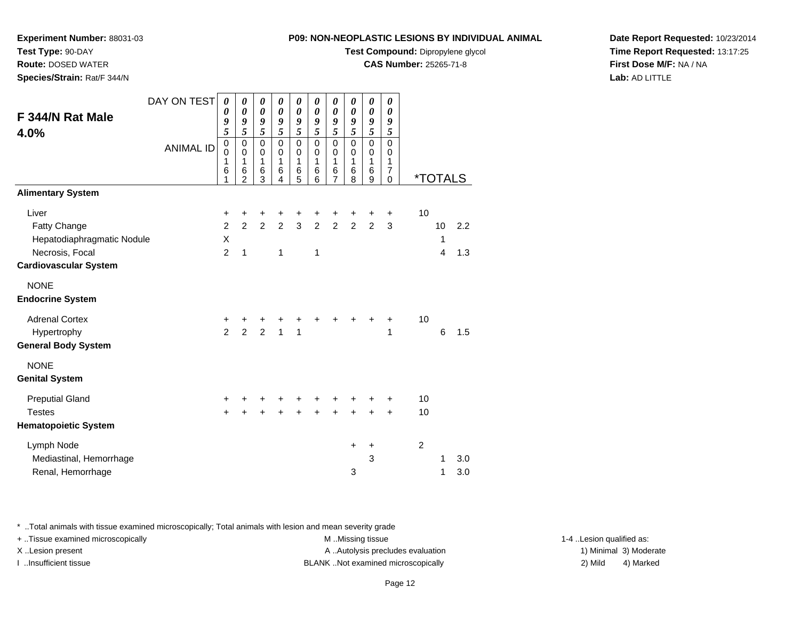**Test Compound:** Dipropylene glycol

**CAS Number:** 25265-71-8

**Date Report Requested:** 10/23/2014**Time Report Requested:** 13:17:25**First Dose M/F:** NA / NA**Lab:** AD LITTLE

| F 344/N Rat Male<br>4.0%     | DAY ON TEST<br><b>ANIMAL ID</b> | 0<br>0<br>9<br>5<br>$\mathsf 0$<br>0<br>1<br>6 | 0<br>0<br>9<br>5<br>$\pmb{0}$<br>0<br>$\mathbf{1}$<br>6 | 0<br>$\boldsymbol{\theta}$<br>9<br>5<br>0<br>0<br>$\mathbf{1}$<br>6 | 0<br>$\boldsymbol{\theta}$<br>9<br>$\overline{\mathbf{5}}$<br>$\mathbf 0$<br>$\mathbf 0$<br>$\mathbf{1}$<br>6 | 0<br>$\boldsymbol{\theta}$<br>9<br>$\overline{5}$<br>$\mathbf 0$<br>0<br>$\mathbf{1}$<br>6 | 0<br>$\boldsymbol{\theta}$<br>9<br>$\tilde{s}$<br>0<br>$\boldsymbol{0}$<br>$\mathbf{1}$<br>6 | 0<br>$\boldsymbol{\theta}$<br>9<br>$\overline{\mathbf{5}}$<br>0<br>0<br>$\mathbf{1}$<br>6 | 0<br>$\boldsymbol{\theta}$<br>$\frac{9}{5}$<br>$\pmb{0}$<br>$\pmb{0}$<br>$\mathbf{1}$<br>6 | 0<br>$\pmb{\theta}$<br>9<br>$\tilde{s}$<br>0<br>0<br>$\mathbf{1}$<br>6 | 0<br>0<br>9<br>5<br>$\mathbf 0$<br>0<br>1<br>7 |                |                       |     |
|------------------------------|---------------------------------|------------------------------------------------|---------------------------------------------------------|---------------------------------------------------------------------|---------------------------------------------------------------------------------------------------------------|--------------------------------------------------------------------------------------------|----------------------------------------------------------------------------------------------|-------------------------------------------------------------------------------------------|--------------------------------------------------------------------------------------------|------------------------------------------------------------------------|------------------------------------------------|----------------|-----------------------|-----|
|                              |                                 | 1                                              | 2                                                       | 3                                                                   | 4                                                                                                             | 5                                                                                          | 6                                                                                            | 7                                                                                         | 8                                                                                          | 9                                                                      | $\mathbf 0$                                    |                | <i><b>*TOTALS</b></i> |     |
| <b>Alimentary System</b>     |                                 |                                                |                                                         |                                                                     |                                                                                                               |                                                                                            |                                                                                              |                                                                                           |                                                                                            |                                                                        |                                                |                |                       |     |
| Liver                        |                                 | +                                              | +                                                       | +                                                                   | +                                                                                                             | $\ddot{}$                                                                                  | +                                                                                            | +                                                                                         | +                                                                                          | +                                                                      | +                                              | 10             |                       |     |
| Fatty Change                 |                                 | $\overline{c}$                                 | $\overline{2}$                                          | $\overline{2}$                                                      | $\overline{2}$                                                                                                | $\mathbf{3}$                                                                               | $\overline{2}$                                                                               | $\overline{2}$                                                                            | $\overline{2}$                                                                             | $\overline{2}$                                                         | 3                                              |                | 10                    | 2.2 |
| Hepatodiaphragmatic Nodule   |                                 | X                                              |                                                         |                                                                     |                                                                                                               |                                                                                            |                                                                                              |                                                                                           |                                                                                            |                                                                        |                                                |                | 1                     |     |
| Necrosis, Focal              |                                 | $\overline{2}$                                 | $\mathbf{1}$                                            |                                                                     | 1                                                                                                             |                                                                                            | 1                                                                                            |                                                                                           |                                                                                            |                                                                        |                                                |                | 4                     | 1.3 |
| <b>Cardiovascular System</b> |                                 |                                                |                                                         |                                                                     |                                                                                                               |                                                                                            |                                                                                              |                                                                                           |                                                                                            |                                                                        |                                                |                |                       |     |
| <b>NONE</b>                  |                                 |                                                |                                                         |                                                                     |                                                                                                               |                                                                                            |                                                                                              |                                                                                           |                                                                                            |                                                                        |                                                |                |                       |     |
| <b>Endocrine System</b>      |                                 |                                                |                                                         |                                                                     |                                                                                                               |                                                                                            |                                                                                              |                                                                                           |                                                                                            |                                                                        |                                                |                |                       |     |
| <b>Adrenal Cortex</b>        |                                 | +                                              | +                                                       | +                                                                   | +                                                                                                             | +                                                                                          |                                                                                              | +                                                                                         |                                                                                            | +                                                                      | +                                              | 10             |                       |     |
| Hypertrophy                  |                                 | $\mathfrak{p}$                                 | $\overline{2}$                                          | $\overline{2}$                                                      | $\mathbf{1}$                                                                                                  | $\mathbf{1}$                                                                               |                                                                                              |                                                                                           |                                                                                            |                                                                        | 1                                              |                | 6                     | 1.5 |
| <b>General Body System</b>   |                                 |                                                |                                                         |                                                                     |                                                                                                               |                                                                                            |                                                                                              |                                                                                           |                                                                                            |                                                                        |                                                |                |                       |     |
| <b>NONE</b>                  |                                 |                                                |                                                         |                                                                     |                                                                                                               |                                                                                            |                                                                                              |                                                                                           |                                                                                            |                                                                        |                                                |                |                       |     |
| <b>Genital System</b>        |                                 |                                                |                                                         |                                                                     |                                                                                                               |                                                                                            |                                                                                              |                                                                                           |                                                                                            |                                                                        |                                                |                |                       |     |
| <b>Preputial Gland</b>       |                                 | +                                              | ٠                                                       | ٠                                                                   | ÷                                                                                                             | ÷                                                                                          | ٠                                                                                            | +                                                                                         | +                                                                                          | +                                                                      | +                                              | 10             |                       |     |
| <b>Testes</b>                |                                 | $\ddot{}$                                      | $\ddot{}$                                               | $\ddot{}$                                                           | $\ddot{}$                                                                                                     | $\ddot{}$                                                                                  | $\ddot{}$                                                                                    | $\ddot{}$                                                                                 | $\ddot{}$                                                                                  | $\ddot{}$                                                              | $\ddot{}$                                      | 10             |                       |     |
| <b>Hematopoietic System</b>  |                                 |                                                |                                                         |                                                                     |                                                                                                               |                                                                                            |                                                                                              |                                                                                           |                                                                                            |                                                                        |                                                |                |                       |     |
| Lymph Node                   |                                 |                                                |                                                         |                                                                     |                                                                                                               |                                                                                            |                                                                                              |                                                                                           | +                                                                                          | +                                                                      |                                                | $\overline{c}$ |                       |     |
| Mediastinal, Hemorrhage      |                                 |                                                |                                                         |                                                                     |                                                                                                               |                                                                                            |                                                                                              |                                                                                           |                                                                                            | 3                                                                      |                                                |                | 1                     | 3.0 |
| Renal, Hemorrhage            |                                 |                                                |                                                         |                                                                     |                                                                                                               |                                                                                            |                                                                                              |                                                                                           | 3                                                                                          |                                                                        |                                                |                | 1                     | 3.0 |
|                              |                                 |                                                |                                                         |                                                                     |                                                                                                               |                                                                                            |                                                                                              |                                                                                           |                                                                                            |                                                                        |                                                |                |                       |     |

\* ..Total animals with tissue examined microscopically; Total animals with lesion and mean severity grade

**Experiment Number:** 88031-03

**Test Type:** 90-DAY **Route:** DOSED WATER**Species/Strain:** Rat/F 344/N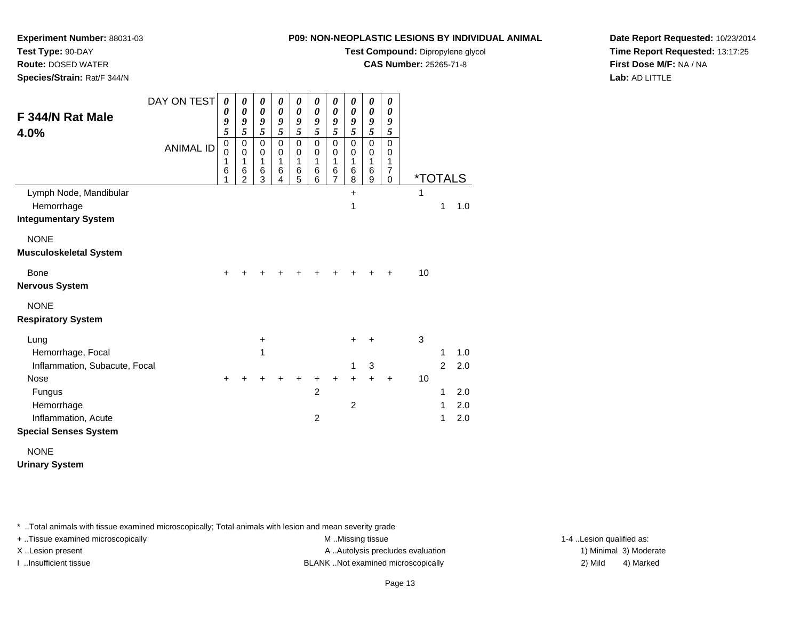**Test Compound:** Dipropylene glycol

**CAS Number:** 25265-71-8

**Date Report Requested:** 10/23/2014**Time Report Requested:** 13:17:25**First Dose M/F:** NA / NA**Lab:** AD LITTLE

| F 344/N Rat Male<br>4.0%                                            | DAY ON TEST      | 0<br>0<br>9<br>$\overline{\mathbf{5}}$ | 0<br>0<br>9<br>5                   | 0<br>$\boldsymbol{\theta}$<br>9<br>$\overline{\mathbf{5}}$ | 0<br>$\boldsymbol{\theta}$<br>9<br>5 | 0<br>$\boldsymbol{\theta}$<br>9<br>$\overline{\mathbf{5}}$ | 0<br>$\boldsymbol{\theta}$<br>9<br>5 | 0<br>$\pmb{\theta}$<br>9<br>$\overline{\mathbf{5}}$ | 0<br>0<br>9<br>5                | 0<br>$\boldsymbol{\theta}$<br>9<br>$\overline{\mathbf{5}}$ | 0<br>0<br>9<br>5                                 |    |                       |     |
|---------------------------------------------------------------------|------------------|----------------------------------------|------------------------------------|------------------------------------------------------------|--------------------------------------|------------------------------------------------------------|--------------------------------------|-----------------------------------------------------|---------------------------------|------------------------------------------------------------|--------------------------------------------------|----|-----------------------|-----|
|                                                                     | <b>ANIMAL ID</b> | $\mathbf 0$<br>0<br>1<br>6<br>1        | 0<br>0<br>1<br>6<br>$\overline{2}$ | $\mathbf 0$<br>0<br>1<br>6<br>3                            | $\mathbf 0$<br>0<br>1<br>6<br>4      | $\mathbf 0$<br>0<br>1<br>6<br>5                            | $\mathbf 0$<br>0<br>1<br>6<br>6      | 0<br>0<br>1<br>6<br>$\overline{7}$                  | $\mathbf 0$<br>0<br>1<br>6<br>8 | $\mathbf 0$<br>0<br>1<br>6<br>9                            | $\Omega$<br>0<br>1<br>$\overline{7}$<br>$\Omega$ |    | <i><b>*TOTALS</b></i> |     |
| Lymph Node, Mandibular<br>Hemorrhage<br><b>Integumentary System</b> |                  |                                        |                                    |                                                            |                                      |                                                            |                                      |                                                     | $\ddot{}$<br>1                  |                                                            |                                                  | 1  | 1                     | 1.0 |
| <b>NONE</b><br><b>Musculoskeletal System</b>                        |                  |                                        |                                    |                                                            |                                      |                                                            |                                      |                                                     |                                 |                                                            |                                                  |    |                       |     |
| Bone<br><b>Nervous System</b>                                       |                  | $\ddot{}$                              |                                    |                                                            |                                      |                                                            |                                      |                                                     |                                 |                                                            |                                                  | 10 |                       |     |
| <b>NONE</b><br><b>Respiratory System</b>                            |                  |                                        |                                    |                                                            |                                      |                                                            |                                      |                                                     |                                 |                                                            |                                                  |    |                       |     |
| Lung                                                                |                  |                                        |                                    | $\ddot{}$                                                  |                                      |                                                            |                                      |                                                     | +                               | +                                                          |                                                  | 3  |                       |     |
| Hemorrhage, Focal                                                   |                  |                                        |                                    | 1                                                          |                                      |                                                            |                                      |                                                     |                                 |                                                            |                                                  |    | 1                     | 1.0 |
| Inflammation, Subacute, Focal                                       |                  |                                        |                                    |                                                            |                                      |                                                            |                                      |                                                     | 1                               | $\mathbf{3}$                                               |                                                  |    | $\overline{2}$        | 2.0 |
| <b>Nose</b><br>Fungus                                               |                  | $\ddot{}$                              |                                    |                                                            |                                      |                                                            | +<br>$\overline{c}$                  | +                                                   | $\ddot{}$                       | $\ddot{}$                                                  | $\ddot{}$                                        | 10 | 1                     | 2.0 |
| Hemorrhage                                                          |                  |                                        |                                    |                                                            |                                      |                                                            |                                      |                                                     | $\overline{2}$                  |                                                            |                                                  |    | 1                     | 2.0 |
| Inflammation, Acute                                                 |                  |                                        |                                    |                                                            |                                      |                                                            | $\overline{c}$                       |                                                     |                                 |                                                            |                                                  |    | 1                     | 2.0 |
| <b>Special Senses System</b>                                        |                  |                                        |                                    |                                                            |                                      |                                                            |                                      |                                                     |                                 |                                                            |                                                  |    |                       |     |
| <b>NONE</b>                                                         |                  |                                        |                                    |                                                            |                                      |                                                            |                                      |                                                     |                                 |                                                            |                                                  |    |                       |     |

**Urinary System**

\* ..Total animals with tissue examined microscopically; Total animals with lesion and mean severity grade

**Experiment Number:** 88031-03

**Test Type:** 90-DAY **Route:** DOSED WATER**Species/Strain:** Rat/F 344/N

+ ..Tissue examined microscopically examined microscopically examined as:  $M$  ..Missing tissue 1-4 ..Lesion qualified as: X..Lesion present **A ..Autolysis precludes evaluation** A ..Autolysis precludes evaluation 1) Minimal 3) Moderate

I ..Insufficient tissue BLANK ..Not examined microscopically 2) Mild 4) Marked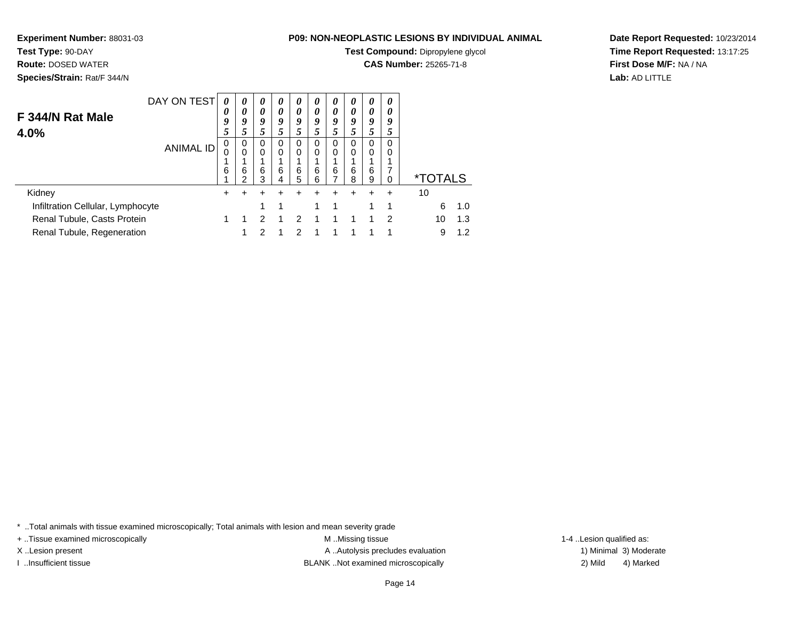# **Test Type:** 90-DAY

**Route:** DOSED WATER

**Species/Strain:** Rat/F 344/N

# **P09: NON-NEOPLASTIC LESIONS BY INDIVIDUAL ANIMAL**

**Test Compound:** Dipropylene glycol

**CAS Number:** 25265-71-8

**Date Report Requested:** 10/23/2014**Time Report Requested:** 13:17:25**First Dose M/F:** NA / NA**Lab:** AD LITTLE

| F 344/N Rat Male<br>4.0%                                  | DAY ON TEST      | 0<br>0<br>9<br>5 | $\boldsymbol{\theta}$<br>0<br>9<br>5 | $\boldsymbol{\theta}$<br>$\boldsymbol{\theta}$<br>9<br>5 | 0<br>0<br>9<br>5 | $\boldsymbol{\theta}$<br>0<br>9<br>5 | 0<br>0<br>9      | 0<br>0<br>9<br>5 | 0<br>0<br>9<br>J. | 0<br>0<br>9<br>5 | 0<br>0<br>9<br>5 |                       |            |
|-----------------------------------------------------------|------------------|------------------|--------------------------------------|----------------------------------------------------------|------------------|--------------------------------------|------------------|------------------|-------------------|------------------|------------------|-----------------------|------------|
|                                                           | <b>ANIMAL ID</b> | 0<br>6           | 0<br>0<br>6<br>າ                     | 0<br>$\Omega$<br>6<br>3                                  | 0<br>0<br>6<br>4 | 0<br>0<br>6<br>5                     | 0<br>0<br>6<br>6 | 0<br>0<br>6      | 0<br>0<br>6<br>8  | 0<br>0<br>6<br>9 | 0<br>0<br>7<br>0 | <i><b>*TOTALS</b></i> |            |
| Kidney                                                    |                  | +                |                                      |                                                          |                  |                                      |                  |                  |                   |                  |                  | 10                    |            |
| Infiltration Cellular, Lymphocyte                         |                  |                  |                                      |                                                          | 1                |                                      |                  | 1                |                   |                  | 1                | 6                     | 1.0        |
| Renal Tubule, Casts Protein<br>Renal Tubule, Regeneration |                  |                  |                                      | າ                                                        |                  | 2<br>າ                               |                  |                  |                   |                  | 2<br>4           | 10<br>9               | 1.3<br>1.2 |

\* ..Total animals with tissue examined microscopically; Total animals with lesion and mean severity grade

+ ..Tissue examined microscopically M ...Missing tissue 1-4 ... M ...Missing tissue

X..Lesion present **A ..Autolysis precludes evaluation** A ..Autolysis precludes evaluation 1) Minimal 3) Moderate I ..Insufficient tissue BLANK ..Not examined microscopically 2) Mild 4) Marked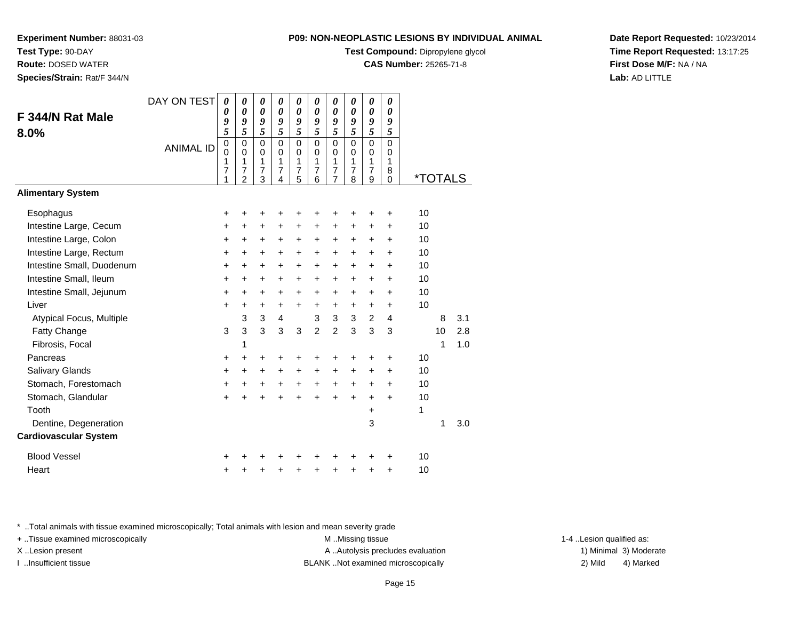**Test Compound:** Dipropylene glycol

**CAS Number:** 25265-71-8

**Date Report Requested:** 10/23/2014**Time Report Requested:** 13:17:25**First Dose M/F:** NA / NA**Lab:** AD LITTLE

\* ..Total animals with tissue examined microscopically; Total animals with lesion and mean severity grade

| F 344/N Rat Male                                     | DAY ON TEST      | $\boldsymbol{\theta}$<br>0<br>9<br>$\overline{5}$ | $\boldsymbol{\theta}$<br>$\boldsymbol{\theta}$<br>9<br>5         | $\boldsymbol{\theta}$<br>$\boldsymbol{\theta}$<br>9<br>5 | $\pmb{\theta}$<br>0<br>9<br>5          | 0<br>$\pmb{\theta}$<br>9<br>$\overline{\mathbf{5}}$ | $\boldsymbol{\theta}$<br>$\boldsymbol{\theta}$<br>9<br>$\overline{5}$ | 0<br>$\boldsymbol{\theta}$<br>9<br>$\overline{5}$      | $\boldsymbol{\theta}$<br>$\boldsymbol{\theta}$<br>9<br>$\overline{\mathbf{5}}$ | 0<br>$\boldsymbol{\theta}$<br>9<br>$\overline{\mathbf{5}}$ | 0<br>0<br>9<br>5                       |                       |    |     |
|------------------------------------------------------|------------------|---------------------------------------------------|------------------------------------------------------------------|----------------------------------------------------------|----------------------------------------|-----------------------------------------------------|-----------------------------------------------------------------------|--------------------------------------------------------|--------------------------------------------------------------------------------|------------------------------------------------------------|----------------------------------------|-----------------------|----|-----|
| 8.0%                                                 | <b>ANIMAL ID</b> | $\pmb{0}$<br>0<br>1<br>7<br>1                     | $\mathbf 0$<br>$\Omega$<br>1<br>$\overline{7}$<br>$\mathfrak{p}$ | $\mathbf 0$<br>$\mathbf 0$<br>1<br>7<br>3                | $\mathbf 0$<br>$\Omega$<br>1<br>7<br>4 | 0<br>0<br>1<br>7<br>5                               | $\mathbf 0$<br>0<br>1<br>7<br>6                                       | $\mathbf 0$<br>$\mathbf 0$<br>1<br>7<br>$\overline{7}$ | $\mathbf 0$<br>0<br>1<br>7<br>8                                                | $\mathbf 0$<br>0<br>1<br>7<br>9                            | $\mathbf 0$<br>0<br>1<br>8<br>$\Omega$ | <i><b>*TOTALS</b></i> |    |     |
| <b>Alimentary System</b>                             |                  |                                                   |                                                                  |                                                          |                                        |                                                     |                                                                       |                                                        |                                                                                |                                                            |                                        |                       |    |     |
| Esophagus<br>Intestine Large, Cecum                  |                  | +<br>+                                            | ٠<br>+                                                           | +<br>+                                                   | ٠<br>+                                 | ٠<br>+                                              | ٠<br>$\ddot{}$                                                        | ٠<br>+                                                 | $\ddot{}$                                                                      | +<br>+                                                     | ٠<br>+                                 | 10<br>10              |    |     |
| Intestine Large, Colon                               |                  | $\ddot{}$                                         | +                                                                | $\ddot{}$                                                | +                                      | $\ddot{}$                                           | $\ddot{}$                                                             | +                                                      | $\ddot{}$                                                                      | $\ddot{}$                                                  | +                                      | 10                    |    |     |
| Intestine Large, Rectum<br>Intestine Small, Duodenum |                  | +<br>+                                            | +<br>+                                                           | +<br>$\ddot{}$                                           | $\pm$<br>$\pm$                         | +<br>+                                              | $\ddot{}$<br>$\ddot{}$                                                | +<br>$\ddot{}$                                         | $\ddot{}$<br>$\ddot{}$                                                         | $\pm$<br>$\ddot{}$                                         | $\pm$<br>$\pm$                         | 10<br>10              |    |     |
| Intestine Small, Ileum<br>Intestine Small, Jejunum   |                  | $\ddot{}$<br>$\ddot{}$                            | $\ddot{}$<br>$\ddot{}$                                           | $\ddot{}$<br>$\ddot{}$                                   | $\ddot{}$<br>$\pm$                     | $\ddot{}$<br>+                                      | $\ddot{}$<br>$\ddot{}$                                                | $\ddot{}$<br>+                                         | $\ddot{}$<br>$\ddot{}$                                                         | $\ddot{}$<br>$\ddot{}$                                     | $\ddot{}$<br>$\pm$                     | 10<br>10              |    |     |
| Liver                                                |                  | $\ddot{}$                                         | +                                                                | +<br>3                                                   | +<br>4                                 | +                                                   | +<br>3                                                                | +<br>$\mathfrak{S}$                                    | +<br>$\mathbf{3}$                                                              | +                                                          | +                                      | 10                    | 8  | 3.1 |
| Atypical Focus, Multiple<br>Fatty Change             |                  | 3                                                 | 3<br>3                                                           | 3                                                        | 3                                      | 3                                                   | $\mathfrak{p}$                                                        | $\overline{2}$                                         | 3                                                                              | $\overline{c}$<br>3                                        | 4<br>3                                 |                       | 10 | 2.8 |
| Fibrosis, Focal<br>Pancreas                          |                  | +                                                 | 1<br>+                                                           | +                                                        | +                                      | +                                                   | +                                                                     | +                                                      |                                                                                | +                                                          | +                                      | 10                    | 1  | 1.0 |
| Salivary Glands<br>Stomach, Forestomach              |                  | +<br>+                                            | $\ddot{}$<br>+                                                   | $\ddot{}$<br>$\ddot{}$                                   | $\ddot{}$<br>+                         | $\ddot{}$<br>+                                      | $\ddot{}$<br>$\ddot{}$                                                | $\ddot{}$<br>$\ddot{}$                                 | $\ddot{}$<br>$\ddot{}$                                                         | $\pm$<br>$\ddot{}$                                         | $\pm$<br>$\pm$                         | 10<br>10              |    |     |
| Stomach, Glandular                                   |                  | $\ddot{}$                                         | $\ddot{}$                                                        | $\ddot{}$                                                | $\ddot{}$                              | $\ddot{}$                                           | ÷                                                                     | $\ddot{}$                                              | $\ddot{}$                                                                      | $\ddot{}$                                                  | $\ddot{}$                              | 10                    |    |     |
| Tooth<br>Dentine, Degeneration                       |                  |                                                   |                                                                  |                                                          |                                        |                                                     |                                                                       |                                                        |                                                                                | $\pm$<br>3                                                 |                                        | 1                     | 1  | 3.0 |
| <b>Cardiovascular System</b>                         |                  |                                                   |                                                                  |                                                          |                                        |                                                     |                                                                       |                                                        |                                                                                |                                                            |                                        |                       |    |     |
| <b>Blood Vessel</b>                                  |                  | +                                                 |                                                                  |                                                          |                                        |                                                     |                                                                       |                                                        |                                                                                |                                                            | +                                      | 10                    |    |     |
| Heart                                                |                  | +                                                 | +                                                                | +                                                        | +                                      | +                                                   | +                                                                     | +                                                      | +                                                                              | +                                                          | $\ddot{}$                              | 10                    |    |     |

+ ..Tissue examined microscopically examined microscopically examined as:  $M$  ..Missing tissue 1-4 ..Lesion qualified as:

**Experiment Number:** 88031-03

**Test Type:** 90-DAY **Route:** DOSED WATER**Species/Strain:** Rat/F 344/N



X..Lesion present **A ..Autolysis precludes evaluation** A ..Autolysis precludes evaluation 1) Minimal 3) Moderate I ..Insufficient tissue BLANK ..Not examined microscopically 2) Mild 4) Marked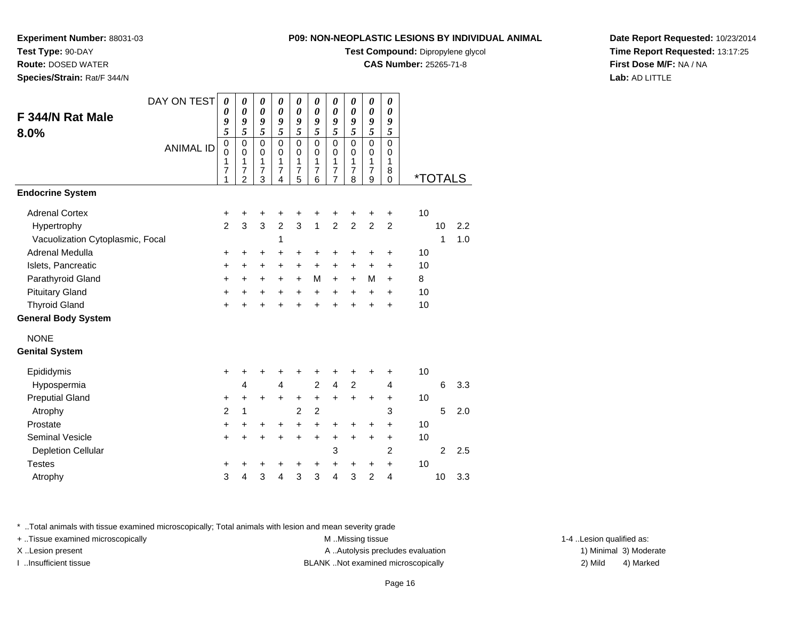**Test Compound:** Dipropylene glycol

**CAS Number:** 25265-71-8

**Date Report Requested:** 10/23/2014**Time Report Requested:** 13:17:25**First Dose M/F:** NA / NA**Lab:** AD LITTLE

|                                                 | DAY ON TEST      | $\boldsymbol{\theta}$              | 0                                                                      | 0                                                           | 0                                                                           | 0                               | 0                                                      | 0                                                           | 0                                            | 0                                                    | 0                                           |          |                       |            |
|-------------------------------------------------|------------------|------------------------------------|------------------------------------------------------------------------|-------------------------------------------------------------|-----------------------------------------------------------------------------|---------------------------------|--------------------------------------------------------|-------------------------------------------------------------|----------------------------------------------|------------------------------------------------------|---------------------------------------------|----------|-----------------------|------------|
| F 344/N Rat Male                                |                  | 0<br>9                             | $\boldsymbol{\theta}$<br>9                                             | $\boldsymbol{\theta}$<br>9                                  | $\boldsymbol{\theta}$<br>9                                                  | 0<br>9                          | $\boldsymbol{\theta}$<br>9                             | $\boldsymbol{\theta}$<br>9                                  | $\boldsymbol{\theta}$<br>9                   | $\boldsymbol{\theta}$<br>9                           | $\boldsymbol{\theta}$<br>9                  |          |                       |            |
| $8.0\%$                                         | <b>ANIMAL ID</b> | 5<br>$\pmb{0}$<br>0<br>1<br>7<br>1 | 5<br>$\pmb{0}$<br>$\mathbf 0$<br>1<br>$\overline{7}$<br>$\overline{2}$ | 5<br>$\mathbf 0$<br>$\mathbf 0$<br>1<br>$\overline{7}$<br>3 | 5<br>$\overline{0}$<br>$\mathbf 0$<br>1<br>$\overline{7}$<br>$\overline{4}$ | 5<br>$\mathbf 0$<br>0<br>1<br>7 | 5<br>$\mathbf 0$<br>$\mathbf 0$<br>1<br>$\overline{7}$ | 5<br>$\mathbf 0$<br>$\mathbf 0$<br>1<br>$\overline{7}$<br>7 | 5<br>$\mathbf 0$<br>0<br>1<br>$\overline{7}$ | 5<br>$\mathbf 0$<br>$\pmb{0}$<br>1<br>$\overline{7}$ | 5<br>$\mathbf 0$<br>0<br>1<br>8<br>$\Omega$ |          | <i><b>*TOTALS</b></i> |            |
| <b>Endocrine System</b>                         |                  |                                    |                                                                        |                                                             |                                                                             | 5                               | 6                                                      |                                                             | 8                                            | 9                                                    |                                             |          |                       |            |
| <b>Adrenal Cortex</b>                           |                  | +                                  | +                                                                      | +                                                           | +                                                                           | +                               | +                                                      | +                                                           | +                                            | +                                                    | $\ddot{}$                                   | 10       |                       |            |
| Hypertrophy<br>Vacuolization Cytoplasmic, Focal |                  | $\overline{2}$                     | 3                                                                      | 3                                                           | $\overline{2}$<br>1                                                         | 3                               | 1                                                      | $\overline{2}$                                              | $\overline{2}$                               | $\overline{2}$                                       | $\overline{2}$                              |          | 10<br>1               | 2.2<br>1.0 |
| Adrenal Medulla<br>Islets, Pancreatic           |                  | +<br>+                             | $\ddot{}$                                                              | +<br>$\pm$                                                  | +<br>$\ddot{}$                                                              | +<br>$\pm$                      | +<br>$\ddot{}$                                         | +<br>+                                                      | +<br>+                                       | +<br>+                                               | +<br>$\pm$                                  | 10<br>10 |                       |            |
| Parathyroid Gland                               |                  | $\ddot{}$                          | $\ddot{}$                                                              | +                                                           | $\ddot{}$                                                                   | $\ddot{}$                       | M                                                      | +                                                           | $\ddot{}$                                    | M                                                    | +                                           | 8        |                       |            |
| <b>Pituitary Gland</b><br><b>Thyroid Gland</b>  |                  | +<br>$\ddot{}$                     |                                                                        | +<br>$\ddot{}$                                              | $\ddot{}$<br>$\ddot{}$                                                      | $\ddot{}$<br>$\ddot{}$          | $\ddot{}$<br>$\ddot{}$                                 | $\ddot{}$<br>$\ddot{}$                                      | $\ddot{}$<br>$\ddot{}$                       | $\ddot{}$<br>+                                       | +<br>$\pm$                                  | 10<br>10 |                       |            |
| <b>General Body System</b>                      |                  |                                    |                                                                        |                                                             |                                                                             |                                 |                                                        |                                                             |                                              |                                                      |                                             |          |                       |            |
| <b>NONE</b>                                     |                  |                                    |                                                                        |                                                             |                                                                             |                                 |                                                        |                                                             |                                              |                                                      |                                             |          |                       |            |
| <b>Genital System</b>                           |                  |                                    |                                                                        |                                                             |                                                                             |                                 |                                                        |                                                             |                                              |                                                      |                                             |          |                       |            |
| Epididymis<br>Hypospermia                       |                  | $\ddot{}$                          | ٠<br>4                                                                 | +                                                           | +<br>4                                                                      | ٠                               | +<br>$\overline{c}$                                    | +<br>$\overline{\mathbf{4}}$                                | +<br>$\overline{c}$                          | ٠                                                    | +<br>4                                      | 10       | 6                     | 3.3        |
| <b>Preputial Gland</b>                          |                  | +                                  | +                                                                      | +                                                           | +                                                                           | +                               | +                                                      | $\ddot{}$                                                   | +                                            | $\ddot{}$                                            | +                                           | 10       |                       |            |
| Atrophy                                         |                  | $\overline{2}$                     | $\mathbf{1}$                                                           |                                                             |                                                                             | $\overline{2}$                  | $\overline{2}$                                         |                                                             |                                              |                                                      | 3                                           |          | 5                     | 2.0        |
| Prostate<br><b>Seminal Vesicle</b>              |                  | $\ddot{}$                          | +                                                                      | +                                                           | +                                                                           | +                               | +                                                      | +                                                           | +                                            | +                                                    | +                                           | 10<br>10 |                       |            |
| <b>Depletion Cellular</b>                       |                  | $\ddot{}$                          | $\ddot{}$                                                              | +                                                           | $\ddot{}$                                                                   | $\ddot{}$                       | $\ddot{}$                                              | +<br>3                                                      | +                                            | +                                                    | +<br>$\overline{2}$                         |          | $\overline{2}$        | 2.5        |
| <b>Testes</b>                                   |                  | +                                  |                                                                        | +                                                           | +                                                                           | +                               | +                                                      | +                                                           | +                                            | +                                                    | $\ddot{}$                                   | 10       |                       |            |
| Atrophy                                         |                  | 3                                  | 4                                                                      | 3                                                           | 4                                                                           | 3                               | 3                                                      | 4                                                           | 3                                            | $\overline{c}$                                       | 4                                           |          | 10                    | 3.3        |

\* ..Total animals with tissue examined microscopically; Total animals with lesion and mean severity grade

+ ..Tissue examined microscopically M ...Missing tissue 1-4 ... M ...Missing tissue

**Experiment Number:** 88031-03

**Test Type:** 90-DAY **Route:** DOSED WATER**Species/Strain:** Rat/F 344/N

X..Lesion present **A ..Autolysis precludes evaluation** A ..Autolysis precludes evaluation 1) Minimal 3) Moderate I ..Insufficient tissue BLANK ..Not examined microscopically 2) Mild 4) Marked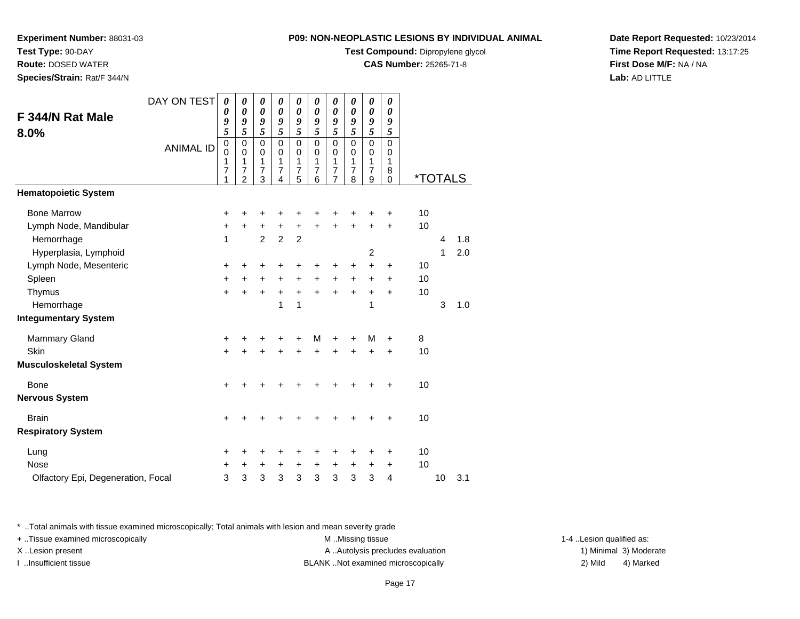**Test Compound:** Dipropylene glycol

**CAS Number:** 25265-71-8

**Date Report Requested:** 10/23/2014**Time Report Requested:** 13:17:25**First Dose M/F:** NA / NA**Lab:** AD LITTLE

|                                    | DAY ON TEST      | 0                               | 0                                                      | 0                               | 0                                                     | 0                                         | 0                                            | 0                                                             | 0                                            | 0                                                      | 0                     |                       |    |     |  |
|------------------------------------|------------------|---------------------------------|--------------------------------------------------------|---------------------------------|-------------------------------------------------------|-------------------------------------------|----------------------------------------------|---------------------------------------------------------------|----------------------------------------------|--------------------------------------------------------|-----------------------|-----------------------|----|-----|--|
| F 344/N Rat Male                   |                  | 0<br>9                          | $\boldsymbol{\theta}$<br>9                             | $\boldsymbol{\theta}$<br>9      | $\boldsymbol{\theta}$<br>9                            | 0<br>9                                    | 0<br>9                                       | 0<br>9                                                        | 0<br>9                                       | 0<br>9                                                 | 0<br>9                |                       |    |     |  |
| 8.0%                               |                  | 5                               | 5                                                      | 5                               | 5                                                     | 5                                         | 5                                            | 5                                                             | 5                                            | 5                                                      | 5                     |                       |    |     |  |
|                                    | <b>ANIMAL ID</b> | $\mathbf 0$<br>0<br>1<br>7<br>1 | $\mathbf 0$<br>$\mathbf 0$<br>1<br>7<br>$\overline{2}$ | $\mathbf 0$<br>0<br>1<br>7<br>3 | $\mathbf 0$<br>0<br>1<br>$\overline{\mathbf{7}}$<br>4 | $\Omega$<br>0<br>1<br>$\overline{7}$<br>5 | $\mathbf 0$<br>0<br>1<br>$\overline{7}$<br>6 | $\Omega$<br>$\Omega$<br>1<br>$\overline{7}$<br>$\overline{7}$ | $\mathbf 0$<br>0<br>1<br>$\overline{7}$<br>8 | $\mathbf 0$<br>$\mathbf 0$<br>1<br>$\overline{7}$<br>9 | 0<br>0<br>1<br>8<br>0 | <i><b>*TOTALS</b></i> |    |     |  |
| <b>Hematopoietic System</b>        |                  |                                 |                                                        |                                 |                                                       |                                           |                                              |                                                               |                                              |                                                        |                       |                       |    |     |  |
| <b>Bone Marrow</b>                 |                  | $\ddot{}$                       | +                                                      | +                               | +                                                     | +                                         | +                                            | +                                                             | ٠                                            | +                                                      | +                     | 10                    |    |     |  |
| Lymph Node, Mandibular             |                  | $\ddot{}$                       | $\ddot{}$                                              | +                               | $\ddot{}$                                             | +                                         | $\ddot{}$                                    | $\ddot{}$                                                     | $\ddot{}$                                    | $\ddot{}$                                              | $\ddot{}$             | 10                    |    |     |  |
| Hemorrhage                         |                  | 1                               |                                                        | $\overline{2}$                  | $\overline{2}$                                        | $\overline{2}$                            |                                              |                                                               |                                              |                                                        |                       |                       | 4  | 1.8 |  |
| Hyperplasia, Lymphoid              |                  |                                 |                                                        |                                 |                                                       |                                           |                                              |                                                               |                                              | $\overline{c}$                                         |                       |                       | 1  | 2.0 |  |
| Lymph Node, Mesenteric             |                  | $\ddot{}$                       | +                                                      | +                               | +                                                     | +                                         | +                                            | +                                                             | +                                            | +                                                      | +                     | 10                    |    |     |  |
| Spleen                             |                  | $\ddot{}$                       | $\ddot{}$                                              | $\ddot{}$                       | $\ddot{}$                                             | $\ddot{}$                                 | $\ddot{}$                                    | +                                                             | +                                            | +                                                      | +                     | 10                    |    |     |  |
| Thymus                             |                  | $\ddot{}$                       | $\ddot{}$                                              | +                               | $\ddot{}$                                             | $\ddot{}$                                 | $\ddot{}$                                    | $\ddot{}$                                                     | $\ddot{}$                                    | $\ddot{}$                                              | +                     | 10                    |    |     |  |
| Hemorrhage                         |                  |                                 |                                                        |                                 | 1                                                     | 1                                         |                                              |                                                               |                                              | 1                                                      |                       |                       | 3  | 1.0 |  |
| <b>Integumentary System</b>        |                  |                                 |                                                        |                                 |                                                       |                                           |                                              |                                                               |                                              |                                                        |                       |                       |    |     |  |
| <b>Mammary Gland</b>               |                  | +                               | +                                                      | +                               | +                                                     | +                                         | M                                            | +                                                             | +                                            | м                                                      | +                     | 8                     |    |     |  |
| Skin                               |                  | $\ddot{}$                       |                                                        |                                 | +                                                     |                                           | $\ddot{}$                                    | +                                                             |                                              | +                                                      | $\ddot{}$             | 10                    |    |     |  |
| <b>Musculoskeletal System</b>      |                  |                                 |                                                        |                                 |                                                       |                                           |                                              |                                                               |                                              |                                                        |                       |                       |    |     |  |
| <b>Bone</b>                        |                  | +                               |                                                        |                                 |                                                       |                                           | +                                            | +                                                             |                                              |                                                        | +                     | 10                    |    |     |  |
| <b>Nervous System</b>              |                  |                                 |                                                        |                                 |                                                       |                                           |                                              |                                                               |                                              |                                                        |                       |                       |    |     |  |
| <b>Brain</b>                       |                  | $\ddot{}$                       |                                                        |                                 |                                                       |                                           |                                              |                                                               |                                              |                                                        | +                     | 10                    |    |     |  |
| <b>Respiratory System</b>          |                  |                                 |                                                        |                                 |                                                       |                                           |                                              |                                                               |                                              |                                                        |                       |                       |    |     |  |
| Lung                               |                  | +                               | +                                                      | +                               | +                                                     | +                                         | +                                            | +                                                             | +                                            | +                                                      | +                     | 10                    |    |     |  |
| <b>Nose</b>                        |                  | +                               | $\ddot{}$                                              | +                               | $\ddot{}$                                             | +                                         | $\ddot{}$                                    | +                                                             | $\ddot{}$                                    | +                                                      | $\ddot{}$             | 10                    |    |     |  |
| Olfactory Epi, Degeneration, Focal |                  | 3                               | $\ensuremath{\mathsf{3}}$                              | 3                               | 3                                                     | 3                                         | 3                                            | 3                                                             | $\mathbf{3}$                                 | 3                                                      | 4                     |                       | 10 | 3.1 |  |

**Experiment Number:** 88031-03

**Test Type:** 90-DAY **Route:** DOSED WATER**Species/Strain:** Rat/F 344/N

\* ..Total animals with tissue examined microscopically; Total animals with lesion and mean severity grade

+ ..Tissue examined microscopically examined microscopically examined as:  $M$  ..Missing tissue 1-4 ..Lesion qualified as: X..Lesion present **A ..Autolysis precludes evaluation** A ..Autolysis precludes evaluation 1) Minimal 3) Moderate I ..Insufficient tissue 2) Mild and the SLANK ..Not examined microscopically and the SLANK ... Insufficient tissue

4) Marked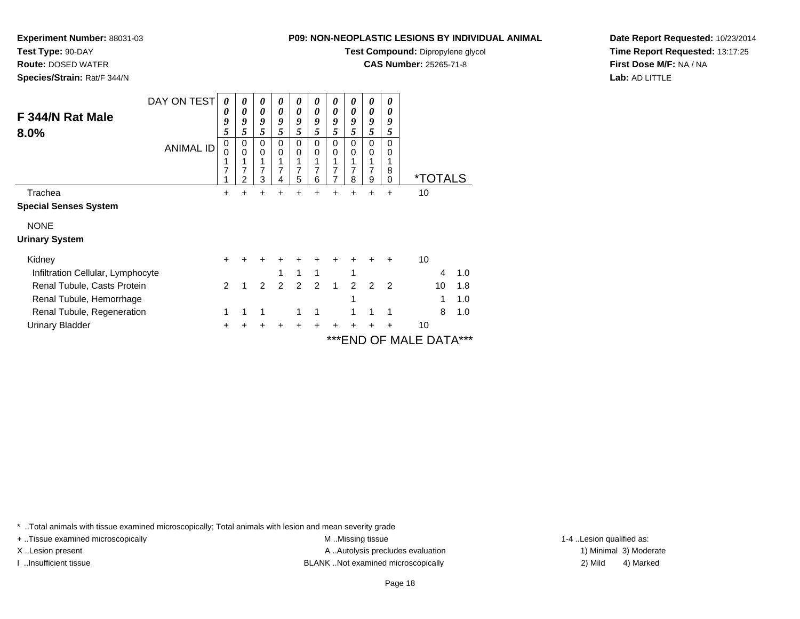**Test Compound:** Dipropylene glycol

**CAS Number:** 25265-71-8

**Date Report Requested:** 10/23/2014**Time Report Requested:** 13:17:25**First Dose M/F:** NA / NA**Lab:** AD LITTLE

| F 344/N Rat Male<br>8.0%          | DAY ON TEST<br><b>ANIMAL ID</b> | 0<br>0<br>9<br>5<br>0<br>0<br>1<br>7<br>1 | 0<br>0<br>9<br>5<br>0<br>$\Omega$<br>7<br>$\overline{2}$ | 0<br>0<br>9<br>5<br>0<br>0<br>7<br>3 | 0<br>0<br>9<br>5<br>$\Omega$<br>$\Omega$<br>7<br>4 | 0<br>$\boldsymbol{\theta}$<br>9<br>5<br>0<br>$\Omega$<br>7<br>5 | 0<br>0<br>9<br>5<br>$\mathbf 0$<br>$\Omega$<br>7<br>6 | 0<br>0<br>9<br>5<br>$\mathbf 0$<br>0<br>7<br>7 | 0<br>0<br>9<br>5<br>$\mathbf 0$<br>$\Omega$<br>7<br>8 | 0<br>0<br>9<br>5<br>0<br>0<br>1<br>7<br>9 | 0<br>0<br>9<br>5<br>$\mathbf 0$<br>0<br>1<br>8<br>$\mathbf 0$ | <i><b>*TOTALS</b></i> |     |
|-----------------------------------|---------------------------------|-------------------------------------------|----------------------------------------------------------|--------------------------------------|----------------------------------------------------|-----------------------------------------------------------------|-------------------------------------------------------|------------------------------------------------|-------------------------------------------------------|-------------------------------------------|---------------------------------------------------------------|-----------------------|-----|
| Trachea                           |                                 | $\pm$                                     | +                                                        | +                                    | +                                                  | +                                                               | ÷                                                     | ÷                                              | $\ddot{}$                                             | +                                         | $\ddot{}$                                                     | 10                    |     |
| <b>Special Senses System</b>      |                                 |                                           |                                                          |                                      |                                                    |                                                                 |                                                       |                                                |                                                       |                                           |                                                               |                       |     |
| <b>NONE</b>                       |                                 |                                           |                                                          |                                      |                                                    |                                                                 |                                                       |                                                |                                                       |                                           |                                                               |                       |     |
| <b>Urinary System</b>             |                                 |                                           |                                                          |                                      |                                                    |                                                                 |                                                       |                                                |                                                       |                                           |                                                               |                       |     |
| Kidney                            |                                 |                                           |                                                          |                                      |                                                    |                                                                 |                                                       |                                                |                                                       |                                           | +                                                             | 10                    |     |
| Infiltration Cellular, Lymphocyte |                                 |                                           |                                                          |                                      |                                                    | 1                                                               | 1                                                     |                                                | 1                                                     |                                           |                                                               | 4                     | 1.0 |
| Renal Tubule, Casts Protein       |                                 | 2                                         |                                                          | 2                                    | 2                                                  | 2                                                               | $\mathcal{P}$                                         | $\mathbf{1}$                                   | 2                                                     | $\mathcal{P}$                             | $\overline{2}$                                                | 10                    | 1.8 |
| Renal Tubule, Hemorrhage          |                                 |                                           |                                                          |                                      |                                                    |                                                                 |                                                       |                                                | 1                                                     |                                           |                                                               |                       | 1.0 |
| Renal Tubule, Regeneration        |                                 | 1                                         |                                                          |                                      |                                                    |                                                                 |                                                       |                                                |                                                       | 1                                         | 1                                                             | 8                     | 1.0 |
| <b>Urinary Bladder</b>            |                                 | +                                         |                                                          |                                      |                                                    |                                                                 |                                                       |                                                |                                                       |                                           |                                                               | 10                    |     |
|                                   |                                 |                                           |                                                          |                                      |                                                    |                                                                 |                                                       |                                                |                                                       |                                           |                                                               | *** END OF MALE DATA  |     |

\* ..Total animals with tissue examined microscopically; Total animals with lesion and mean severity grade

**Experiment Number:** 88031-03

**Test Type:** 90-DAY **Route:** DOSED WATER**Species/Strain:** Rat/F 344/N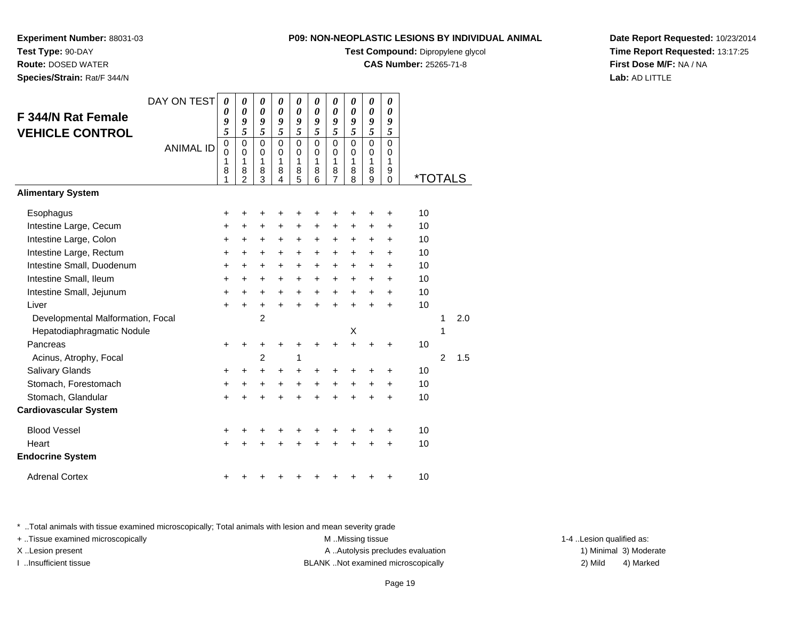**Test Compound:** Dipropylene glycol

**CAS Number:** 25265-71-8

**Date Report Requested:** 10/23/2014**Time Report Requested:** 13:17:25**First Dose M/F:** NA / NA**Lab:** AD LITTLE

|                                   | DAY ON TEST      | $\boldsymbol{\theta}$      | 0                       | 0              | 0                    | 0                          | 0                           | 0                | $\boldsymbol{\theta}$      | $\boldsymbol{\theta}$      | 0             |                       |   |     |
|-----------------------------------|------------------|----------------------------|-------------------------|----------------|----------------------|----------------------------|-----------------------------|------------------|----------------------------|----------------------------|---------------|-----------------------|---|-----|
| F 344/N Rat Female                |                  | 0<br>9                     | 0<br>9                  | 0<br>9         | 0<br>9               | $\boldsymbol{\theta}$<br>9 | 0<br>9                      | 0<br>9           | $\boldsymbol{\theta}$<br>9 | $\boldsymbol{\theta}$<br>9 | 0<br>9        |                       |   |     |
| <b>VEHICLE CONTROL</b>            |                  | 5                          | 5                       | 5              | 5                    | 5                          | 5                           | 5                | 5                          | 5                          | 5             |                       |   |     |
|                                   | <b>ANIMAL ID</b> | $\mathbf 0$<br>$\mathbf 0$ | $\mathbf 0$<br>$\Omega$ | 0<br>0         | $\Omega$<br>$\Omega$ | $\mathbf 0$<br>$\mathbf 0$ | $\mathbf{0}$<br>$\mathbf 0$ | $\mathbf 0$<br>0 | $\mathbf 0$<br>$\mathbf 0$ | $\mathbf 0$<br>0           | $\Omega$<br>0 |                       |   |     |
|                                   |                  | 1                          | 1                       | 1              | 1                    | 1                          | 1                           | 1                | $\mathbf{1}$               | 1                          | 1             |                       |   |     |
|                                   |                  | 8<br>1                     | 8<br>$\overline{2}$     | 8<br>3         | 8<br>4               | 8<br>5                     | 8<br>6                      | 8<br>7           | 8<br>8                     | 8<br>9                     | 9<br>$\Omega$ | <i><b>*TOTALS</b></i> |   |     |
| <b>Alimentary System</b>          |                  |                            |                         |                |                      |                            |                             |                  |                            |                            |               |                       |   |     |
| Esophagus                         |                  | +                          | +                       | +              | +                    |                            |                             |                  | +                          | +                          | +             | 10                    |   |     |
| Intestine Large, Cecum            |                  | $\ddot{}$                  | $\ddot{}$               | $\ddot{}$      | $\ddot{}$            | $\ddot{}$                  | $\ddot{}$                   | $\ddot{}$        | $\ddot{}$                  | $\ddot{}$                  | $\ddot{}$     | 10                    |   |     |
| Intestine Large, Colon            |                  | $\ddot{}$                  | $\ddot{}$               | +              | $\ddot{}$            | +                          | +                           | +                | $\ddot{}$                  | $\ddot{}$                  | $\ddot{}$     | 10                    |   |     |
| Intestine Large, Rectum           |                  | +                          | $\ddot{}$               | $\ddot{}$      | +                    | $\ddot{}$                  | $\ddot{}$                   | $\ddot{}$        | $\ddot{}$                  | +                          | $\ddot{}$     | 10                    |   |     |
| Intestine Small, Duodenum         |                  | $\ddot{}$                  | $\ddot{}$               | $\ddot{}$      | $\ddot{}$            | $\ddot{}$                  | $\ddot{}$                   | $\ddot{}$        | $\ddot{}$                  | $\ddot{}$                  | $\ddot{}$     | 10                    |   |     |
| Intestine Small, Ileum            |                  | $\ddot{}$                  | $\ddot{}$               | +              | $\ddot{}$            | $\ddot{}$                  | +                           | +                | $\ddot{}$                  | +                          | $\ddot{}$     | 10                    |   |     |
| Intestine Small, Jejunum          |                  | $\ddot{}$                  | $\ddot{}$               | $\ddot{}$      | +                    | +                          | +                           | $\ddot{}$        | +                          | $\ddot{}$                  | $\ddot{}$     | 10                    |   |     |
| Liver                             |                  | $\ddot{}$                  | $\ddot{}$               | $+$            | $\ddot{}$            | $\ddot{}$                  | $\ddot{}$                   | $\ddot{}$        | $\ddot{}$                  | $\ddot{}$                  | $\ddot{}$     | 10                    |   |     |
| Developmental Malformation, Focal |                  |                            |                         | $\overline{2}$ |                      |                            |                             |                  |                            |                            |               |                       | 1 | 2.0 |
| Hepatodiaphragmatic Nodule        |                  |                            |                         |                |                      |                            |                             |                  | Х                          |                            |               |                       | 1 |     |
| Pancreas                          |                  | $\ddot{}$                  | +                       | +              |                      | +                          |                             |                  | $\ddot{}$                  |                            | +             | 10                    |   |     |
| Acinus, Atrophy, Focal            |                  |                            |                         | $\overline{2}$ |                      | 1                          |                             |                  |                            |                            |               |                       | 2 | 1.5 |
| Salivary Glands                   |                  | +                          | +                       | +              | +                    | +                          | +                           | +                | +                          | +                          | +             | 10                    |   |     |
| Stomach, Forestomach              |                  | $\ddot{}$                  | $\ddot{}$               | +              | +                    | +                          | +                           | $\pmb{+}$        | +                          | +                          | +             | 10                    |   |     |
| Stomach, Glandular                |                  | $\ddot{}$                  |                         | +              |                      |                            |                             |                  | Ŧ.                         | +                          | $\ddot{}$     | 10                    |   |     |
| <b>Cardiovascular System</b>      |                  |                            |                         |                |                      |                            |                             |                  |                            |                            |               |                       |   |     |
| <b>Blood Vessel</b>               |                  | +                          |                         | +              |                      |                            |                             | +                | +                          | +                          | +             | 10                    |   |     |
| Heart                             |                  | $\ddot{}$                  |                         |                |                      |                            |                             |                  | ÷                          | ÷                          | ÷             | 10                    |   |     |
| <b>Endocrine System</b>           |                  |                            |                         |                |                      |                            |                             |                  |                            |                            |               |                       |   |     |
| <b>Adrenal Cortex</b>             |                  | +                          |                         |                |                      |                            |                             |                  |                            |                            | +             | 10                    |   |     |

\* ..Total animals with tissue examined microscopically; Total animals with lesion and mean severity grade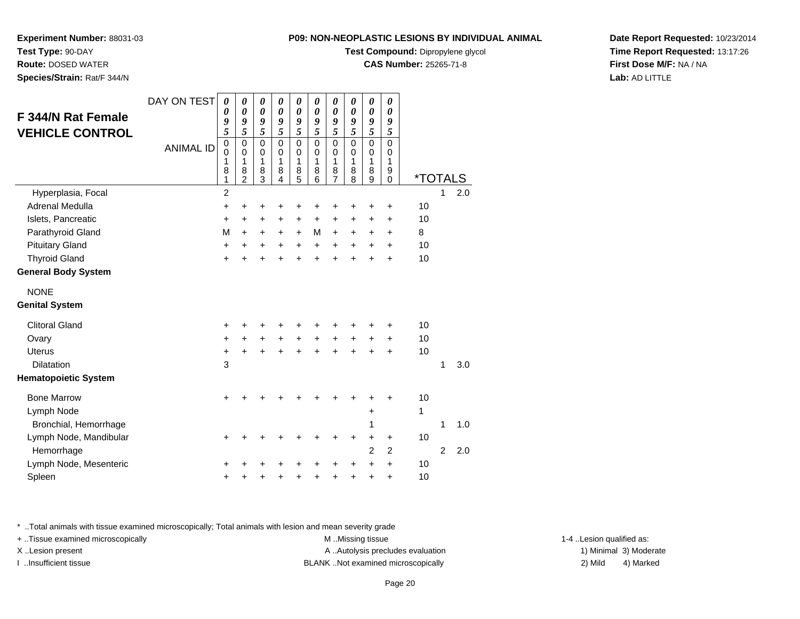**Test Compound:** Dipropylene glycol

**CAS Number:** 25265-71-8

**Date Report Requested:** 10/23/2014**Time Report Requested:** 13:17:26**First Dose M/F:** NA / NA**Lab:** AD LITTLE

| <b>F 344/N Rat Female</b>   | DAY ON TEST      | 0<br>0                        | 0<br>0                                              | 0<br>$\boldsymbol{\theta}$             | 0<br>$\boldsymbol{\theta}$             | 0<br>$\boldsymbol{\theta}$                | 0<br>0                                               | 0<br>$\boldsymbol{\theta}$                | 0<br>$\boldsymbol{\theta}$                | 0<br>$\boldsymbol{\theta}$                | 0<br>$\boldsymbol{\theta}$             |                       |                |     |
|-----------------------------|------------------|-------------------------------|-----------------------------------------------------|----------------------------------------|----------------------------------------|-------------------------------------------|------------------------------------------------------|-------------------------------------------|-------------------------------------------|-------------------------------------------|----------------------------------------|-----------------------|----------------|-----|
| <b>VEHICLE CONTROL</b>      |                  | 9<br>5                        | 9<br>5                                              | 9<br>5                                 | 9<br>5                                 | 9<br>5                                    | 9<br>5                                               | 9<br>5                                    | 9<br>5                                    | 9<br>5                                    | 9<br>5                                 |                       |                |     |
|                             | <b>ANIMAL ID</b> | $\pmb{0}$<br>0<br>1<br>8<br>1 | $\mathbf 0$<br>$\Omega$<br>1<br>8<br>$\overline{2}$ | $\mathbf 0$<br>$\Omega$<br>1<br>8<br>3 | $\mathbf 0$<br>$\Omega$<br>1<br>8<br>4 | $\mathbf 0$<br>$\mathbf 0$<br>1<br>8<br>5 | $\mathbf 0$<br>$\mathbf 0$<br>$\mathbf{1}$<br>8<br>6 | $\mathbf 0$<br>$\mathbf 0$<br>1<br>8<br>7 | $\mathbf 0$<br>0<br>$\mathbf 1$<br>8<br>8 | $\mathbf 0$<br>$\mathbf 0$<br>1<br>8<br>9 | $\mathbf 0$<br>0<br>1<br>9<br>$\Omega$ | <i><b>*TOTALS</b></i> |                |     |
| Hyperplasia, Focal          |                  | $\overline{2}$                |                                                     |                                        |                                        |                                           |                                                      |                                           |                                           |                                           |                                        |                       | 1              | 2.0 |
| Adrenal Medulla             |                  | +                             | +                                                   | +                                      |                                        |                                           |                                                      | +                                         | +                                         | +                                         | +                                      | 10                    |                |     |
| Islets, Pancreatic          |                  | +                             | $\ddot{}$                                           | +                                      | +                                      | +                                         | +                                                    | +                                         | +                                         | +                                         | +                                      | 10                    |                |     |
| Parathyroid Gland           |                  | M                             | $\ddot{}$                                           | $\ddot{}$                              | $\ddot{}$                              | $\ddot{}$                                 | M                                                    | $\ddot{}$                                 | $\ddot{}$                                 | $\ddot{}$                                 | $\ddot{}$                              | 8                     |                |     |
| <b>Pituitary Gland</b>      |                  | $\ddot{}$                     | +                                                   | +                                      | +                                      | $\ddot{}$                                 | $\ddot{}$                                            | +                                         | +                                         | +                                         | +                                      | 10                    |                |     |
| <b>Thyroid Gland</b>        |                  | $\ddot{}$                     | ÷                                                   | $\ddot{}$                              | +                                      | $\ddot{}$                                 | $\ddot{}$                                            | ÷                                         | $\ddot{}$                                 | $\ddot{}$                                 | $\ddot{}$                              | 10                    |                |     |
| <b>General Body System</b>  |                  |                               |                                                     |                                        |                                        |                                           |                                                      |                                           |                                           |                                           |                                        |                       |                |     |
| <b>NONE</b>                 |                  |                               |                                                     |                                        |                                        |                                           |                                                      |                                           |                                           |                                           |                                        |                       |                |     |
| <b>Genital System</b>       |                  |                               |                                                     |                                        |                                        |                                           |                                                      |                                           |                                           |                                           |                                        |                       |                |     |
| <b>Clitoral Gland</b>       |                  | +                             |                                                     | +                                      |                                        |                                           |                                                      | +                                         | +                                         | +                                         | +                                      | 10                    |                |     |
| Ovary                       |                  | +                             | +                                                   | $\ddot{}$                              |                                        | $\ddot{}$                                 | $\ddot{}$                                            | +                                         | $\ddot{}$                                 | +                                         | +                                      | 10                    |                |     |
| Uterus                      |                  | +                             | $\ddot{}$                                           | $\ddot{}$                              | $\ddot{}$                              | $\ddot{}$                                 | ÷                                                    | $\ddot{}$                                 | $\ddot{}$                                 | $\ddot{}$                                 | $\ddot{}$                              | 10                    |                |     |
| <b>Dilatation</b>           |                  | 3                             |                                                     |                                        |                                        |                                           |                                                      |                                           |                                           |                                           |                                        |                       | 1              | 3.0 |
| <b>Hematopoietic System</b> |                  |                               |                                                     |                                        |                                        |                                           |                                                      |                                           |                                           |                                           |                                        |                       |                |     |
| <b>Bone Marrow</b>          |                  | +                             |                                                     |                                        |                                        |                                           |                                                      |                                           | +                                         | ٠                                         | +                                      | 10                    |                |     |
| Lymph Node                  |                  |                               |                                                     |                                        |                                        |                                           |                                                      |                                           |                                           | $\ddot{}$                                 |                                        | 1                     |                |     |
| Bronchial, Hemorrhage       |                  |                               |                                                     |                                        |                                        |                                           |                                                      |                                           |                                           | 1                                         |                                        |                       | 1              | 1.0 |
| Lymph Node, Mandibular      |                  | +                             |                                                     |                                        |                                        |                                           |                                                      | +                                         | +                                         | +                                         | +                                      | 10                    |                |     |
| Hemorrhage                  |                  |                               |                                                     |                                        |                                        |                                           |                                                      |                                           |                                           | $\overline{2}$                            | $\overline{2}$                         |                       | $\overline{2}$ | 2.0 |
| Lymph Node, Mesenteric      |                  | +                             |                                                     |                                        |                                        |                                           |                                                      |                                           | +                                         | $\ddot{}$                                 | $\ddot{}$                              | 10                    |                |     |
| Spleen                      |                  | +                             |                                                     | +                                      |                                        |                                           |                                                      | +                                         | +                                         | +                                         | +                                      | 10                    |                |     |

\* ..Total animals with tissue examined microscopically; Total animals with lesion and mean severity grade

+ ..Tissue examined microscopically M ...Missing tissue 1-4 ... M ...Missing tissue

**Experiment Number:** 88031-03

**Test Type:** 90-DAY **Route:** DOSED WATER**Species/Strain:** Rat/F 344/N

X..Lesion present **A ..Autolysis precludes evaluation** A ..Autolysis precludes evaluation 1) Minimal 3) Moderate I ..Insufficient tissue BLANK ..Not examined microscopically 2) Mild 4) Marked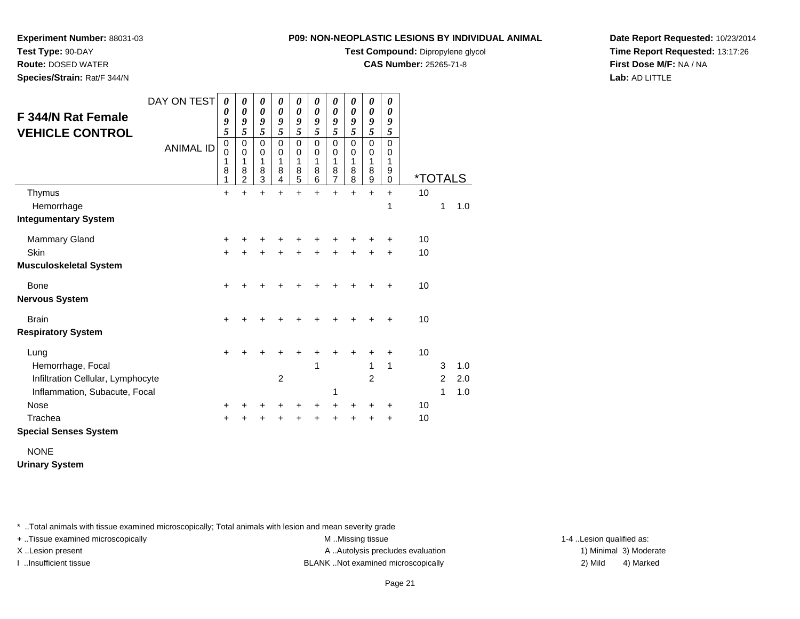**Test Compound:** Dipropylene glycol

**CAS Number:** 25265-71-8

**Date Report Requested:** 10/23/2014**Time Report Requested:** 13:17:26**First Dose M/F:** NA / NA**Lab:** AD LITTLE

| F 344/N Rat Female<br><b>VEHICLE CONTROL</b>                       | DAY ON TEST      | 0<br>0<br>9<br>$\overline{5}$   | 0<br>0<br>9<br>5                             | 0<br>0<br>9<br>5                | 0<br>0<br>9<br>5             | 0<br>0<br>9<br>5                | 0<br>0<br>9<br>5             | 0<br>0<br>9<br>$\overline{\mathbf{5}}$ | 0<br>0<br>9<br>5             | 0<br>0<br>9<br>5                        | 0<br>0<br>9<br>5             |                       |                     |            |
|--------------------------------------------------------------------|------------------|---------------------------------|----------------------------------------------|---------------------------------|------------------------------|---------------------------------|------------------------------|----------------------------------------|------------------------------|-----------------------------------------|------------------------------|-----------------------|---------------------|------------|
|                                                                    | <b>ANIMAL ID</b> | $\mathbf 0$<br>0<br>1<br>8<br>1 | 0<br>$\mathbf 0$<br>1<br>8<br>$\overline{2}$ | $\mathbf 0$<br>0<br>1<br>8<br>3 | $\Omega$<br>0<br>1<br>8<br>4 | $\mathbf 0$<br>0<br>1<br>8<br>5 | $\Omega$<br>0<br>1<br>8<br>6 | 0<br>0<br>1<br>8<br>$\overline{7}$     | $\Omega$<br>0<br>1<br>8<br>8 | $\mathbf 0$<br>$\pmb{0}$<br>1<br>8<br>9 | $\Omega$<br>0<br>1<br>9<br>0 | <i><b>*TOTALS</b></i> |                     |            |
| Thymus                                                             |                  | $\ddot{}$                       | ÷                                            | $\ddot{}$                       | $\ddot{}$                    | $\ddot{}$                       | ÷                            | $\ddot{}$                              | $\ddot{}$                    | $+$                                     | $\ddot{}$<br>1               | 10                    | 1                   | 1.0        |
| Hemorrhage<br><b>Integumentary System</b>                          |                  |                                 |                                              |                                 |                              |                                 |                              |                                        |                              |                                         |                              |                       |                     |            |
| <b>Mammary Gland</b>                                               |                  | $\ddot{}$                       |                                              |                                 |                              |                                 |                              |                                        |                              |                                         | +                            | 10                    |                     |            |
| Skin<br>Musculoskeletal System                                     |                  | $\ddot{}$                       |                                              | ٠                               |                              |                                 |                              | +                                      |                              |                                         | +                            | 10                    |                     |            |
| Bone<br>Nervous System                                             |                  | $\pm$                           |                                              |                                 |                              |                                 |                              |                                        |                              |                                         |                              | 10                    |                     |            |
| <b>Brain</b><br><b>Respiratory System</b>                          |                  | $\pm$                           |                                              |                                 |                              |                                 |                              |                                        |                              |                                         |                              | 10                    |                     |            |
| Lung                                                               |                  | +                               |                                              | +                               |                              |                                 |                              |                                        |                              |                                         | $\ddot{}$                    | 10                    |                     |            |
| Hemorrhage, Focal                                                  |                  |                                 |                                              |                                 | $\overline{c}$               |                                 | 1                            |                                        |                              | 1                                       | 1                            |                       | 3<br>$\overline{c}$ | 1.0        |
| Infiltration Cellular, Lymphocyte<br>Inflammation, Subacute, Focal |                  |                                 |                                              |                                 |                              |                                 |                              | 1                                      |                              | 2                                       |                              |                       | 1                   | 2.0<br>1.0 |
| <b>Nose</b>                                                        |                  | $\ddot{}$                       |                                              | +                               | +                            | +                               | +                            | +                                      | ٠                            |                                         | ÷                            | 10                    |                     |            |
| Trachea                                                            |                  | $\pm$                           |                                              | ٠                               | ٠                            | +                               | ٠                            | +                                      | ٠                            | ٠                                       | $\ddot{}$                    | 10                    |                     |            |
| <b>Special Senses System</b>                                       |                  |                                 |                                              |                                 |                              |                                 |                              |                                        |                              |                                         |                              |                       |                     |            |
| $\cdots$                                                           |                  |                                 |                                              |                                 |                              |                                 |                              |                                        |                              |                                         |                              |                       |                     |            |

NONE

**Urinary System**

\* ..Total animals with tissue examined microscopically; Total animals with lesion and mean severity grade

**Experiment Number:** 88031-03

**Test Type:** 90-DAY **Route:** DOSED WATER**Species/Strain:** Rat/F 344/N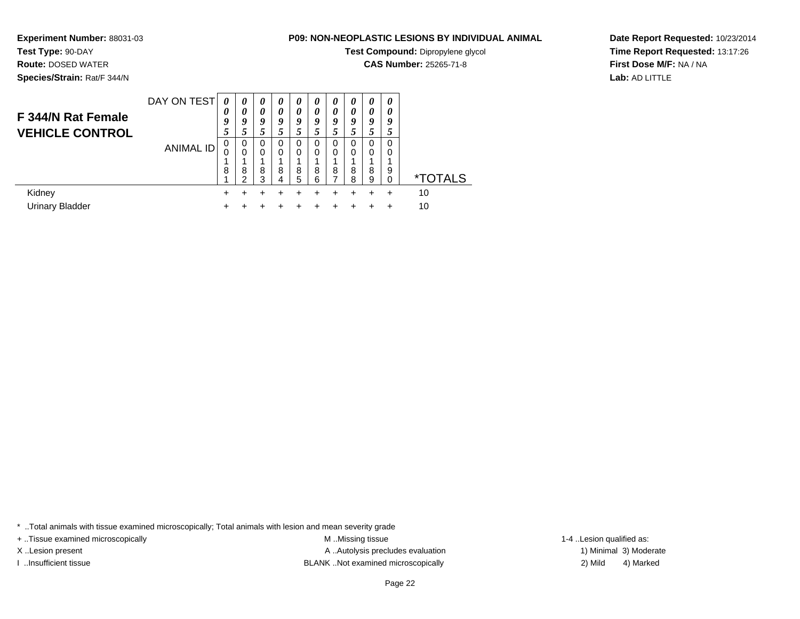**Experiment Number:** 88031-03**P09: NON-NEOPLASTIC LESIONS BY INDIVIDUAL ANIMAL**

**Test Compound:** Dipropylene glycol

<sup>+</sup> <sup>+</sup> <sup>+</sup> <sup>+</sup> <sup>+</sup> <sup>+</sup> <sup>+</sup> <sup>+</sup> + 10

**CAS Number:** 25265-71-8

**Date Report Requested:** 10/23/2014**Time Report Requested:** 13:17:26**First Dose M/F:** NA / NA**Lab:** AD LITTLE

DAY ON TEST**F 344/N Rat Female VEHICLE CONTROL**ANIMAL ID*0 0 9 5* 0 0 1 8 1 $\ddot{}$ *0 0 9 5* 0 0 1 8 2 $\ddot{}$ *0 0 9 5* 0 0 1 8 3*0 0 9 5* 0 0 1 8 4*0 0 9 5* 0 0 1 8 5*0 0 9 5* 0 0 1 8 6*0 0 9 5* 0 0 1 8 7*0 0 9 5* 0 0 1 8 8*0 0 9 5* 0 0 1 8 9*0 0 9 5* 0 0 1 9 $\check{\mathrm{o}}$ 0 \*TOTALSKidney $\mathsf y$  <sup>+</sup> <sup>+</sup> <sup>+</sup> <sup>+</sup> <sup>+</sup> <sup>+</sup> <sup>+</sup> <sup>+</sup> + 10 Urinary Bladder

 $\mathsf{r}$  +

\* ..Total animals with tissue examined microscopically; Total animals with lesion and mean severity grade

+ ..Tissue examined microscopically examined microscopically examined as:  $M$  ..Missing tissue 1-4 ..Lesion qualified as:

**Test Type:** 90-DAY **Route:** DOSED WATER**Species/Strain:** Rat/F 344/N

X..Lesion present **A ..Autolysis precludes evaluation** A ..Autolysis precludes evaluation 1) Minimal 3) Moderate I ..Insufficient tissue BLANK ..Not examined microscopically 2) Mild 4) Marked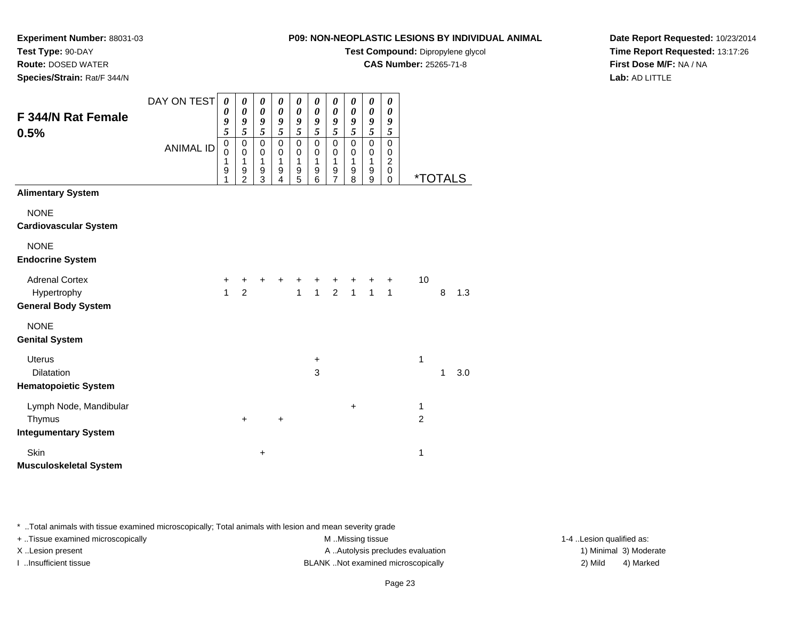**Test Compound:** Dipropylene glycol

**CAS Number:** 25265-71-8

**Date Report Requested:** 10/23/2014**Time Report Requested:** 13:17:26**First Dose M/F:** NA / NA**Lab:** AD LITTLE

|                                                                    | <b>ANIMAL ID</b> | 0<br>$\mathbf 0$<br>1<br>9<br>1 | 0<br>$\mathbf 0$<br>1<br>9<br>$\overline{2}$ | 0<br>$\pmb{0}$<br>$\mathbf{1}$<br>9<br>3 | 0<br>$\mathbf 0$<br>1<br>9<br>4 | 0<br>$\mathbf 0$<br>$\mathbf{1}$<br>9<br>$\overline{5}$ | 0<br>0<br>1<br>9<br>6 | 0<br>$\mathbf 0$<br>$\mathbf{1}$<br>$\frac{9}{7}$ | 0<br>0<br>$\mathbf{1}$<br>9<br>8 | 0<br>$\mathbf 0$<br>$\mathbf{1}$<br>9<br>$\boldsymbol{9}$ | 0<br>0<br>$\overline{2}$<br>$\mathbf 0$<br>$\mathbf 0$ | <i><b>*TOTALS</b></i> |   |     |
|--------------------------------------------------------------------|------------------|---------------------------------|----------------------------------------------|------------------------------------------|---------------------------------|---------------------------------------------------------|-----------------------|---------------------------------------------------|----------------------------------|-----------------------------------------------------------|--------------------------------------------------------|-----------------------|---|-----|
| <b>Alimentary System</b>                                           |                  |                                 |                                              |                                          |                                 |                                                         |                       |                                                   |                                  |                                                           |                                                        |                       |   |     |
| <b>NONE</b><br><b>Cardiovascular System</b>                        |                  |                                 |                                              |                                          |                                 |                                                         |                       |                                                   |                                  |                                                           |                                                        |                       |   |     |
| <b>NONE</b><br><b>Endocrine System</b>                             |                  |                                 |                                              |                                          |                                 |                                                         |                       |                                                   |                                  |                                                           |                                                        |                       |   |     |
| <b>Adrenal Cortex</b><br>Hypertrophy<br><b>General Body System</b> |                  | $\ddot{}$<br>$\mathbf{1}$       | $\ddot{}$<br>$\overline{2}$                  | +                                        | +                               | $\ddot{}$                                               |                       | + + + + + +<br>1 1 2 1 1 1                        |                                  |                                                           |                                                        | 10                    | 8 | 1.3 |
| <b>NONE</b><br><b>Genital System</b>                               |                  |                                 |                                              |                                          |                                 |                                                         |                       |                                                   |                                  |                                                           |                                                        |                       |   |     |
| <b>Uterus</b><br>Dilatation<br><b>Hematopoietic System</b>         |                  |                                 |                                              |                                          |                                 |                                                         | $\ddot{}$<br>3        |                                                   |                                  |                                                           |                                                        | 1                     | 1 | 3.0 |
| Lymph Node, Mandibular<br>Thymus<br><b>Integumentary System</b>    |                  |                                 | $+$                                          |                                          | +                               |                                                         |                       |                                                   | $\ddot{}$                        |                                                           |                                                        | 1<br>2                |   |     |
| Skin<br><b>Musculoskeletal System</b>                              |                  |                                 |                                              | $\ddot{}$                                |                                 |                                                         |                       |                                                   |                                  |                                                           |                                                        | 1                     |   |     |
|                                                                    |                  |                                 |                                              |                                          |                                 |                                                         |                       |                                                   |                                  |                                                           |                                                        |                       |   |     |

\* ..Total animals with tissue examined microscopically; Total animals with lesion and mean severity grade

DAY ON TEST

*0*

*0 9 5*

+ ..Tissue examined microscopically examined microscopically examined as:  $M$  ..Missing tissue 1-4 ..Lesion qualified as:

**Experiment Number:** 88031-03

**F 344/N Rat Female**

**Test Type:** 90-DAY **Route:** DOSED WATER**Species/Strain:** Rat/F 344/N

**0.5%**

X..Lesion present **A ..Autolysis precludes evaluation** A ..Autolysis precludes evaluation 1) Minimal 3) Moderate

I ..Insufficient tissue BLANK ..Not examined microscopically 2) Mild 4) Marked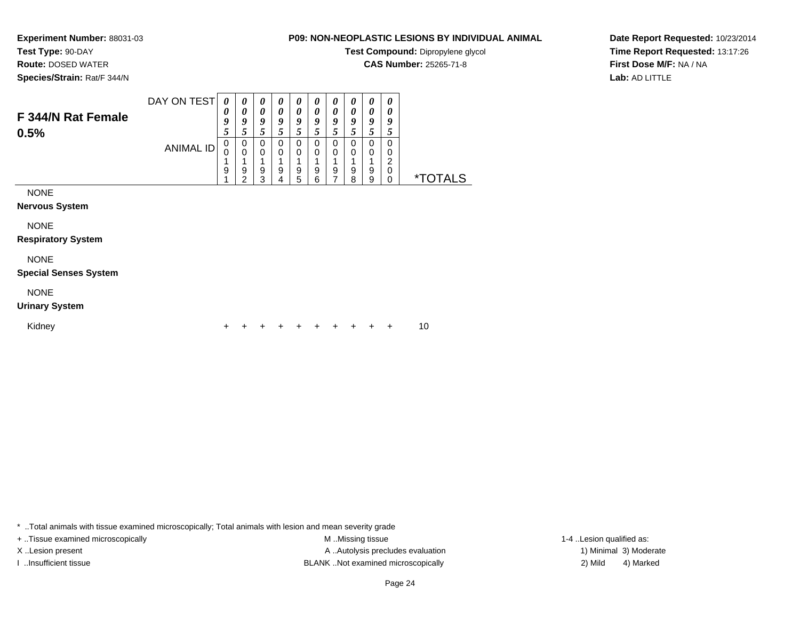# **Test Type:** 90-DAY

**Route:** DOSED WATER

**Species/Strain:** Rat/F 344/N

## **P09: NON-NEOPLASTIC LESIONS BY INDIVIDUAL ANIMAL**

**Test Compound:** Dipropylene glycol

**CAS Number:** 25265-71-8

**Date Report Requested:** 10/23/2014**Time Report Requested:** 13:17:26**First Dose M/F:** NA / NA**Lab:** AD LITTLE

| F 344/N Rat Female<br>0.5%                  | DAY ON TEST<br><b>ANIMAL ID</b> | $\boldsymbol{\theta}$<br>0<br>9<br>5<br>0<br>$\Omega$ | 0<br>$\boldsymbol{\theta}$<br>9<br>5<br>0<br>$\mathbf 0$ | 0<br>0<br>9<br>5<br>0<br>0 | $\boldsymbol{\theta}$<br>$\boldsymbol{\theta}$<br>9<br>5<br>0<br>$\mathbf 0$ | 0<br>$\boldsymbol{\theta}$<br>9<br>5<br>0<br>0 | 0<br>0<br>9<br>5<br>0<br>0 | 0<br>0<br>9<br>5<br>0<br>0 | 0<br>0<br>9<br>5<br>0<br>0 | 0<br>0<br>9<br>5<br>0<br>0 | 0<br>0<br>9<br>5<br>0<br>0<br>2 |                       |
|---------------------------------------------|---------------------------------|-------------------------------------------------------|----------------------------------------------------------|----------------------------|------------------------------------------------------------------------------|------------------------------------------------|----------------------------|----------------------------|----------------------------|----------------------------|---------------------------------|-----------------------|
|                                             |                                 | 9                                                     | 9<br>2                                                   | 9<br>3                     | 9<br>4                                                                       | 9<br>5                                         | 9<br>6                     | 9                          | 9<br>8                     | 9<br>9                     | 0<br>0                          | <i><b>*TOTALS</b></i> |
| <b>NONE</b><br>Nervous System               |                                 |                                                       |                                                          |                            |                                                                              |                                                |                            |                            |                            |                            |                                 |                       |
| <b>NONE</b><br><b>Respiratory System</b>    |                                 |                                                       |                                                          |                            |                                                                              |                                                |                            |                            |                            |                            |                                 |                       |
| <b>NONE</b><br><b>Special Senses System</b> |                                 |                                                       |                                                          |                            |                                                                              |                                                |                            |                            |                            |                            |                                 |                       |
| <b>NONE</b>                                 |                                 |                                                       |                                                          |                            |                                                                              |                                                |                            |                            |                            |                            |                                 |                       |

#### **Urinary System**

Kidney $\mathsf y$ 

\* ..Total animals with tissue examined microscopically; Total animals with lesion and mean severity grade

+ ..Tissue examined microscopically examined microscopically examined as:  $M$  ..Missing tissue 1-4 ..Lesion qualified as: X..Lesion present **A ..Autolysis precludes evaluation** A ..Autolysis precludes evaluation 1) Minimal 3) Moderate I ..Insufficient tissue 2) Mild 2 and the BLANK ..Not examined microscopically and the same 2) Mild

<sup>+</sup> <sup>+</sup> <sup>+</sup> <sup>+</sup> <sup>+</sup> <sup>+</sup> <sup>+</sup> <sup>+</sup> + 10

4) Marked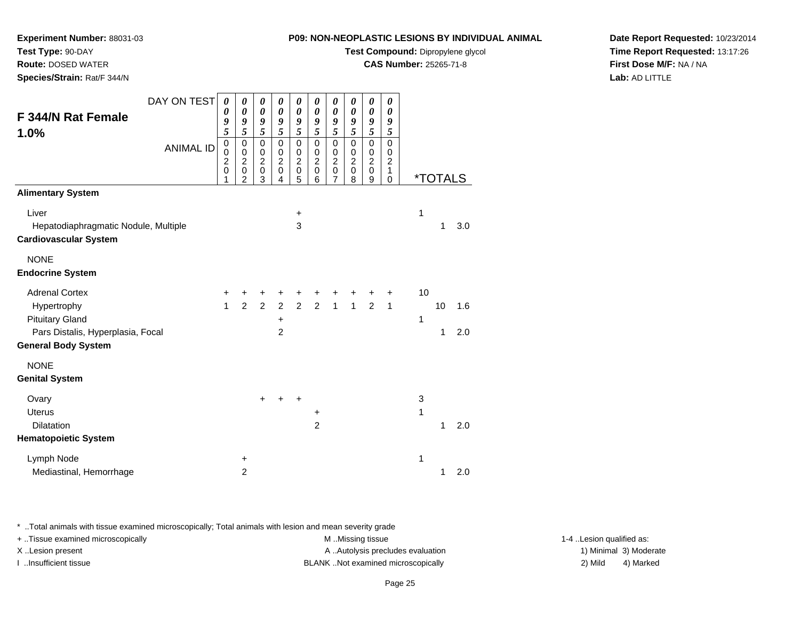**Test Compound:** Dipropylene glycol

**CAS Number:** 25265-71-8

**Date Report Requested:** 10/23/2014**Time Report Requested:** 13:17:26**First Dose M/F:** NA / NA**Lab:** AD LITTLE

|                                                                                                         | 0<br>1       | 0<br>$\overline{2}$ | 0<br>3         | 0<br>$\overline{4}$ | 0<br>5       | 0<br>6         | 0<br>$\overline{7}$ | 0<br>8       | 0<br>9         | 1<br>$\mathbf 0$ |    | <i><b>*TOTALS</b></i> |     |
|---------------------------------------------------------------------------------------------------------|--------------|---------------------|----------------|---------------------|--------------|----------------|---------------------|--------------|----------------|------------------|----|-----------------------|-----|
| <b>Alimentary System</b>                                                                                |              |                     |                |                     |              |                |                     |              |                |                  |    |                       |     |
| Liver                                                                                                   |              |                     |                |                     | $\ddot{}$    |                |                     |              |                |                  | 1  |                       |     |
| Hepatodiaphragmatic Nodule, Multiple                                                                    |              |                     |                |                     | $\mathbf{3}$ |                |                     |              |                |                  |    | 1                     | 3.0 |
| <b>Cardiovascular System</b>                                                                            |              |                     |                |                     |              |                |                     |              |                |                  |    |                       |     |
| <b>NONE</b>                                                                                             |              |                     |                |                     |              |                |                     |              |                |                  |    |                       |     |
| <b>Endocrine System</b>                                                                                 |              |                     |                |                     |              |                |                     |              |                |                  |    |                       |     |
| <b>Adrenal Cortex</b>                                                                                   | $\ddot{}$    | +                   | +              | +                   | +            | +              |                     |              |                | +                | 10 |                       |     |
| Hypertrophy                                                                                             | $\mathbf{1}$ | $\overline{2}$      | $\overline{2}$ |                     | $2\quad 2$   | $\overline{2}$ | $\mathbf{1}$        | $\mathbf{1}$ | $\overline{2}$ | $\mathbf{1}$     |    | 10                    | 1.6 |
| <b>Pituitary Gland</b>                                                                                  |              |                     |                | $\ddot{}$           |              |                |                     |              |                |                  | 1  |                       |     |
| Pars Distalis, Hyperplasia, Focal                                                                       |              |                     |                | $\overline{2}$      |              |                |                     |              |                |                  |    | 1                     | 2.0 |
| <b>General Body System</b>                                                                              |              |                     |                |                     |              |                |                     |              |                |                  |    |                       |     |
| <b>NONE</b>                                                                                             |              |                     |                |                     |              |                |                     |              |                |                  |    |                       |     |
| <b>Genital System</b>                                                                                   |              |                     |                |                     |              |                |                     |              |                |                  |    |                       |     |
| Ovary                                                                                                   |              |                     | $\ddot{}$      |                     | $\ddot{}$    |                |                     |              |                |                  | 3  |                       |     |
| <b>Uterus</b>                                                                                           |              |                     |                |                     |              | +              |                     |              |                |                  | 1  |                       |     |
| Dilatation                                                                                              |              |                     |                |                     |              | $\overline{2}$ |                     |              |                |                  |    | 1                     | 2.0 |
| <b>Hematopoietic System</b>                                                                             |              |                     |                |                     |              |                |                     |              |                |                  |    |                       |     |
| Lymph Node                                                                                              |              | $\ddot{}$           |                |                     |              |                |                     |              |                |                  | 1  |                       |     |
| Mediastinal, Hemorrhage                                                                                 |              | $\overline{2}$      |                |                     |              |                |                     |              |                |                  |    | 1                     | 2.0 |
| * Total animals with tissue examined microscopically; Total animals with lesion and mean severity grade |              |                     |                |                     |              |                |                     |              |                |                  |    |                       |     |
| $+$ Tissue examined microscopically                                                                     |              |                     |                |                     |              |                | M. Missing tissue   |              |                |                  |    |                       |     |

DAY ON TEST

*0*

*0*

0 0 2

0 0 2

*0 9 5*

0 0 2

0 0 2

0 0 2

*0 9 5*

0 0 2

0 0 2

ANIMAL ID

**Experiment Number:** 88031-03

**F 344/N Rat Female**

**Test Type:** 90-DAY **Route:** DOSED WATER**Species/Strain:** Rat/F 344/N

**1.0%**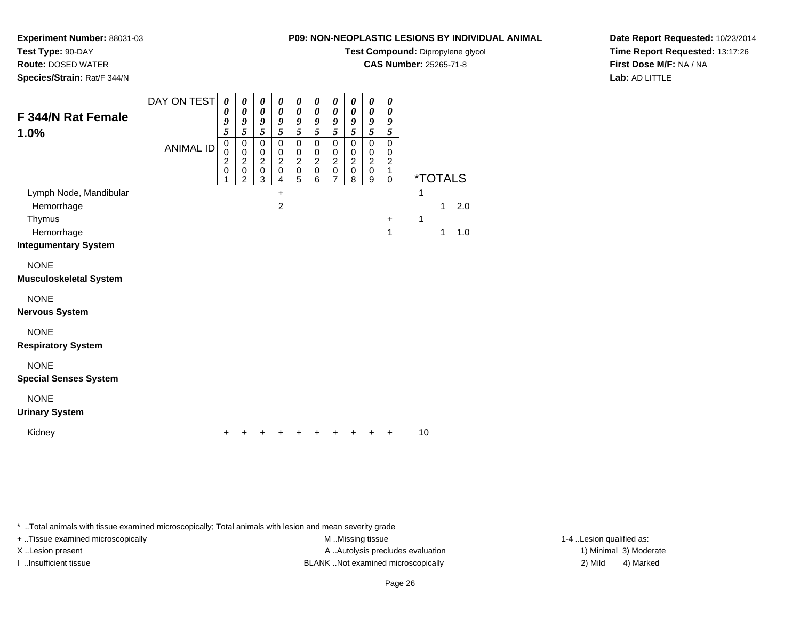**Test Type:** 90-DAY

**Route:** DOSED WATER

**Species/Strain:** Rat/F 344/N

### **P09: NON-NEOPLASTIC LESIONS BY INDIVIDUAL ANIMAL**

**Test Compound:** Dipropylene glycol

**CAS Number:** 25265-71-8

**Date Report Requested:** 10/23/2014**Time Report Requested:** 13:17:26**First Dose M/F:** NA / NA**Lab:** AD LITTLE

| F 344/N Rat Female                          | DAY ON TEST      | $\boldsymbol{\theta}$<br>0                                       | 0<br>0                                                            | 0<br>$\boldsymbol{\theta}$                                   | 0<br>$\boldsymbol{\theta}$                                         | $\boldsymbol{\theta}$<br>$\boldsymbol{\theta}$                                | 0<br>$\boldsymbol{\theta}$                             | 0<br>$\pmb{\theta}$                                                 | 0<br>0                                                 | 0<br>$\boldsymbol{\theta}$                                 | 0<br>0                                                   |    |                       |     |
|---------------------------------------------|------------------|------------------------------------------------------------------|-------------------------------------------------------------------|--------------------------------------------------------------|--------------------------------------------------------------------|-------------------------------------------------------------------------------|--------------------------------------------------------|---------------------------------------------------------------------|--------------------------------------------------------|------------------------------------------------------------|----------------------------------------------------------|----|-----------------------|-----|
| 1.0%                                        |                  | 9<br>5                                                           | 9<br>5                                                            | 9<br>5                                                       | 9<br>5                                                             | 9<br>5                                                                        | 9<br>5                                                 | 9<br>5                                                              | 9<br>5                                                 | 9<br>5                                                     | 9<br>5                                                   |    |                       |     |
|                                             | <b>ANIMAL ID</b> | $\mathbf 0$<br>$\mathbf 0$<br>$\overline{c}$<br>$\mathbf 0$<br>1 | 0<br>$\pmb{0}$<br>$\overline{c}$<br>$\mathbf 0$<br>$\overline{2}$ | $\mathbf 0$<br>$\pmb{0}$<br>$\overline{c}$<br>$\pmb{0}$<br>3 | $\mathbf 0$<br>$\mathbf 0$<br>$\boldsymbol{2}$<br>$\mathbf 0$<br>4 | $\mathbf 0$<br>$\mathbf 0$<br>$\overline{c}$<br>$\mathbf 0$<br>$\overline{5}$ | 0<br>$\mathbf 0$<br>$\overline{c}$<br>$\mathsf 0$<br>6 | $\mathbf 0$<br>0<br>$\overline{2}$<br>$\mathbf 0$<br>$\overline{7}$ | $\mathbf 0$<br>$\mathbf 0$<br>$\overline{c}$<br>0<br>8 | $\pmb{0}$<br>$\pmb{0}$<br>$\overline{c}$<br>$\pmb{0}$<br>9 | $\mathbf 0$<br>0<br>$\boldsymbol{2}$<br>1<br>$\mathbf 0$ |    | <i><b>*TOTALS</b></i> |     |
| Lymph Node, Mandibular                      |                  |                                                                  |                                                                   |                                                              | $\ddot{}$                                                          |                                                                               |                                                        |                                                                     |                                                        |                                                            |                                                          | 1  |                       |     |
| Hemorrhage                                  |                  |                                                                  |                                                                   |                                                              | $\overline{c}$                                                     |                                                                               |                                                        |                                                                     |                                                        |                                                            |                                                          |    | 1                     | 2.0 |
| Thymus                                      |                  |                                                                  |                                                                   |                                                              |                                                                    |                                                                               |                                                        |                                                                     |                                                        |                                                            | $\ddot{}$<br>1                                           | 1  | 1                     | 1.0 |
| Hemorrhage<br><b>Integumentary System</b>   |                  |                                                                  |                                                                   |                                                              |                                                                    |                                                                               |                                                        |                                                                     |                                                        |                                                            |                                                          |    |                       |     |
| <b>NONE</b>                                 |                  |                                                                  |                                                                   |                                                              |                                                                    |                                                                               |                                                        |                                                                     |                                                        |                                                            |                                                          |    |                       |     |
| <b>Musculoskeletal System</b>               |                  |                                                                  |                                                                   |                                                              |                                                                    |                                                                               |                                                        |                                                                     |                                                        |                                                            |                                                          |    |                       |     |
| <b>NONE</b>                                 |                  |                                                                  |                                                                   |                                                              |                                                                    |                                                                               |                                                        |                                                                     |                                                        |                                                            |                                                          |    |                       |     |
| <b>Nervous System</b>                       |                  |                                                                  |                                                                   |                                                              |                                                                    |                                                                               |                                                        |                                                                     |                                                        |                                                            |                                                          |    |                       |     |
| <b>NONE</b><br><b>Respiratory System</b>    |                  |                                                                  |                                                                   |                                                              |                                                                    |                                                                               |                                                        |                                                                     |                                                        |                                                            |                                                          |    |                       |     |
| <b>NONE</b><br><b>Special Senses System</b> |                  |                                                                  |                                                                   |                                                              |                                                                    |                                                                               |                                                        |                                                                     |                                                        |                                                            |                                                          |    |                       |     |
| <b>NONE</b><br><b>Urinary System</b>        |                  |                                                                  |                                                                   |                                                              |                                                                    |                                                                               |                                                        |                                                                     |                                                        |                                                            |                                                          |    |                       |     |
| Kidney                                      |                  | ٠                                                                |                                                                   | +                                                            |                                                                    |                                                                               |                                                        |                                                                     |                                                        |                                                            |                                                          | 10 |                       |     |

\* ..Total animals with tissue examined microscopically; Total animals with lesion and mean severity grade

+ ..Tissue examined microscopically M ...Missing tissue 1-4 ... M ...Missing tissue

X..Lesion present **A ..Autolysis precludes evaluation** A ..Autolysis precludes evaluation 1) Minimal 3) Moderate I ..Insufficient tissue BLANK ..Not examined microscopically 2) Mild 4) Marked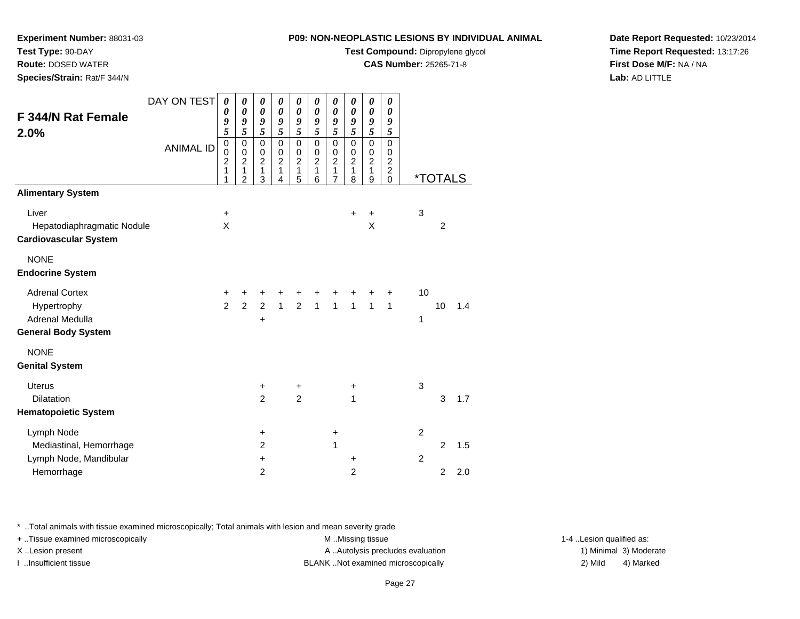**Test Compound:** Dipropylene glycol

**CAS Number:** 25265-71-8

**Date Report Requested:** 10/23/2014**Time Report Requested:** 13:17:26**First Dose M/F:** NA / NA**Lab:** AD LITTLE

| Species/Strain: Rat/F 344/N                                                                  |                                 |                                                                       |                                                                                         |                                                                                         |                                                                                                           |                                                                                 |                                                                                |                                                                                           |                                                                                                                       |                                                                                           |                                                                                                |                                                                       |  |
|----------------------------------------------------------------------------------------------|---------------------------------|-----------------------------------------------------------------------|-----------------------------------------------------------------------------------------|-----------------------------------------------------------------------------------------|-----------------------------------------------------------------------------------------------------------|---------------------------------------------------------------------------------|--------------------------------------------------------------------------------|-------------------------------------------------------------------------------------------|-----------------------------------------------------------------------------------------------------------------------|-------------------------------------------------------------------------------------------|------------------------------------------------------------------------------------------------|-----------------------------------------------------------------------|--|
| F 344/N Rat Female<br>2.0%                                                                   | DAY ON TEST<br><b>ANIMAL ID</b> | 0<br>0<br>9<br>5<br>$\mathbf 0$<br>$\mathbf 0$<br>$\overline{c}$<br>1 | 0<br>$\boldsymbol{\theta}$<br>9<br>5<br>$\mathbf 0$<br>$\pmb{0}$<br>$\overline{c}$<br>1 | 0<br>$\boldsymbol{\theta}$<br>9<br>5<br>$\mathbf 0$<br>$\pmb{0}$<br>$\overline{2}$<br>1 | $\boldsymbol{\theta}$<br>$\boldsymbol{\theta}$<br>9<br>5<br>$\mathbf 0$<br>$\,0\,$<br>$\overline{2}$<br>1 | 0<br>$\boldsymbol{\theta}$<br>9<br>5<br>$\mathbf 0$<br>0<br>$\overline{2}$<br>1 | 0<br>$\pmb{\theta}$<br>9<br>5<br>$\mathbf 0$<br>$\,0\,$<br>$\overline{c}$<br>1 | 0<br>$\boldsymbol{\theta}$<br>9<br>5<br>$\mathbf 0$<br>$\mathbf 0$<br>$\overline{c}$<br>1 | $\boldsymbol{\theta}$<br>$\boldsymbol{\theta}$<br>9<br>5<br>$\mathbf 0$<br>$\pmb{0}$<br>$\overline{c}$<br>$\mathbf 1$ | 0<br>$\boldsymbol{\theta}$<br>9<br>5<br>$\mathbf 0$<br>$\pmb{0}$<br>$\boldsymbol{2}$<br>1 | 0<br>$\boldsymbol{\theta}$<br>9<br>5<br>$\pmb{0}$<br>0<br>$\boldsymbol{2}$<br>$\boldsymbol{2}$ |                                                                       |  |
| <b>Alimentary System</b>                                                                     |                                 | 1                                                                     | $\overline{2}$                                                                          | 3                                                                                       | 4                                                                                                         | 5                                                                               | 6                                                                              | 7                                                                                         | 8                                                                                                                     | 9                                                                                         | $\mathbf 0$                                                                                    | <i><b>*TOTALS</b></i>                                                 |  |
| Liver<br>Hepatodiaphragmatic Nodule<br><b>Cardiovascular System</b>                          |                                 | $\ddot{}$<br>$\boldsymbol{\mathsf{X}}$                                |                                                                                         |                                                                                         |                                                                                                           |                                                                                 |                                                                                |                                                                                           | $\ddot{}$                                                                                                             | +<br>Χ                                                                                    |                                                                                                | 3<br>$\overline{2}$                                                   |  |
| <b>NONE</b><br><b>Endocrine System</b>                                                       |                                 |                                                                       |                                                                                         |                                                                                         |                                                                                                           |                                                                                 |                                                                                |                                                                                           |                                                                                                                       |                                                                                           |                                                                                                |                                                                       |  |
| <b>Adrenal Cortex</b><br>Hypertrophy<br><b>Adrenal Medulla</b><br><b>General Body System</b> |                                 | +<br>$\overline{2}$                                                   | $\ddot{}$<br>$\overline{2}$                                                             | +<br>$\overline{2}$<br>+                                                                | +                                                                                                         | +                                                                               | +<br>$1 \quad 2 \quad 1 \quad 1 \quad 1$                                       | +                                                                                         |                                                                                                                       | $\overline{1}$                                                                            | ٠<br>$\mathbf{1}$                                                                              | 10<br>10<br>1.4<br>1                                                  |  |
| <b>NONE</b><br><b>Genital System</b>                                                         |                                 |                                                                       |                                                                                         |                                                                                         |                                                                                                           |                                                                                 |                                                                                |                                                                                           |                                                                                                                       |                                                                                           |                                                                                                |                                                                       |  |
| <b>Uterus</b><br>Dilatation<br><b>Hematopoietic System</b>                                   |                                 |                                                                       |                                                                                         | $\ddot{}$<br>$\overline{c}$                                                             |                                                                                                           | $\ddot{}$<br>$\overline{2}$                                                     |                                                                                |                                                                                           | +<br>1                                                                                                                |                                                                                           |                                                                                                | $\mathbf 3$<br>3<br>1.7                                               |  |
| Lymph Node<br>Mediastinal, Hemorrhage<br>Lymph Node, Mandibular<br>Hemorrhage                |                                 |                                                                       |                                                                                         | $\ddot{}$<br>$\overline{2}$<br>$\ddot{}$<br>$\overline{2}$                              |                                                                                                           |                                                                                 |                                                                                | $\ddot{}$<br>1                                                                            | +<br>$\overline{c}$                                                                                                   |                                                                                           |                                                                                                | $\overline{2}$<br>2<br>1.5<br>$\overline{c}$<br>$\overline{2}$<br>2.0 |  |
|                                                                                              |                                 |                                                                       |                                                                                         |                                                                                         |                                                                                                           |                                                                                 |                                                                                |                                                                                           |                                                                                                                       |                                                                                           |                                                                                                |                                                                       |  |

\* ..Total animals with tissue examined microscopically; Total animals with lesion and mean severity grade

+ ..Tissue examined microscopically examined microscopically examined as:  $M$  ..Missing tissue 1-4 ..Lesion qualified as:

**Experiment Number:** 88031-03

**Test Type:** 90-DAY**Route:** DOSED WATER

X..Lesion present **A ..Autolysis precludes evaluation** A ..Autolysis precludes evaluation 1) Minimal 3) Moderate

I ..Insufficient tissue BLANK ..Not examined microscopically 2) Mild 4) Marked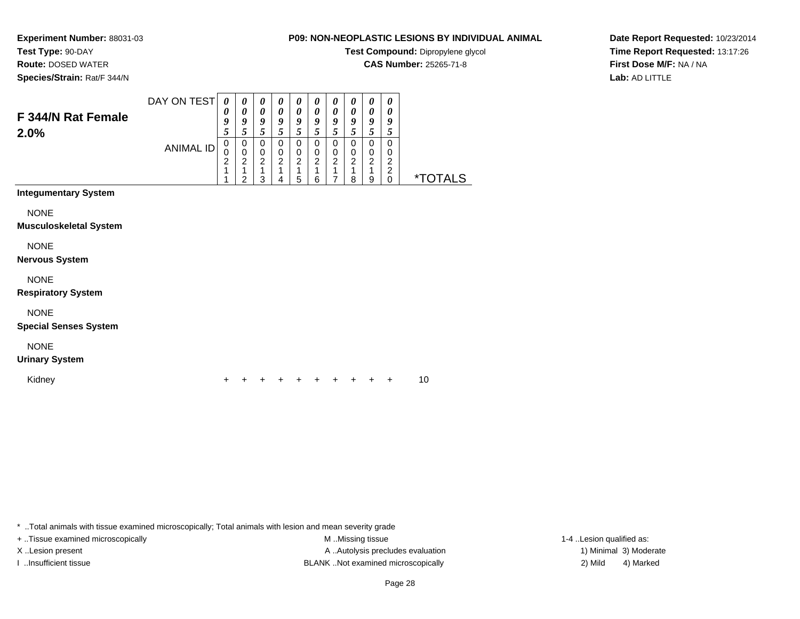# **Test Type:** 90-DAY

**Route:** DOSED WATER

**Species/Strain:** Rat/F 344/N

# **P09: NON-NEOPLASTIC LESIONS BY INDIVIDUAL ANIMAL**

**Test Compound:** Dipropylene glycol

**CAS Number:** 25265-71-8

**Date Report Requested:** 10/23/2014**Time Report Requested:** 13:17:26**First Dose M/F:** NA / NA**Lab:** AD LITTLE

| F 344/N Rat Female          | DAY ON TEST | 0<br>0 | $\boldsymbol{\theta}$<br>0 | 0<br>0 | $\boldsymbol{\theta}$<br>0 | $\boldsymbol{\theta}$<br>0 | $\boldsymbol{\theta}$<br>$\theta$ | $\theta$<br>$\boldsymbol{\theta}$ | 0<br>0 | 0<br>0 | 0<br>0 |                       |
|-----------------------------|-------------|--------|----------------------------|--------|----------------------------|----------------------------|-----------------------------------|-----------------------------------|--------|--------|--------|-----------------------|
| 2.0%                        |             | 9<br>5 | 9                          | 9      | 9                          | 9<br>5                     | 9                                 | 9                                 | 9      | 9      | 9      |                       |
|                             | ANIMAL ID   | 0      | 0                          | 0      | 0                          | 0                          | 0                                 | 0                                 | 0      | 0      | 0      |                       |
|                             |             | 2      | 0<br>ົ<br>∠                | 0<br>2 | 0<br>ົ                     | 0<br>2                     | 0<br>າ                            | 0<br>2                            | 0<br>2 | 0<br>ົ | 0<br>ົ |                       |
|                             |             |        | ⌒                          | っ      | $\Delta$                   | 5                          | 6                                 |                                   | 8      | 9      | C      | <i><b>*TOTALS</b></i> |
| <b>Integumentary System</b> |             |        |                            |        |                            |                            |                                   |                                   |        |        |        |                       |

**NONE** 

**Musculoskeletal System**

NONE

**Nervous System**

NONE

**Respiratory System**

NONE

**Special Senses System**

NONE

#### **Urinary System**

Kidney<sup>+</sup>

<sup>+</sup> <sup>+</sup> <sup>+</sup> <sup>+</sup> <sup>+</sup> <sup>+</sup> <sup>+</sup> <sup>+</sup> + 10

\* ..Total animals with tissue examined microscopically; Total animals with lesion and mean severity grade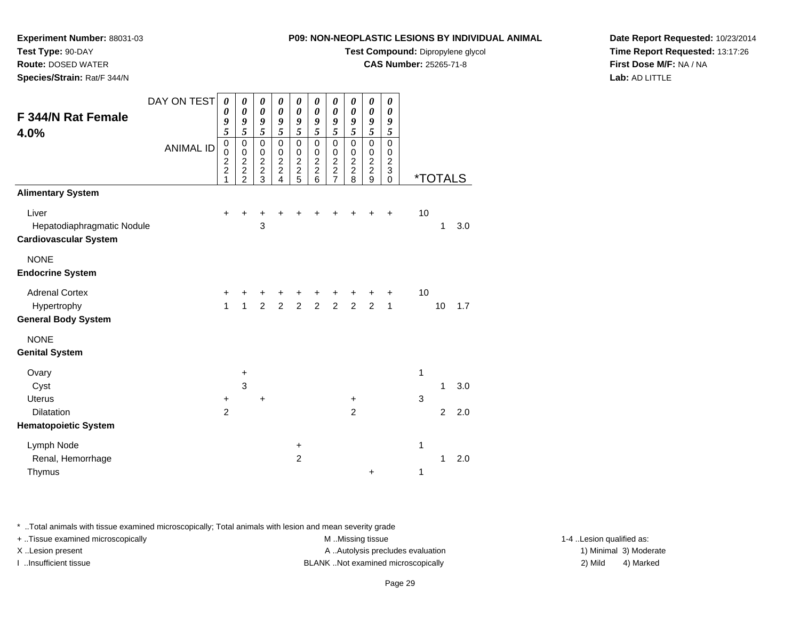**Test Compound:** Dipropylene glycol

0 \*TOTALS

**CAS Number:** 25265-71-8

**Date Report Requested:** 10/23/2014**Time Report Requested:** 13:17:26**First Dose M/F:** NA / NA**Lab:** AD LITTLE

| Hepatodiaphragmatic Nodule                                                                              |                |              | 3              |   |                |                |                |                |                  |              |                                                                         | $\mathbf{1}$   | 3.0 |  |                                                    |           |  |
|---------------------------------------------------------------------------------------------------------|----------------|--------------|----------------|---|----------------|----------------|----------------|----------------|------------------|--------------|-------------------------------------------------------------------------|----------------|-----|--|----------------------------------------------------|-----------|--|
| <b>Cardiovascular System</b>                                                                            |                |              |                |   |                |                |                |                |                  |              |                                                                         |                |     |  |                                                    |           |  |
| <b>NONE</b>                                                                                             |                |              |                |   |                |                |                |                |                  |              |                                                                         |                |     |  |                                                    |           |  |
| <b>Endocrine System</b>                                                                                 |                |              |                |   |                |                |                |                |                  |              |                                                                         |                |     |  |                                                    |           |  |
| <b>Adrenal Cortex</b>                                                                                   |                |              |                |   |                |                |                |                |                  |              | 10                                                                      |                |     |  |                                                    |           |  |
| Hypertrophy                                                                                             |                |              | $\mathfrak{p}$ | 2 | $\overline{2}$ | $\overline{c}$ | $\overline{c}$ | $\overline{2}$ | $\overline{c}$   | $\mathbf{1}$ |                                                                         | 10             | 1.7 |  |                                                    |           |  |
| <b>General Body System</b>                                                                              |                |              |                |   |                |                |                |                |                  |              |                                                                         |                |     |  |                                                    |           |  |
| <b>NONE</b>                                                                                             |                |              |                |   |                |                |                |                |                  |              |                                                                         |                |     |  |                                                    |           |  |
| <b>Genital System</b>                                                                                   |                |              |                |   |                |                |                |                |                  |              |                                                                         |                |     |  |                                                    |           |  |
| Ovary                                                                                                   |                | $\ddot{}$    |                |   |                |                |                |                |                  |              | 1                                                                       |                |     |  |                                                    |           |  |
| Cyst                                                                                                    |                | $\mathbf{3}$ |                |   |                |                |                |                |                  |              |                                                                         | 1              | 3.0 |  |                                                    |           |  |
| <b>Uterus</b>                                                                                           | $\ddot{}$      |              | $\ddot{}$      |   |                |                |                | $\ddot{}$      |                  |              | 3                                                                       |                |     |  |                                                    |           |  |
| Dilatation                                                                                              | $\overline{2}$ |              |                |   |                |                |                | $\overline{c}$ |                  |              |                                                                         | $\overline{2}$ | 2.0 |  |                                                    |           |  |
| <b>Hematopoietic System</b>                                                                             |                |              |                |   |                |                |                |                |                  |              |                                                                         |                |     |  |                                                    |           |  |
| Lymph Node                                                                                              |                |              |                |   | $\ddot{}$      |                |                |                |                  |              | 1                                                                       |                |     |  |                                                    |           |  |
| Renal, Hemorrhage                                                                                       |                |              |                |   | $\overline{c}$ |                |                |                |                  |              |                                                                         | 1              | 2.0 |  |                                                    |           |  |
| Thymus                                                                                                  |                |              |                |   |                |                |                |                | $\ddot{}$        |              | 1                                                                       |                |     |  |                                                    |           |  |
|                                                                                                         |                |              |                |   |                |                |                |                |                  |              |                                                                         |                |     |  |                                                    |           |  |
| * Total animals with tissue examined microscopically; Total animals with lesion and mean severity grade |                |              |                |   |                |                |                |                |                  |              |                                                                         |                |     |  |                                                    |           |  |
| + Tissue examined microscopically                                                                       |                |              |                |   |                |                |                |                | M Missing tissue |              |                                                                         |                |     |  | 1-4 Lesion qualified as:<br>1) Minimal 3) Moderate |           |  |
| X Lesion present<br>I Insufficient tissue                                                               |                |              |                |   |                |                |                |                |                  |              | A  Autolysis precludes evaluation<br>BLANK Not examined microscopically |                |     |  | 2) Mild                                            | 4) Marked |  |
|                                                                                                         |                |              |                |   |                |                |                |                |                  |              |                                                                         |                |     |  |                                                    |           |  |

DAY ON TEST

<sup>+</sup> <sup>+</sup> <sup>+</sup> <sup>+</sup> <sup>+</sup> <sup>+</sup> <sup>+</sup> <sup>+</sup> + 10

ANIMAL ID

 $\mathsf{r}$  +

**Experiment Number:** 88031-03

**F 344/N Rat Female**

**Alimentary System**

**Test Type:** 90-DAY **Route:** DOSED WATER**Species/Strain:** Rat/F 344/N

**4.0%**

Liver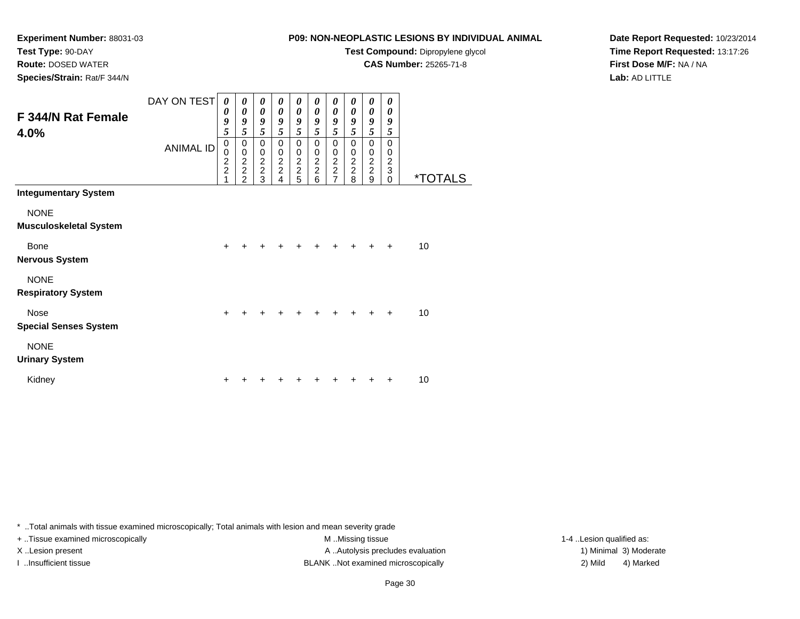**Test Type:** 90-DAY

**Route:** DOSED WATER

**Species/Strain:** Rat/F 344/N

## **P09: NON-NEOPLASTIC LESIONS BY INDIVIDUAL ANIMAL**

**Test Compound:** Dipropylene glycol

**CAS Number:** 25265-71-8

**Date Report Requested:** 10/23/2014**Time Report Requested:** 13:17:26**First Dose M/F:** NA / NA**Lab:** AD LITTLE

| F 344/N Rat Female<br>4.0%                   | DAY ON TEST<br><b>ANIMAL ID</b> | 0<br>0<br>9<br>5<br>$\mathbf 0$<br>$\mathbf 0$<br>$\overline{c}$<br>$\overline{2}$<br>1 | 0<br>$\boldsymbol{\theta}$<br>9<br>5<br>$\mathbf 0$<br>$\pmb{0}$<br>$\frac{2}{2}$<br>$\mathfrak{p}$ | 0<br>$\boldsymbol{\theta}$<br>9<br>5<br>$\mathbf 0$<br>$\pmb{0}$<br>$\frac{2}{2}$<br>3 | 0<br>$\boldsymbol{\theta}$<br>9<br>5<br>$\mathbf 0$<br>$\begin{array}{c} 0 \\ 2 \\ 2 \end{array}$<br>4 | 0<br>$\boldsymbol{\theta}$<br>9<br>5<br>0<br>$\mathbf 0$<br>$\frac{2}{2}$<br>5 | 0<br>$\boldsymbol{\theta}$<br>9<br>5<br>$\mathbf 0$<br>$\pmb{0}$<br>$\frac{2}{2}$<br>6 | 0<br>$\boldsymbol{\theta}$<br>9<br>5<br>$\mathbf 0$<br>$\pmb{0}$<br>$\frac{2}{7}$ | $\boldsymbol{\theta}$<br>$\boldsymbol{\theta}$<br>9<br>5<br>$\mathbf 0$<br>$\pmb{0}$<br>$\frac{2}{2}$<br>8 | 0<br>$\boldsymbol{\theta}$<br>9<br>5<br>$\mathbf 0$<br>$\begin{array}{c} 0 \\ 2 \\ 2 \end{array}$<br>9 | 0<br>0<br>9<br>5<br>$\Omega$<br>0<br>$\boldsymbol{2}$<br>$\ensuremath{\mathsf{3}}$<br>$\Omega$ | <i><b>*TOTALS</b></i> |
|----------------------------------------------|---------------------------------|-----------------------------------------------------------------------------------------|-----------------------------------------------------------------------------------------------------|----------------------------------------------------------------------------------------|--------------------------------------------------------------------------------------------------------|--------------------------------------------------------------------------------|----------------------------------------------------------------------------------------|-----------------------------------------------------------------------------------|------------------------------------------------------------------------------------------------------------|--------------------------------------------------------------------------------------------------------|------------------------------------------------------------------------------------------------|-----------------------|
| <b>Integumentary System</b>                  |                                 |                                                                                         |                                                                                                     |                                                                                        |                                                                                                        |                                                                                |                                                                                        |                                                                                   |                                                                                                            |                                                                                                        |                                                                                                |                       |
| <b>NONE</b><br><b>Musculoskeletal System</b> |                                 |                                                                                         |                                                                                                     |                                                                                        |                                                                                                        |                                                                                |                                                                                        |                                                                                   |                                                                                                            |                                                                                                        |                                                                                                |                       |
| Bone<br><b>Nervous System</b>                |                                 | $\ddot{}$                                                                               |                                                                                                     |                                                                                        |                                                                                                        |                                                                                |                                                                                        |                                                                                   |                                                                                                            |                                                                                                        | $\div$                                                                                         | 10                    |
| <b>NONE</b><br><b>Respiratory System</b>     |                                 |                                                                                         |                                                                                                     |                                                                                        |                                                                                                        |                                                                                |                                                                                        |                                                                                   |                                                                                                            |                                                                                                        |                                                                                                |                       |
| Nose<br><b>Special Senses System</b>         |                                 | $\ddot{}$                                                                               | $\ddot{}$                                                                                           | $\ddot{}$                                                                              |                                                                                                        | $\ddot{}$                                                                      | $\ddot{}$                                                                              | $\ddot{}$                                                                         | $\div$                                                                                                     |                                                                                                        | $\ddot{}$                                                                                      | 10                    |
| <b>NONE</b><br><b>Urinary System</b>         |                                 |                                                                                         |                                                                                                     |                                                                                        |                                                                                                        |                                                                                |                                                                                        |                                                                                   |                                                                                                            |                                                                                                        |                                                                                                |                       |
| Kidney                                       |                                 |                                                                                         |                                                                                                     |                                                                                        |                                                                                                        |                                                                                |                                                                                        |                                                                                   |                                                                                                            |                                                                                                        |                                                                                                | 10                    |

\* ..Total animals with tissue examined microscopically; Total animals with lesion and mean severity grade

+ ..Tissue examined microscopically M ...Missing tissue 1-4 ... M ...Missing tissue

X..Lesion present **A ..Autolysis precludes evaluation** A ..Autolysis precludes evaluation 1) Minimal 3) Moderate I ..Insufficient tissue BLANK ..Not examined microscopically 2) Mild 4) Marked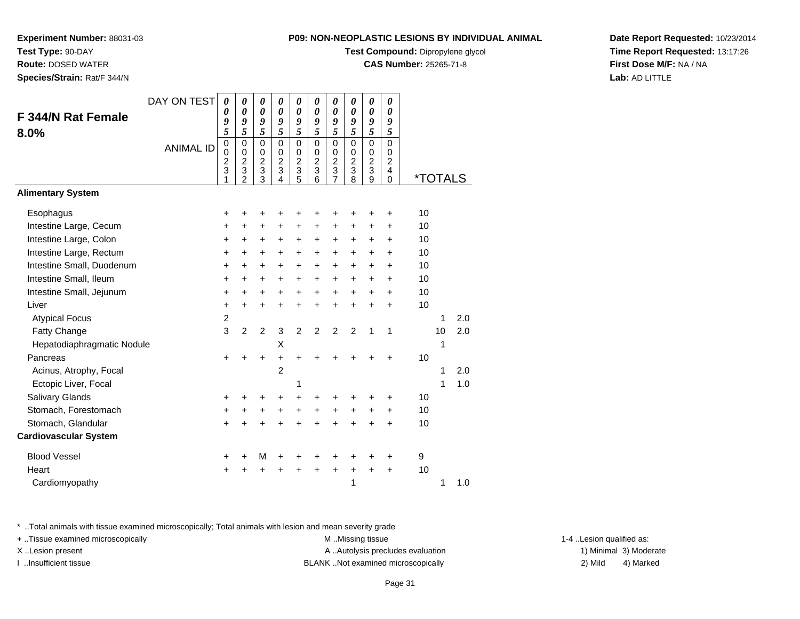**Test Compound:** Dipropylene glycol

**CAS Number:** 25265-71-8

**Date Report Requested:** 10/23/2014**Time Report Requested:** 13:17:26**First Dose M/F:** NA / NA**Lab:** AD LITTLE

\* ..Total animals with tissue examined microscopically; Total animals with lesion and mean severity grade

+ ..Tissue examined microscopically examined microscopically examined as:  $M$  ..Missing tissue 1-4 ..Lesion qualified as:

|                              | DAY ON TEST      | 0                                       | 0                                                      | 0                                            | 0                                                                 | 0                                      | 0                                                                       | 0                                              | 0                                                                            | 0                                                                              | 0                                                      |                       |    |     |  |
|------------------------------|------------------|-----------------------------------------|--------------------------------------------------------|----------------------------------------------|-------------------------------------------------------------------|----------------------------------------|-------------------------------------------------------------------------|------------------------------------------------|------------------------------------------------------------------------------|--------------------------------------------------------------------------------|--------------------------------------------------------|-----------------------|----|-----|--|
| F 344/N Rat Female           |                  | 0<br>9                                  | $\boldsymbol{\theta}$<br>9                             | 0<br>9                                       | 0<br>9                                                            | 0<br>9                                 | $\boldsymbol{\theta}$<br>9                                              | 0<br>9                                         | $\boldsymbol{\theta}$<br>9                                                   | $\boldsymbol{\theta}$<br>9                                                     | 0<br>9                                                 |                       |    |     |  |
| 8.0%                         |                  | 5                                       | 5                                                      | 5                                            | 5                                                                 | 5                                      | 5                                                                       | $\overline{\mathbf{5}}$                        | 5                                                                            | $\overline{5}$                                                                 | 5                                                      |                       |    |     |  |
|                              | <b>ANIMAL ID</b> | $\mathbf 0$<br>0<br>$\overline{c}$<br>3 | $\mathbf 0$<br>$\mathbf 0$<br>$\overline{c}$<br>3<br>2 | $\mathbf 0$<br>0<br>$\overline{c}$<br>3<br>3 | $\mathbf 0$<br>$\mathbf 0$<br>$\overline{c}$<br>$\mathbf{3}$<br>4 | $\mathbf 0$<br>0<br>$\frac{2}{3}$<br>5 | $\mathbf 0$<br>$\begin{smallmatrix} 0 \\ 2 \end{smallmatrix}$<br>3<br>6 | $\mathbf 0$<br>0<br>$\boldsymbol{2}$<br>3<br>7 | $\mathbf 0$<br>$\pmb{0}$<br>$\overline{c}$<br>$\ensuremath{\mathsf{3}}$<br>8 | $\mathbf 0$<br>$\mathbf 0$<br>$\overline{2}$<br>$\ensuremath{\mathsf{3}}$<br>9 | $\mathbf 0$<br>0<br>$\overline{c}$<br>4<br>$\mathbf 0$ | <i><b>*TOTALS</b></i> |    |     |  |
| <b>Alimentary System</b>     |                  |                                         |                                                        |                                              |                                                                   |                                        |                                                                         |                                                |                                                                              |                                                                                |                                                        |                       |    |     |  |
| Esophagus                    |                  | +                                       |                                                        |                                              | ٠                                                                 |                                        | +                                                                       | +                                              | +                                                                            |                                                                                | ٠                                                      | 10                    |    |     |  |
| Intestine Large, Cecum       |                  | +                                       | $\ddot{}$                                              | $\ddot{}$                                    | +                                                                 | +                                      | +                                                                       | $\ddot{}$                                      | +                                                                            | +                                                                              | +                                                      | 10                    |    |     |  |
| Intestine Large, Colon       |                  | +                                       | +                                                      | $\ddot{}$                                    | $\ddot{}$                                                         | +                                      | $\ddot{}$                                                               | +                                              | $\ddot{}$                                                                    | $\ddot{}$                                                                      | $\ddot{}$                                              | 10                    |    |     |  |
| Intestine Large, Rectum      |                  | $\ddot{}$                               | $\ddot{}$                                              | +                                            | $\ddot{}$                                                         | $\ddot{}$                              | +                                                                       | $\ddot{}$                                      | +                                                                            | +                                                                              | +                                                      | 10                    |    |     |  |
| Intestine Small, Duodenum    |                  | $\ddot{}$                               | $\ddot{}$                                              | $\ddot{}$                                    | $\ddot{}$                                                         | $\ddot{}$                              | $\ddot{}$                                                               | $\ddot{}$                                      | $\ddot{}$                                                                    | $\ddot{}$                                                                      | +                                                      | 10                    |    |     |  |
| Intestine Small, Ileum       |                  | $\ddot{}$                               | $\ddot{}$                                              | $\ddot{}$                                    | $\ddot{}$                                                         | $\ddot{}$                              | $\ddot{}$                                                               | +                                              | $\ddot{}$                                                                    | $\ddot{}$                                                                      | +                                                      | 10                    |    |     |  |
| Intestine Small, Jejunum     |                  | $\ddot{}$                               | $\ddot{}$                                              | +                                            | $\ddot{}$                                                         | $\ddot{}$                              | +                                                                       | +                                              | $\ddot{}$                                                                    | +                                                                              | +                                                      | 10                    |    |     |  |
| Liver                        |                  | $\ddot{}$                               | $\ddot{}$                                              | $\ddot{}$                                    | $\ddot{}$                                                         | $\ddot{}$                              | $\ddot{}$                                                               | $\ddot{}$                                      | $\ddot{}$                                                                    | $\ddot{}$                                                                      | $\ddot{}$                                              | 10                    |    |     |  |
| <b>Atypical Focus</b>        |                  | $\overline{c}$                          |                                                        |                                              |                                                                   |                                        |                                                                         |                                                |                                                                              |                                                                                |                                                        |                       | 1  | 2.0 |  |
| Fatty Change                 |                  | 3                                       | $\overline{2}$                                         | $\overline{c}$                               | 3                                                                 | $\overline{c}$                         | $\overline{2}$                                                          | $\overline{2}$                                 | $\overline{2}$                                                               | 1                                                                              | $\mathbf 1$                                            |                       | 10 | 2.0 |  |
| Hepatodiaphragmatic Nodule   |                  |                                         |                                                        |                                              | X                                                                 |                                        |                                                                         |                                                |                                                                              |                                                                                |                                                        |                       | 1  |     |  |
| Pancreas                     |                  | +                                       |                                                        | +                                            | $\ddot{}$                                                         | $\ddot{}$                              | $\ddot{}$                                                               | +                                              |                                                                              |                                                                                | +                                                      | 10                    |    |     |  |
| Acinus, Atrophy, Focal       |                  |                                         |                                                        |                                              | $\overline{c}$                                                    |                                        |                                                                         |                                                |                                                                              |                                                                                |                                                        |                       | 1  | 2.0 |  |
| Ectopic Liver, Focal         |                  |                                         |                                                        |                                              |                                                                   | 1                                      |                                                                         |                                                |                                                                              |                                                                                |                                                        |                       | 1  | 1.0 |  |
| Salivary Glands              |                  | +                                       |                                                        | ٠                                            | $\ddot{}$                                                         | $\ddot{}$                              | $\ddot{}$                                                               | +                                              | +                                                                            |                                                                                | +                                                      | 10                    |    |     |  |
| Stomach, Forestomach         |                  | $\ddot{}$                               | +                                                      | +                                            | +                                                                 | $\ddot{}$                              | $\ddot{}$                                                               | +                                              | +                                                                            | +                                                                              | +                                                      | 10                    |    |     |  |
| Stomach, Glandular           |                  | $\ddot{}$                               |                                                        |                                              | ÷                                                                 |                                        | ÷                                                                       |                                                |                                                                              |                                                                                | $\ddot{}$                                              | 10                    |    |     |  |
| <b>Cardiovascular System</b> |                  |                                         |                                                        |                                              |                                                                   |                                        |                                                                         |                                                |                                                                              |                                                                                |                                                        |                       |    |     |  |
| <b>Blood Vessel</b>          |                  | ٠                                       |                                                        | M                                            | +                                                                 | +                                      | +                                                                       | +                                              | +                                                                            |                                                                                | +                                                      | 9                     |    |     |  |
| Heart                        |                  |                                         |                                                        |                                              | +                                                                 | +                                      | +                                                                       | +                                              | +                                                                            |                                                                                | $\ddot{}$                                              | 10                    |    |     |  |
| Cardiomyopathy               |                  |                                         |                                                        |                                              |                                                                   |                                        |                                                                         |                                                | 1                                                                            |                                                                                |                                                        |                       | 1  | 1.0 |  |

X..Lesion present **A ..Autolysis precludes evaluation** A ..Autolysis precludes evaluation 1) Minimal 3) Moderate I ..Insufficient tissue BLANK ..Not examined microscopically 2) Mild 4) Marked

**Experiment Number:** 88031-03

**Test Type:** 90-DAY

**Route:** DOSED WATER

**Species/Strain:** Rat/F 344/N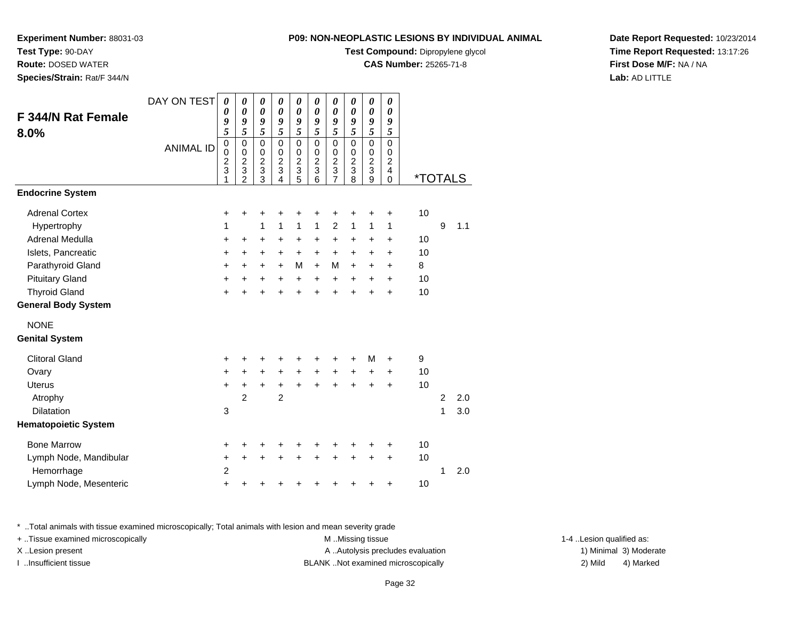**Test Compound:** Dipropylene glycol

**CAS Number:** 25265-71-8

**Date Report Requested:** 10/23/2014**Time Report Requested:** 13:17:26**First Dose M/F:** NA / NA**Lab:** AD LITTLE

|                                                                                              | <b>ANIMAL ID</b> | 0<br>0<br>$\frac{2}{3}$ | 0<br>$\mathsf 0$<br>$\overline{c}$<br>3 | 0<br>$\pmb{0}$<br>$\boldsymbol{2}$<br>$\frac{3}{3}$ | 0<br>$\pmb{0}$<br>$\boldsymbol{2}$<br>$\ensuremath{\mathsf{3}}$ | 0<br>$\mathbf 0$<br>$\overline{c}$<br>$\frac{3}{5}$ | 0<br>$\pmb{0}$<br>$\overline{c}$<br>$\frac{3}{6}$ | 0<br>$\boldsymbol{0}$<br>$\boldsymbol{2}$<br>$\ensuremath{\mathsf{3}}$ | 0<br>0<br>$\overline{\mathbf{c}}$<br>3 | 0<br>$\pmb{0}$<br>$\boldsymbol{2}$<br>$\ensuremath{\mathsf{3}}$ | 0<br>0<br>$\overline{\mathbf{c}}$<br>$\overline{\mathbf{4}}$ |                                 |                |       |
|----------------------------------------------------------------------------------------------|------------------|-------------------------|-----------------------------------------|-----------------------------------------------------|-----------------------------------------------------------------|-----------------------------------------------------|---------------------------------------------------|------------------------------------------------------------------------|----------------------------------------|-----------------------------------------------------------------|--------------------------------------------------------------|---------------------------------|----------------|-------|
|                                                                                              |                  | 1                       | $\overline{2}$                          |                                                     | 4                                                               |                                                     |                                                   | $\overline{7}$                                                         | 8                                      | $\overline{9}$                                                  | 0                                                            | <i><b>*TOTALS</b></i>           |                |       |
| <b>System</b>                                                                                |                  |                         |                                         |                                                     |                                                                 |                                                     |                                                   |                                                                        |                                        |                                                                 |                                                              |                                 |                |       |
| Cortex                                                                                       |                  | +                       | +                                       | +                                                   | +                                                               | +                                                   | +                                                 | +                                                                      | +                                      | +                                                               | +                                                            | 10                              |                |       |
| ophy                                                                                         |                  | 1                       |                                         | 1                                                   | 1                                                               | 1                                                   | 1                                                 | $\overline{2}$                                                         | $\mathbf{1}$                           | 1                                                               | 1                                                            |                                 | 9              | $1.1$ |
| Medulla                                                                                      |                  | +                       | +                                       | $\ddot{}$                                           | +                                                               | +                                                   | $\ddot{}$                                         | +                                                                      | +                                      | $\ddot{}$                                                       | +                                                            | 10                              |                |       |
| ancreatic                                                                                    |                  | +                       | +                                       | $\ddot{}$                                           | +                                                               | $\ddot{}$                                           | $\ddot{}$                                         | +                                                                      | +                                      | +                                                               | +                                                            | 10                              |                |       |
| oid Gland                                                                                    |                  | $\ddot{}$               | $\ddot{}$                               | $\ddot{}$                                           | $\ddot{}$                                                       | M                                                   | $\ddot{}$                                         | M                                                                      | $\ddot{}$                              | $\ddot{}$                                                       | $\ddot{}$                                                    | 8                               |                |       |
| Gland                                                                                        |                  | +                       | +                                       | $\ddot{}$                                           | +                                                               | +                                                   | $\ddot{}$                                         | +                                                                      | +                                      | $\ddot{}$                                                       | $\ddot{}$                                                    | 10                              |                |       |
| <b>Gland</b>                                                                                 |                  | $\ddot{}$               | +                                       | +                                                   | +                                                               | +                                                   | +                                                 | +                                                                      | $\pm$                                  | +                                                               | +                                                            | 10                              |                |       |
| dy System                                                                                    |                  |                         |                                         |                                                     |                                                                 |                                                     |                                                   |                                                                        |                                        |                                                                 |                                                              |                                 |                |       |
|                                                                                              |                  |                         |                                         |                                                     |                                                                 |                                                     |                                                   |                                                                        |                                        |                                                                 |                                                              |                                 |                |       |
| stem                                                                                         |                  |                         |                                         |                                                     |                                                                 |                                                     |                                                   |                                                                        |                                        |                                                                 |                                                              |                                 |                |       |
| <b>Jand</b>                                                                                  |                  | +                       | ٠                                       | +                                                   | +                                                               | ٠                                                   | +                                                 | ٠                                                                      | ٠                                      | М                                                               | $\ddot{}$                                                    | 9                               |                |       |
|                                                                                              |                  | $\ddot{}$               | +                                       | $\ddot{}$                                           | +                                                               | +                                                   | +                                                 | +                                                                      | $\ddot{}$                              | $\ddot{}$                                                       | +                                                            | 10                              |                |       |
|                                                                                              |                  | $\ddot{}$               | $\pm$                                   | $\ddot{}$                                           | +                                                               | $\ddot{}$                                           | $\ddot{}$                                         | +                                                                      | $\ddot{}$                              | $\ddot{}$                                                       | $\ddot{}$                                                    | 10                              |                |       |
|                                                                                              |                  |                         | $\overline{2}$                          |                                                     | $\overline{2}$                                                  |                                                     |                                                   |                                                                        |                                        |                                                                 |                                                              |                                 | $\overline{c}$ | 2.0   |
| ρn                                                                                           |                  | 3                       |                                         |                                                     |                                                                 |                                                     |                                                   |                                                                        |                                        |                                                                 |                                                              |                                 | 1              | 3.0   |
| ietic System                                                                                 |                  |                         |                                         |                                                     |                                                                 |                                                     |                                                   |                                                                        |                                        |                                                                 |                                                              |                                 |                |       |
| <b><i><u>Irrow</u></i></b>                                                                   |                  | +                       | +                                       | +                                                   | +                                                               | +                                                   | +                                                 | +                                                                      | +                                      | +                                                               | +                                                            | 10                              |                |       |
| lode, Mandibular                                                                             |                  | $\ddot{}$               | $\ddot{}$                               | +                                                   | +                                                               | +                                                   | +                                                 | +                                                                      | +                                      | +                                                               | +                                                            | 10                              |                |       |
| hage                                                                                         |                  | $\overline{c}$          |                                         |                                                     |                                                                 |                                                     |                                                   |                                                                        |                                        |                                                                 |                                                              |                                 | 1              | 2.0   |
| lode, Mesenteric                                                                             |                  | $\ddot{}$               | +                                       | +                                                   | +                                                               | +                                                   | +                                                 | +                                                                      | +                                      | +                                                               | +                                                            | 10                              |                |       |
| nals with tissue examined microscopically; Total animals with lesion and mean severity grade |                  |                         |                                         |                                                     |                                                                 |                                                     |                                                   |                                                                        |                                        |                                                                 |                                                              |                                 |                |       |
| amined microscopically                                                                       |                  |                         |                                         |                                                     |                                                                 |                                                     |                                                   | M Missing tissue                                                       |                                        |                                                                 |                                                              |                                 |                |       |
| $n$ cont                                                                                     |                  |                         |                                         |                                                     |                                                                 |                                                     |                                                   |                                                                        |                                        |                                                                 |                                                              | A Autolveic produdec ovaluation |                |       |

#### **Endocrine**

**Experiment Number:** 88031-03

**F 344/N Rat Female**

**Test Type:** 90-DAY **Route:** DOSED WATER**Species/Strain:** Rat/F 344/N

**8.0%**

| +              | ÷         | +         | +              | +            | +            | +              | +            | +         | +         | 10 |   |     |
|----------------|-----------|-----------|----------------|--------------|--------------|----------------|--------------|-----------|-----------|----|---|-----|
| 1              |           | 1         | 1              | $\mathbf{1}$ | $\mathbf{1}$ | $\overline{2}$ | $\mathbf{1}$ | 1         | 1         |    | 9 | 1.1 |
| +              | $\ddot{}$ | $\ddot{}$ | $\ddot{}$      | $\ddot{}$    | $\ddot{}$    | $\ddot{}$      | $\ddot{}$    | $\ddot{}$ | $\ddot{}$ | 10 |   |     |
| +              | $\ddot{}$ | $\ddot{}$ | $\ddot{}$      | $\ddot{}$    | $\ddot{}$    | $\ddot{}$      | $\ddot{}$    | $\ddot{}$ | $\pm$     | 10 |   |     |
| $\ddot{}$      | $\ddot{}$ | $\ddot{}$ | $\ddot{}$      | M            | $\ddot{}$    | M              | $\ddot{}$    | $\ddot{}$ | $\ddot{}$ | 8  |   |     |
| $\ddot{}$      | $\ddot{}$ | $\ddot{}$ | $\ddot{}$      | $\ddot{}$    | $\ddot{}$    | $\ddot{}$      | $\ddot{}$    | $\ddot{}$ | $\ddot{}$ | 10 |   |     |
| $\ddot{}$      | $\div$    | +         | $\ddot{}$      | $\ddot{}$    | $+$          | $+$            | $\ddot{}$    | $\ddot{}$ | $\ddot{}$ | 10 |   |     |
|                |           |           |                |              |              |                |              |           |           |    |   |     |
|                |           |           |                |              |              |                |              |           |           |    |   |     |
|                |           |           |                |              |              |                |              |           |           |    |   |     |
| $\ddot{}$      | +         | +         | +              | +            | +            | +              | ٠            | M         | $\ddot{}$ | 9  |   |     |
| +              | $\ddot{}$ | $\ddot{}$ | $\ddot{}$      | $\ddot{}$    | $\ddot{}$    | $\ddot{}$      | $\ddot{}$    | $\ddot{}$ | $\ddot{}$ | 10 |   |     |
| $+$            | $\ddot{}$ | $\ddot{}$ | $\ddot{}$      | $\ddot{}$    | $+$          | $\ddot{}$      | $\ddot{}$    | $\ddot{}$ | $\ddot{}$ | 10 |   |     |
|                | 2         |           | $\overline{2}$ |              |              |                |              |           |           |    | 2 | 2.0 |
| 3              |           |           |                |              |              |                |              |           |           |    | 1 | 3.0 |
|                |           |           |                |              |              |                |              |           |           |    |   |     |
| +              | +         | +         | ٠              | ٠            | +            | +              | +            | ÷         | ٠         | 10 |   |     |
| $\ddot{}$      | $\ddot{}$ | $\ddot{}$ | $\ddot{}$      | $\ddot{}$    | $\ddot{}$    | $\ddot{}$      | $\ddot{}$    | $\ddot{}$ | $\ddot{}$ | 10 |   |     |
| $\overline{2}$ |           |           |                |              |              |                |              |           |           |    | 1 | 2.0 |
| +              | +         | +         |                |              |              |                | +            | +         | +         | 10 |   |     |
|                |           |           |                |              |              |                |              |           |           |    |   |     |

DAY ON TEST

*0*

*0*

*0 9 5*

*0 9 5*

\* ..Total anim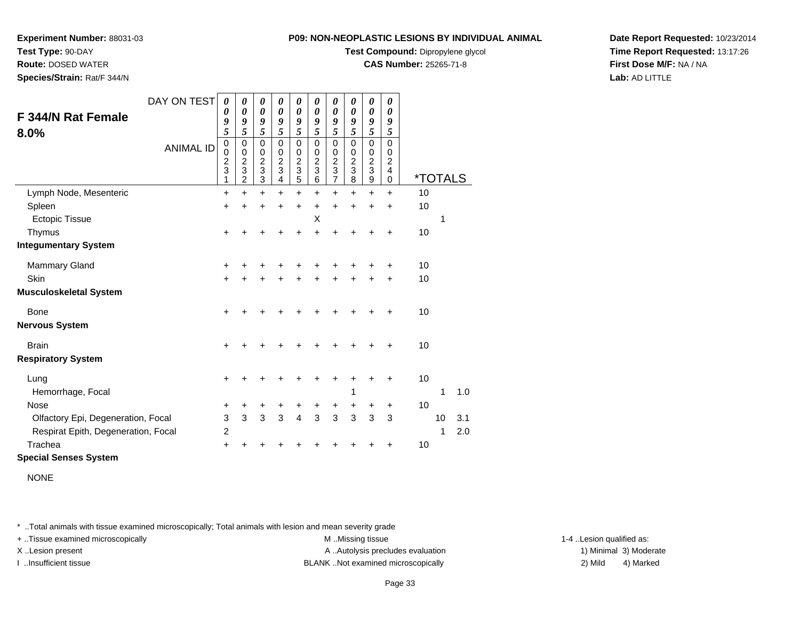**Test Type:** 90-DAY

**Route:** DOSED WATER

**Species/Strain:** Rat/F 344/N

#### **P09: NON-NEOPLASTIC LESIONS BY INDIVIDUAL ANIMAL**

**Test Compound:** Dipropylene glycol

**CAS Number:** 25265-71-8

**Date Report Requested:** 10/23/2014**Time Report Requested:** 13:17:26**First Dose M/F:** NA / NA**Lab:** AD LITTLE

| F 344/N Rat Female<br>8.0%          | DAY ON TEST      | 0<br>0<br>$\boldsymbol{9}$<br>$\overline{\mathbf{5}}$ | 0<br>$\boldsymbol{\theta}$<br>9<br>5                                              | 0<br>0<br>9<br>5                                                                  | 0<br>$\boldsymbol{\theta}$<br>9<br>5             | 0<br>$\boldsymbol{\theta}$<br>9<br>5                  | 0<br>$\boldsymbol{\theta}$<br>9<br>5                              | 0<br>$\pmb{\theta}$<br>9<br>$\overline{5}$                     | 0<br>0<br>9<br>5                          | 0<br>$\boldsymbol{\theta}$<br>9<br>5         | 0<br>$\boldsymbol{\theta}$<br>9<br>5      |                       |    |     |
|-------------------------------------|------------------|-------------------------------------------------------|-----------------------------------------------------------------------------------|-----------------------------------------------------------------------------------|--------------------------------------------------|-------------------------------------------------------|-------------------------------------------------------------------|----------------------------------------------------------------|-------------------------------------------|----------------------------------------------|-------------------------------------------|-----------------------|----|-----|
|                                     | <b>ANIMAL ID</b> | $\boldsymbol{0}$<br>0<br>$\frac{2}{3}$<br>1           | $\mathbf 0$<br>0<br>$\overline{c}$<br>$\ensuremath{\mathsf{3}}$<br>$\overline{2}$ | $\mathbf 0$<br>0<br>$\overline{c}$<br>$\ensuremath{\mathsf{3}}$<br>$\overline{3}$ | $\Omega$<br>$\Omega$<br>$\overline{2}$<br>3<br>4 | $\mathbf 0$<br>0<br>$\boldsymbol{2}$<br>$\frac{1}{5}$ | $\Omega$<br>0<br>$\overline{2}$<br>$\ensuremath{\mathsf{3}}$<br>6 | $\mathbf 0$<br>0<br>$\begin{array}{c} 2 \\ 3 \\ 7 \end{array}$ | $\Omega$<br>0<br>$\overline{c}$<br>3<br>8 | $\mathbf 0$<br>0<br>$\overline{c}$<br>3<br>9 | $\Omega$<br>0<br>$\overline{c}$<br>4<br>0 | <i><b>*TOTALS</b></i> |    |     |
| Lymph Node, Mesenteric              |                  | +                                                     | $\ddot{}$                                                                         | $\ddot{}$                                                                         | $\ddot{}$                                        | $\ddot{}$                                             | $\ddot{}$                                                         | $+$                                                            | $\ddot{}$                                 | $\ddot{}$                                    | $\ddot{}$                                 | 10                    |    |     |
| Spleen                              |                  | +                                                     | $\ddot{}$                                                                         | $\ddot{}$                                                                         | $\ddot{}$                                        | $\ddot{}$                                             | $\ddot{}$                                                         | $\ddot{}$                                                      | $\ddot{}$                                 | $\ddot{}$                                    | $\ddot{}$                                 | 10                    |    |     |
| <b>Ectopic Tissue</b>               |                  |                                                       |                                                                                   |                                                                                   |                                                  |                                                       | Х                                                                 |                                                                |                                           |                                              |                                           |                       | 1  |     |
| Thymus                              |                  | $\ddot{}$                                             |                                                                                   |                                                                                   |                                                  | +                                                     | ÷                                                                 | ∔                                                              |                                           |                                              | $\ddot{}$                                 | 10                    |    |     |
| <b>Integumentary System</b>         |                  |                                                       |                                                                                   |                                                                                   |                                                  |                                                       |                                                                   |                                                                |                                           |                                              |                                           |                       |    |     |
| <b>Mammary Gland</b>                |                  | +                                                     |                                                                                   |                                                                                   |                                                  |                                                       |                                                                   |                                                                |                                           |                                              |                                           | 10                    |    |     |
| Skin                                |                  | $\ddot{}$                                             |                                                                                   | +                                                                                 | +                                                | +                                                     |                                                                   | +                                                              |                                           | +                                            | +                                         | 10                    |    |     |
| <b>Musculoskeletal System</b>       |                  |                                                       |                                                                                   |                                                                                   |                                                  |                                                       |                                                                   |                                                                |                                           |                                              |                                           |                       |    |     |
| Bone                                |                  | +                                                     |                                                                                   |                                                                                   |                                                  |                                                       |                                                                   |                                                                |                                           |                                              |                                           | 10                    |    |     |
| <b>Nervous System</b>               |                  |                                                       |                                                                                   |                                                                                   |                                                  |                                                       |                                                                   |                                                                |                                           |                                              |                                           |                       |    |     |
| <b>Brain</b>                        |                  | +                                                     |                                                                                   |                                                                                   |                                                  |                                                       |                                                                   |                                                                |                                           |                                              |                                           | 10                    |    |     |
| <b>Respiratory System</b>           |                  |                                                       |                                                                                   |                                                                                   |                                                  |                                                       |                                                                   |                                                                |                                           |                                              |                                           |                       |    |     |
| Lung                                |                  | $\ddot{}$                                             |                                                                                   |                                                                                   |                                                  |                                                       |                                                                   |                                                                |                                           |                                              |                                           | 10                    |    |     |
| Hemorrhage, Focal                   |                  |                                                       |                                                                                   |                                                                                   |                                                  |                                                       |                                                                   |                                                                | 1                                         |                                              |                                           |                       | 1  | 1.0 |
| Nose                                |                  | +                                                     | +                                                                                 | +                                                                                 | +                                                | +                                                     | +                                                                 | +                                                              | +                                         | +                                            | +                                         | 10                    |    |     |
| Olfactory Epi, Degeneration, Focal  |                  | $\ensuremath{\mathsf{3}}$                             | 3                                                                                 | 3                                                                                 | 3                                                | 4                                                     | 3                                                                 | 3                                                              | 3                                         | $\mathbf{3}$                                 | 3                                         |                       | 10 | 3.1 |
| Respirat Epith, Degeneration, Focal |                  | $\overline{c}$                                        |                                                                                   |                                                                                   |                                                  |                                                       |                                                                   |                                                                |                                           |                                              |                                           |                       | 1  | 2.0 |
| Trachea                             |                  | +                                                     |                                                                                   |                                                                                   |                                                  |                                                       |                                                                   |                                                                |                                           |                                              |                                           | 10                    |    |     |
| <b>Special Senses System</b>        |                  |                                                       |                                                                                   |                                                                                   |                                                  |                                                       |                                                                   |                                                                |                                           |                                              |                                           |                       |    |     |

NONE

\* ..Total animals with tissue examined microscopically; Total animals with lesion and mean severity grade

+ ..Tissue examined microscopically examined microscopically examined as:  $M$  ..Missing tissue 1-4 ..Lesion qualified as:

X..Lesion present **A ..Autolysis precludes evaluation** A ..Autolysis precludes evaluation 1) Minimal 3) Moderate

I ..Insufficient tissue BLANK ..Not examined microscopically 2) Mild 4) Marked